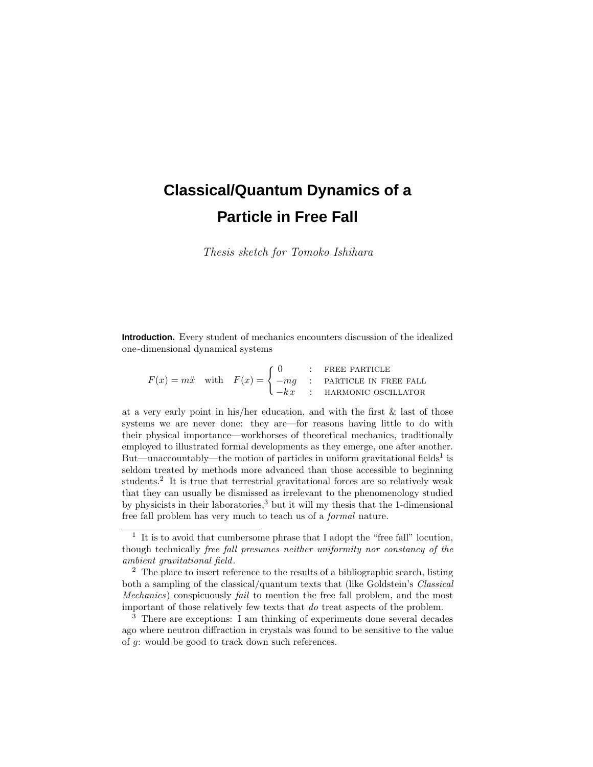# **Classical/Quantum Dynamics of a Particle in Free Fall**

Thesis sketch for Tomoko Ishihara

**Introduction.** Every student of mechanics encounters discussion of the idealized one-dimensional dynamical systems

 $F(x) = m\ddot{x}$  with  $F(x) = \begin{cases} 0 & \text{:} \text{ Free PARTICE} \\ -mg & \text{:} \text{ PARTICE IN FR} \end{cases}$  $-mg$  : PARTICLE IN FREE FALL  $-kx$  : HARMONIC OSCILLATOR

at a very early point in his/her education, and with the first & last of those systems we are never done: they are—for reasons having little to do with their physical importance—workhorses of theoretical mechanics, traditionally employed to illustrated formal developments as they emerge, one after another. But—unaccountably—the motion of particles in uniform gravitational fields<sup>1</sup> is seldom treated by methods more advanced than those accessible to beginning students.<sup>2</sup> It is true that terrestrial gravitational forces are so relatively weak that they can usually be dismissed as irrelevant to the phenomenology studied by physicists in their laboratories,<sup>3</sup> but it will my thesis that the 1-dimensional free fall problem has very much to teach us of a formal nature.

 $^{\rm 1}$  It is to avoid that cumbersome phrase that I adopt the "free fall" locution, though technically free fall presumes neither uniformity nor constancy of the ambient gravitational field.

<sup>&</sup>lt;sup>2</sup> The place to insert reference to the results of a bibliographic search, listing both a sampling of the classical/quantum texts that (like Goldstein's *Classical* Mechanics) conspicuously fail to mention the free fall problem, and the most important of those relatively few texts that do treat aspects of the problem.

 $3$  There are exceptions: I am thinking of experiments done several decades ago where neutron diffraction in crystals was found to be sensitive to the value of *g*: would be good to track down such references.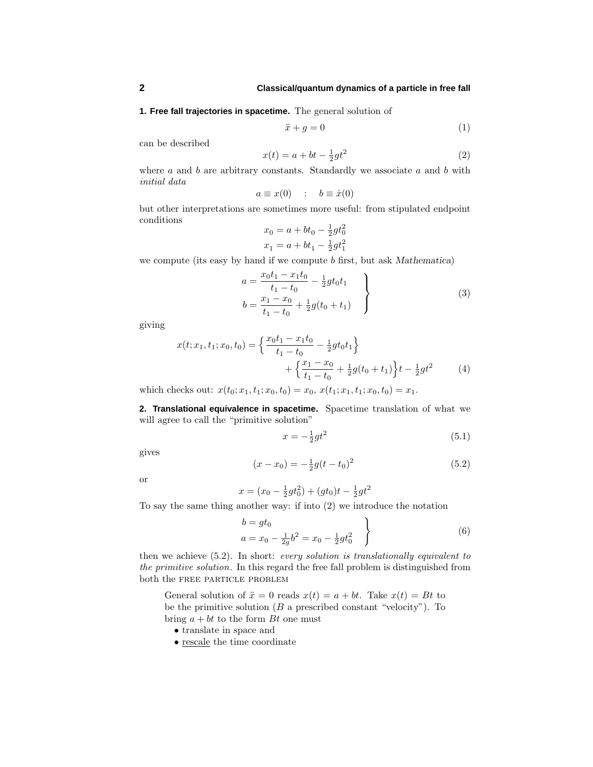**1. Free fall trajectories in spacetime.** The general solution of

$$
\ddot{x} + g = 0 \tag{1}
$$

can be described

$$
x(t) = a + bt - \frac{1}{2}gt^2
$$
 (2)

where *a* and *b* are arbitrary constants. Standardly we associate *a* and *b* with initial data

$$
a \equiv x(0) \quad : \quad b \equiv \dot{x}(0)
$$

but other interpretations are sometimes more useful: from stipulated endpoint conditions

$$
x_0 = a + bt_0 - \frac{1}{2}gt_0^2
$$
  

$$
x_1 = a + bt_1 - \frac{1}{2}gt_1^2
$$

we compute (its easy by hand if we compute *b* first, but ask *Mathematica*)

$$
a = \frac{x_0 t_1 - x_1 t_0}{t_1 - t_0} - \frac{1}{2}gt_0 t_1
$$
  
\n
$$
b = \frac{x_1 - x_0}{t_1 - t_0} + \frac{1}{2}g(t_0 + t_1)
$$
\n(3)

giving

$$
x(t; x_1, t_1; x_0, t_0) = \left\{ \frac{x_0 t_1 - x_1 t_0}{t_1 - t_0} - \frac{1}{2} g t_0 t_1 \right\} + \left\{ \frac{x_1 - x_0}{t_1 - t_0} + \frac{1}{2} g (t_0 + t_1) \right\} t - \frac{1}{2} g t^2
$$
(4)

which checks out:  $x(t_0; x_1, t_1; x_0, t_0) = x_0, x(t_1; x_1, t_1; x_0, t_0) = x_1.$ 

**2. Translational equivalence in spacetime.** Spacetime translation of what we will agree to call the "primitive solution"

$$
x = -\frac{1}{2}gt^2\tag{5.1}
$$

gives

$$
(x - x_0) = -\frac{1}{2}g(t - t_0)^2
$$
\n(5.2)

or

$$
x = (x_0 - \frac{1}{2}gt_0^2) + (gt_0)t - \frac{1}{2}gt^2
$$

To say the same thing another way: if into (2) we introduce the notation

$$
\left\{\n\begin{aligned}\nb &= gt_0 \\
a &= x_0 - \frac{1}{2g}b^2 = x_0 - \frac{1}{2}gt_0^2\n\end{aligned}\n\right\}\n\tag{6}
$$

then we achieve (5.2). In short: every solution is translationally equivalent to the primitive solution. In this regard the free fall problem is distinguished from both the free particle problem

General solution of  $\ddot{x} = 0$  reads  $x(t) = a + bt$ . Take  $x(t) = Bt$  to be the primitive solution (*B* a prescribed constant "velocity"). To bring  $a + bt$  to the form  $Bt$  one must

- translate in space and
- rescale the time coordinate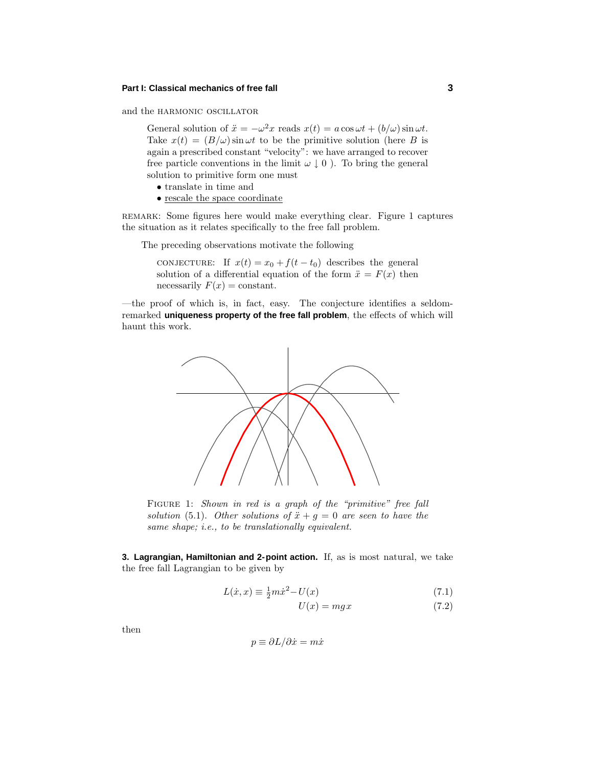and the HARMONIC OSCILLATOR

General solution of  $\ddot{x} = -\omega^2 x$  reads  $x(t) = a \cos \omega t + (b/\omega) \sin \omega t$ . Take  $x(t) = (B/\omega) \sin \omega t$  to be the primitive solution (here *B* is again a prescribed constant "velocity": we have arranged to recover free particle conventions in the limit  $\omega \downarrow 0$ ). To bring the general solution to primitive form one must

- translate in time and
- rescale the space coordinate

remark: Some figures here would make everything clear. Figure 1 captures the situation as it relates specifically to the free fall problem.

The preceding observations motivate the following

conjecture: If  $x(t) = x_0 + f(t - t_0)$  describes the general solution of a differential equation of the form  $\ddot{x} = F(x)$  then necessarily  $F(x) =$  constant.

—the proof of which is, in fact, easy. The conjecture identifies a seldomremarked **uniqueness property of the free fall problem**, the effects of which will haunt this work.



FIGURE 1: Shown in red is a graph of the "primitive" free fall solution (5.1). Other solutions of  $\ddot{x} + g = 0$  are seen to have the same shape; i.e., to be translationally equivalent.

**3. Lagrangian, Hamiltonian and 2-point action.** If, as is most natural, we take the free fall Lagrangian to be given by

$$
L(\dot{x}, x) \equiv \frac{1}{2}m\dot{x}^2 - U(x) \tag{7.1}
$$

$$
U(x) = mgx \tag{7.2}
$$

then

$$
p \equiv \partial L/\partial \dot{x} = m\dot{x}
$$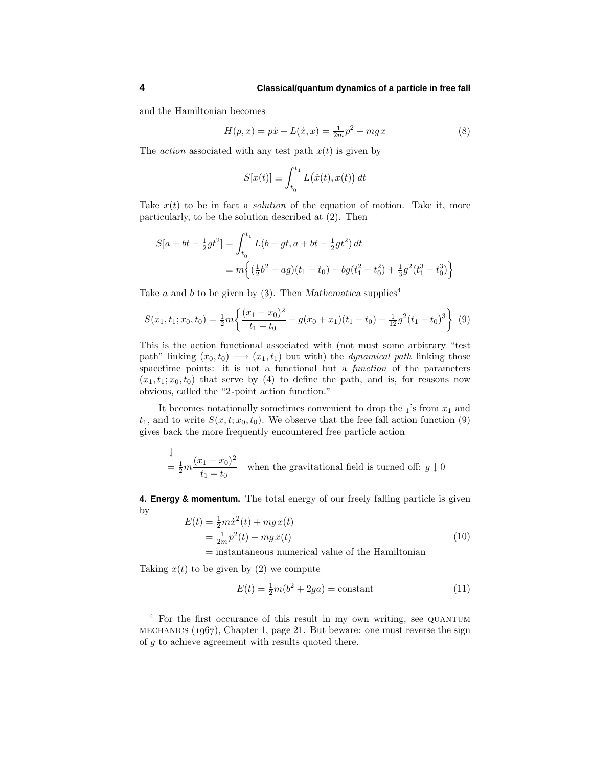and the Hamiltonian becomes

$$
H(p,x) = p\dot{x} - L(\dot{x},x) = \frac{1}{2m}p^2 + mgx
$$
\n(8)

The *action* associated with any test path  $x(t)$  is given by

$$
S[x(t)] \equiv \int_{t_0}^{t_1} L(\dot{x}(t), x(t)) dt
$$

Take  $x(t)$  to be in fact a *solution* of the equation of motion. Take it, more particularly, to be the solution described at (2). Then

$$
S[a + bt - \frac{1}{2}gt^2] = \int_{t_0}^{t_1} L(b - gt, a + bt - \frac{1}{2}gt^2) dt
$$
  
=  $m\left\{ (\frac{1}{2}b^2 - ag)(t_1 - t_0) - bg(t_1^2 - t_0^2) + \frac{1}{3}g^2(t_1^3 - t_0^3) \right\}$ 

Take *a* and *b* to be given by (3). Then *Mathematica* supplies<sup>4</sup>

$$
S(x_1, t_1; x_0, t_0) = \frac{1}{2}m \left\{ \frac{(x_1 - x_0)^2}{t_1 - t_0} - g(x_0 + x_1)(t_1 - t_0) - \frac{1}{12}g^2(t_1 - t_0)^3 \right\}
$$
(9)

This is the action functional associated with (not must some arbitrary "test path" linking  $(x_0, t_0) \longrightarrow (x_1, t_1)$  but with) the *dynamical path* linking those spacetime points: it is not a functional but a function of the parameters  $(x_1, t_1; x_0, t_0)$  that serve by (4) to define the path, and is, for reasons now obvious, called the "2-point action function."

It becomes notationally sometimes convenient to drop the  $_1$ 's from  $x_1$  and  $t_1$ , and to write  $S(x, t; x_0, t_0)$ . We observe that the free fall action function (9) gives back the more frequently encountered free particle action

$$
\frac{1}{2}m\frac{(x_1 - x_0)^2}{t_1 - t_0}
$$
 when the gravitational field is turned off:  $g \downarrow 0$ 

**4. Energy & momentum.** The total energy of our freely falling particle is given by

$$
E(t) = \frac{1}{2}m\dot{x}^{2}(t) + mgx(t)
$$
  
=  $\frac{1}{2m}p^{2}(t) + mgx(t)$  (10)

= instantaneous numerical value of the Hamiltonian

Taking  $x(t)$  to be given by (2) we compute

l.

$$
E(t) = \frac{1}{2}m(b^2 + 2ga) = \text{constant} \tag{11}
$$

<sup>&</sup>lt;sup>4</sup> For the first occurance of this result in my own writing, see QUANTUM MECHANICS  $(1967)$ , Chapter 1, page 21. But beware: one must reverse the sign of *g* to achieve agreement with results quoted there.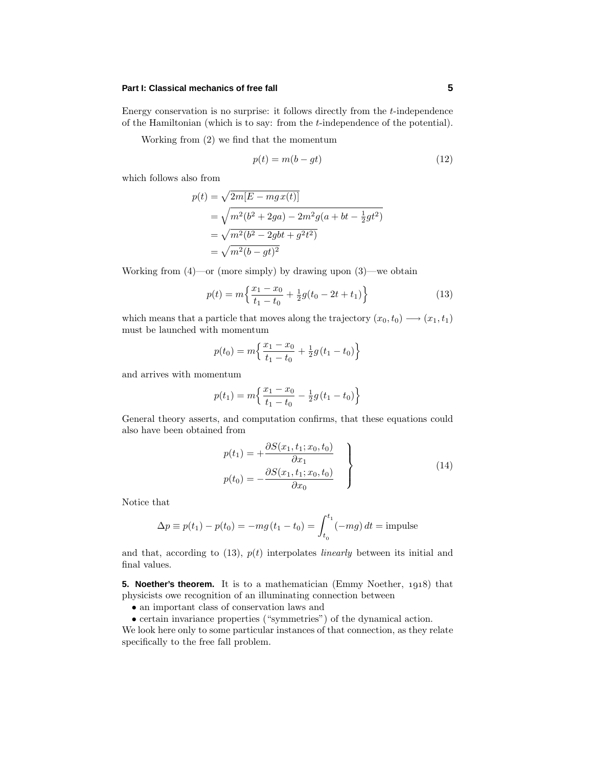Energy conservation is no surprise: it follows directly from the *t*-independence of the Hamiltonian (which is to say: from the *t*-independence of the potential).

Working from (2) we find that the momentum

$$
p(t) = m(b - gt) \tag{12}
$$

which follows also from

$$
p(t) = \sqrt{2m[E - mgx(t)]}
$$
  
=  $\sqrt{m^2(b^2 + 2ga) - 2m^2g(a + bt - \frac{1}{2}gt^2)}$   
=  $\sqrt{m^2(b^2 - 2gbt + g^2t^2)}$   
=  $\sqrt{m^2(b - gt)^2}$ 

Working from  $(4)$ —or (more simply) by drawing upon  $(3)$ —we obtain

$$
p(t) = m\left\{\frac{x_1 - x_0}{t_1 - t_0} + \frac{1}{2}g(t_0 - 2t + t_1)\right\}
$$
\n(13)

which means that a particle that moves along the trajectory  $(x_0, t_0) \longrightarrow (x_1, t_1)$ must be launched with momentum

$$
p(t_0) = m \left\{ \frac{x_1 - x_0}{t_1 - t_0} + \frac{1}{2} g(t_1 - t_0) \right\}
$$

and arrives with momentum

$$
p(t_1) = m \left\{ \frac{x_1 - x_0}{t_1 - t_0} - \frac{1}{2} g(t_1 - t_0) \right\}
$$

General theory asserts, and computation confirms, that these equations could also have been obtained from

$$
p(t_1) = +\frac{\partial S(x_1, t_1; x_0, t_0)}{\partial x_1} p(t_0) = -\frac{\partial S(x_1, t_1; x_0, t_0)}{\partial x_0}
$$
 (14)

Notice that

$$
\Delta p \equiv p(t_1) - p(t_0) = -mg(t_1 - t_0) = \int_{t_0}^{t_1} (-mg) dt = \text{impulse}
$$

and that, according to  $(13)$ ,  $p(t)$  interpolates *linearly* between its initial and final values.

**5. Noether's theorem.** It is to a mathematician (Emmy Noether, 1918) that physicists owe recognition of an illuminating connection between

- an important class of conservation laws and
- certain invariance properties ("symmetries") of the dynamical action.

We look here only to some particular instances of that connection, as they relate specifically to the free fall problem.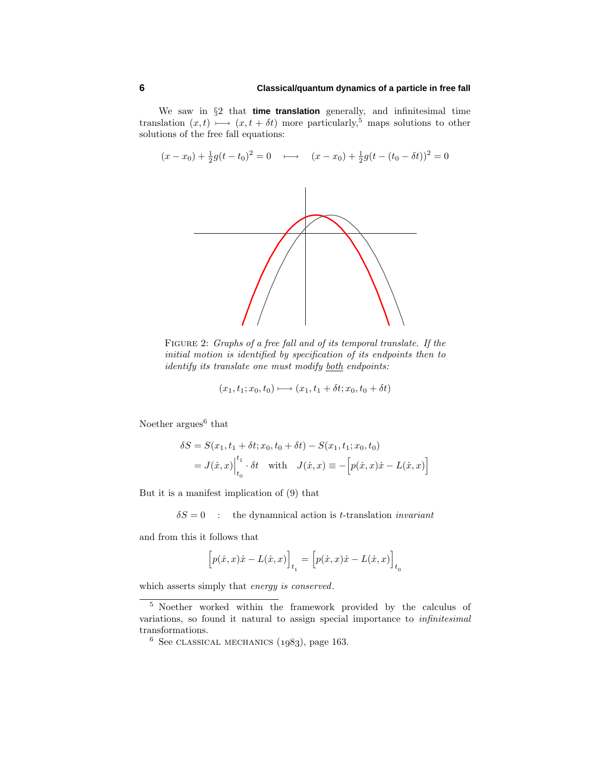#### **6 Classical/quantum dynamics of a particle in free fall**

We saw in §2 that **time translation** generally, and infinitesimal time translation  $(x, t) \mapsto (x, t + \delta t)$  more particularly,<sup>5</sup> maps solutions to other solutions of the free fall equations:



FIGURE 2: Graphs of a free fall and of its temporal translate. If the initial motion is identified by specification of its endpoints then to identify its translate one must modify both endpoints:

$$
(x_1, t_1; x_0, t_0) \longmapsto (x_1, t_1 + \delta t; x_0, t_0 + \delta t)
$$

Noether  $\arg$ ues<sup>6</sup> that

$$
\delta S = S(x_1, t_1 + \delta t; x_0, t_0 + \delta t) - S(x_1, t_1; x_0, t_0)
$$
  
=  $J(\dot{x}, x)\Big|_{t_0}^{t_1} \cdot \delta t$  with  $J(\dot{x}, x) \equiv -[p(\dot{x}, x)\dot{x} - L(\dot{x}, x)]$ 

But it is a manifest implication of (9) that

 $\delta S = 0$  : the dynamnical action is *t*-translation *invariant* 

and from this it follows that

$$
\Big[p(\dot{x},x)\dot{x}-L(\dot{x},x)\Big]_{t_1}=\Big[p(\dot{x},x)\dot{x}-L(\dot{x},x)\Big]_{t_0}
$$

which asserts simply that energy is conserved.

<sup>5</sup> Noether worked within the framework provided by the calculus of variations, so found it natural to assign special importance to infinitesimal transformations.

 $6$  See CLASSICAL MECHANICS  $(1983)$ , page 163.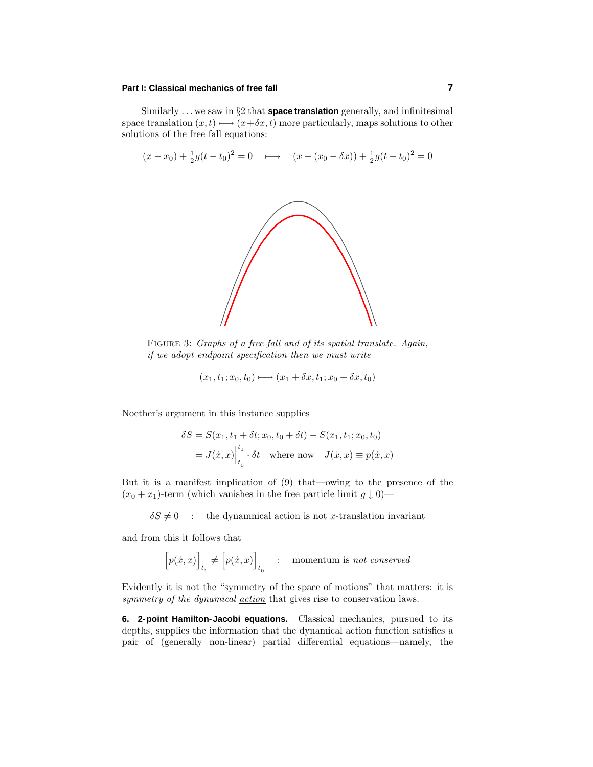Similarly *...* we saw in §2 that **space translation** generally, and infinitesimal space translation  $(x, t) \mapsto (x + \delta x, t)$  more particularly, maps solutions to other solutions of the free fall equations:



FIGURE 3: Graphs of a free fall and of its spatial translate. Again, if we adopt endpoint specification then we must write

$$
(x_1, t_1; x_0, t_0) \longmapsto (x_1 + \delta x, t_1; x_0 + \delta x, t_0)
$$

Noether's argument in this instance supplies

$$
\delta S = S(x_1, t_1 + \delta t; x_0, t_0 + \delta t) - S(x_1, t_1; x_0, t_0)
$$
  
=  $J(\dot{x}, x)\Big|_{t_0}^{t_1} \cdot \delta t$  where now  $J(\dot{x}, x) \equiv p(\dot{x}, x)$ 

But it is a manifest implication of (9) that—owing to the presence of the  $(x_0 + x_1)$ -term (which vanishes in the free particle limit  $g \downarrow 0$ )—

 $\delta S \neq 0$  : the dynamnical action is not *x*-translation invariant

and from this it follows that

$$
\Big[p(\dot{x},x)\Big]_{t_1} \neq \Big[p(\dot{x},x)\Big]_{t_0} \quad : \quad \text{momentum is \ not \ conserved}
$$

Evidently it is not the "symmetry of the space of motions" that matters: it is symmetry of the dynamical <u>action</u> that gives rise to conservation laws.

**6. 2-point Hamilton-Jacobi equations.** Classical mechanics, pursued to its depths, supplies the information that the dynamical action function satisfies a pair of (generally non-linear) partial differential equations—namely, the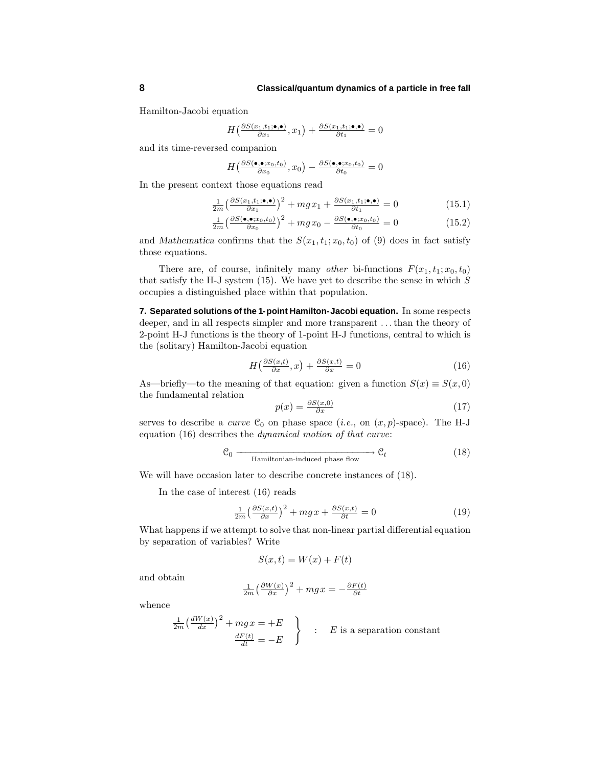Hamilton-Jacobi equation

$$
H\left(\frac{\partial S(x_1,t_1;\bullet,\bullet)}{\partial x_1},x_1\right) + \frac{\partial S(x_1,t_1;\bullet,\bullet)}{\partial t_1} = 0
$$

and its time-reversed companion

$$
H\left(\frac{\partial S(\bullet, \bullet; x_0, t_0)}{\partial x_0}, x_0\right) - \frac{\partial S(\bullet, \bullet; x_0, t_0)}{\partial t_0} = 0
$$

In the present context those equations read

$$
\frac{1}{2m} \left( \frac{\partial S(x_1, t_1; \bullet, \bullet)}{\partial x_1} \right)^2 + mgx_1 + \frac{\partial S(x_1, t_1; \bullet, \bullet)}{\partial t_1} = 0 \tag{15.1}
$$

$$
\frac{1}{2m} \left( \frac{\partial S(\bullet, \bullet; x_0, t_0)}{\partial x_0} \right)^2 + mgx_0 - \frac{\partial S(\bullet, \bullet; x_0, t_0)}{\partial t_0} = 0 \tag{15.2}
$$

and *Mathematica* confirms that the  $S(x_1, t_1; x_0, t_0)$  of (9) does in fact satisfy those equations.

There are, of course, infinitely many *other* bi-functions  $F(x_1, t_1; x_0, t_0)$ that satisfy the H-J system (15). We have yet to describe the sense in which *S* occupies a distinguished place within that population.

**7. Separated solutions of the 1-point Hamilton-Jacobi equation.** In some respects deeper, and in all respects simpler and more transparent *...*than the theory of 2-point H-J functions is the theory of 1-point H-J functions, central to which is the (solitary) Hamilton-Jacobi equation

$$
H\left(\frac{\partial S(x,t)}{\partial x},x\right) + \frac{\partial S(x,t)}{\partial x} = 0\tag{16}
$$

As—briefly—to the meaning of that equation: given a function  $S(x) \equiv S(x, 0)$ the fundamental relation

$$
p(x) = \frac{\partial S(x,0)}{\partial x} \tag{17}
$$

serves to describe a *curve*  $\mathcal{C}_0$  on phase space (*i.e.*, on  $(x, p)$ -space). The H-J equation (16) describes the dynamical motion of that curve:

$$
\mathcal{C}_0 \longrightarrow \mathcal{C}_t \tag{18}
$$
 Hamiltonian-induced phase flow

We will have occasion later to describe concrete instances of (18).

In the case of interest (16) reads

$$
\frac{1}{2m} \left(\frac{\partial S(x,t)}{\partial x}\right)^2 + mgx + \frac{\partial S(x,t)}{\partial t} = 0
$$
\n(19)

What happens if we attempt to solve that non-linear partial differential equation by separation of variables? Write

$$
S(x,t) = W(x) + F(t)
$$

and obtain

$$
\frac{1}{2m} \left(\frac{\partial W(x)}{\partial x}\right)^2 + mgx = -\frac{\partial F(t)}{\partial t}
$$

whence

$$
\frac{1}{2m} \left( \frac{dW(x)}{dx} \right)^2 + mgx = +E
$$
\n
$$
\frac{dF(t)}{dt} = -E
$$
\n
$$
\therefore E \text{ is a separation constant}
$$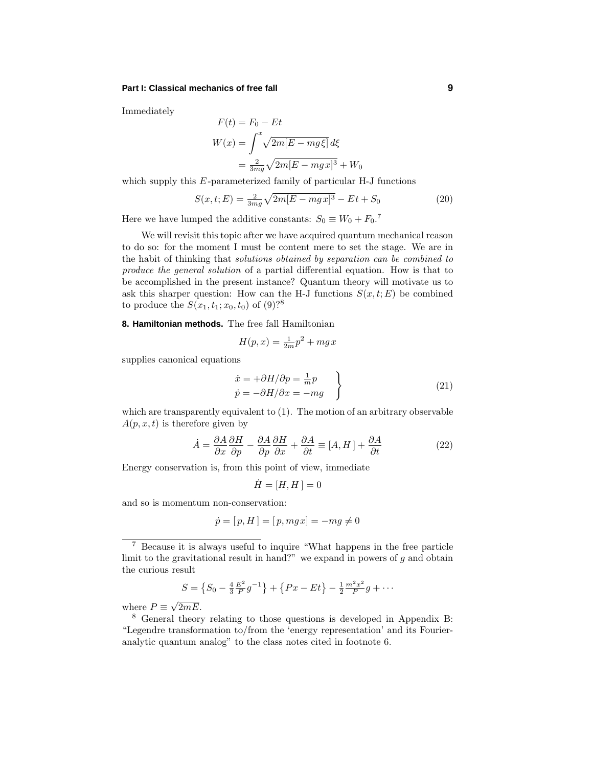Immediately

$$
F(t) = F_0 - Et
$$
  

$$
W(x) = \int^x \sqrt{2m[E - mg\xi]} d\xi
$$
  

$$
= \frac{2}{3mg}\sqrt{2m[E - mgx]^3} + W_0
$$

which supply this *E*-parameterized family of particular H-J functions

$$
S(x, t; E) = \frac{2}{3mg} \sqrt{2m[E - mgx]^3} - Et + S_0
$$
 (20)

Here we have lumped the additive constants:  $S_0 \equiv W_0 + F_0$ .<sup>7</sup>

We will revisit this topic after we have acquired quantum mechanical reason to do so: for the moment I must be content mere to set the stage. We are in the habit of thinking that solutions obtained by separation can be combined to produce the general solution of a partial differential equation. How is that to be accomplished in the present instance? Quantum theory will motivate us to ask this sharper question: How can the H-J functions  $S(x, t; E)$  be combined to produce the  $S(x_1, t_1; x_0, t_0)$  of  $(9)$ ?<sup>8</sup>

**8. Hamiltonian methods.** The free fall Hamiltonian

$$
H(p,x) = \frac{1}{2m}p^2 + mgx
$$

supplies canonical equations

$$
\begin{aligned}\n\dot{x} &= +\partial H/\partial p = \frac{1}{m}p \\
\dot{p} &= -\partial H/\partial x = -mg\n\end{aligned}
$$
\n(21)

which are transparently equivalent to (1). The motion of an arbitrary observable  $A(p, x, t)$  is therefore given by

$$
\dot{A} = \frac{\partial A}{\partial x}\frac{\partial H}{\partial p} - \frac{\partial A}{\partial p}\frac{\partial H}{\partial x} + \frac{\partial A}{\partial t} \equiv [A, H] + \frac{\partial A}{\partial t}
$$
(22)

Energy conservation is, from this point of view, immediate

$$
\dot{H} = [H, H] = 0
$$

and so is momentum non-conservation:

$$
\dot{p} = [p, H] = [p, mgx] = -mg \neq 0
$$

$$
S = \left\{ S_0 - \frac{4}{3} \frac{E^2}{P} g^{-1} \right\} + \left\{ Px - Et \right\} - \frac{1}{2} \frac{m^2 x^2}{P} g + \cdots
$$

where  $P \equiv \sqrt{2mE}$ .

<sup>7</sup> Because it is always useful to inquire "What happens in the free particle limit to the gravitational result in hand?" we expand in powers of *g* and obtain the curious result

<sup>8</sup> General theory relating to those questions is developed in Appendix B: "Legendre transformation to/from the 'energy representation' and its Fourieranalytic quantum analog" to the class notes cited in footnote 6.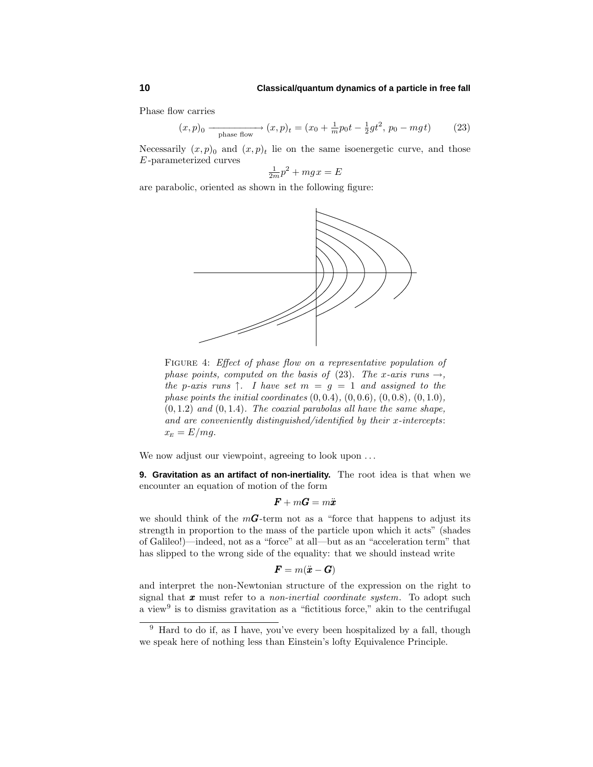Phase flow carries

$$
(x,p)_0 \xrightarrow{\text{phase flow}} (x,p)_t = (x_0 + \frac{1}{m}p_0t - \frac{1}{2}gt^2, p_0 - mgt)
$$
 (23)

Necessarily  $(x, p)$ <sub>0</sub> and  $(x, p)$ <sub>t</sub> lie on the same isoenergetic curve, and those *E* -parameterized curves

$$
\frac{1}{2m}p^2 + mgx = E
$$

are parabolic, oriented as shown in the following figure:



FIGURE 4: Effect of phase flow on a representative population of phase points, computed on the basis of (23). The *x*-axis runs  $\rightarrow$ , the *p*-axis runs  $\uparrow$ . I have set  $m = g = 1$  and assigned to the phase points the initial coordinates (0*,* 0*.*4), (0*,* 0*.*6), (0*,* 0*.*8), (0*,* 1*.*0),  $(0, 1.2)$  and  $(0, 1.4)$ . The coaxial parabolas all have the same shape, and are conveniently distinguished/identified by their *x*-intercepts:  $x_E = E/mg$ .

We now adjust our viewpoint, agreeing to look upon *...*

**9. Gravitation as an artifact of non-inertiality.** The root idea is that when we encounter an equation of motion of the form

$$
\bm{F}+m\bm{G}=m\ddot{\bm{x}}
$$

we should think of the  $m\mathbf{G}$ -term not as a "force that happens to adjust its strength in proportion to the mass of the particle upon which it acts" (shades of Galileo!)—indeed, not as a "force" at all—but as an "acceleration term" that has slipped to the wrong side of the equality: that we should instead write

$$
\boldsymbol{F} = m(\ddot{\boldsymbol{x}} - \boldsymbol{G})
$$

and interpret the non-Newtonian structure of the expression on the right to signal that *x* must refer to a non-inertial coordinate system. To adopt such a view<sup>9</sup> is to dismiss gravitation as a "fictitious force," akin to the centrifugal

 $9$  Hard to do if, as I have, you've every been hospitalized by a fall, though we speak here of nothing less than Einstein's lofty Equivalence Principle.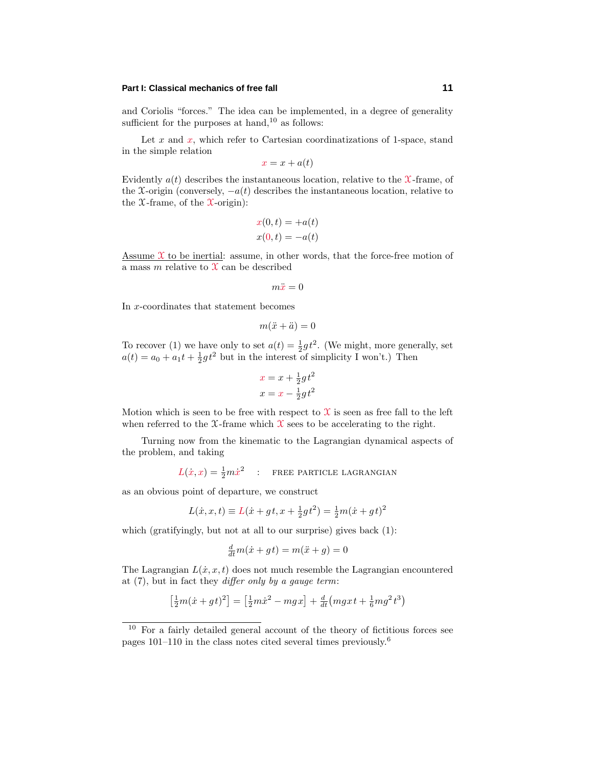and Coriolis "forces." The idea can be implemented, in a degree of generality sufficient for the purposes at hand, $10$  as follows:

Let  $x$  and  $x$ , which refer to Cartesian coordinatizations of 1-space, stand in the simple relation

 $x = x + a(t)$ 

Evidently  $a(t)$  describes the instantaneous location, relative to the  $\mathcal{X}\text{-frame}$ , of the X-origin (conversely,  $-a(t)$ ) describes the instantaneous location, relative to the  $\mathfrak X$ -frame, of the  $\mathfrak X$ -origin):

$$
x(0,t) = +a(t)
$$
  

$$
x(0,t) = -a(t)
$$

Assume  $\mathfrak X$  to be inertial: assume, in other words, that the force-free motion of a mass  $m$  relative to  $\mathfrak X$  can be described

 $m\ddot{x}=0$ 

In *x*-coordinates that statement becomes

$$
m(\ddot{x} + \ddot{a}) = 0
$$

To recover (1) we have only to set  $a(t) = \frac{1}{2}gt^2$ . (We might, more generally, set  $a(t) = a_0 + a_1 t + \frac{1}{2} g t^2$  but in the interest of simplicity I won't.) Then

$$
x = x + \frac{1}{2}gt^2
$$

$$
x = x - \frac{1}{2}gt^2
$$

Motion which is seen to be free with respect to  $\mathfrak X$  is seen as free fall to the left when referred to the  $\mathfrak{X}$ -frame which  $\mathfrak{X}$  sees to be accelerating to the right.

Turning now from the kinematic to the Lagrangian dynamical aspects of the problem, and taking

 $L(x, x) = \frac{1}{2}m\dot{x}^2$  : FREE PARTICLE LAGRANGIAN

as an obvious point of departure, we construct

$$
L(\dot{x}, x, t) \equiv L(\dot{x} + gt, x + \frac{1}{2}gt^2) = \frac{1}{2}m(\dot{x} + gt)^2
$$

which (gratifyingly, but not at all to our surprise) gives back (1):

$$
\frac{d}{dt}m(\dot{x} + gt) = m(\ddot{x} + g) = 0
$$

The Lagrangian  $L(x, x, t)$  does not much resemble the Lagrangian encountered at  $(7)$ , but in fact they *differ only by a gauge term*:

$$
\left[\frac{1}{2}m(\dot{x}+gt)^2\right] = \left[\frac{1}{2}m\dot{x}^2 - mgx\right] + \frac{d}{dt}\left(mgxt + \frac{1}{6}mg^2t^3\right)
$$

 $10$  For a fairly detailed general account of the theory of fictitious forces see pages 101–110 in the class notes cited several times previously.<sup>6</sup>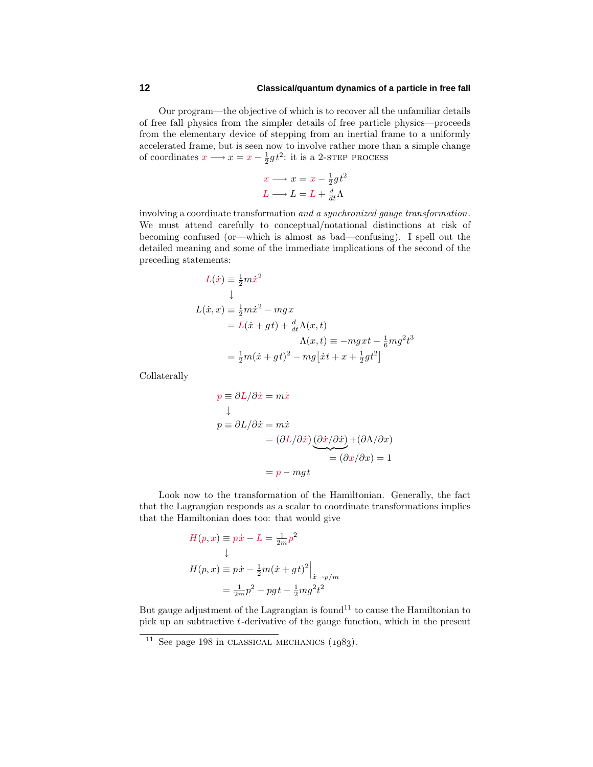## **12 Classical/quantum dynamics of a particle in free fall**

Our program—the objective of which is to recover all the unfamiliar details of free fall physics from the simpler details of free particle physics—proceeds from the elementary device of stepping from an inertial frame to a uniformly accelerated frame, but is seen now to involve rather more than a simple change of coordinates  $x \longrightarrow x = x - \frac{1}{2}gt^2$ : it is a 2-step process

$$
x \longrightarrow x = x - \frac{1}{2}gt^2
$$

$$
L \longrightarrow L = L + \frac{d}{dt}\Lambda
$$

involving a coordinate transformation and a synchronized gauge transformation. We must attend carefully to conceptual/notational distinctions at risk of becoming confused (or—which is almost as bad—confusing). I spell out the detailed meaning and some of the immediate implications of the second of the preceding statements:

$$
L(\dot{x}) \equiv \frac{1}{2}m\dot{x}^2
$$
  
\n
$$
\downarrow
$$
  
\n
$$
L(\dot{x}, x) \equiv \frac{1}{2}m\dot{x}^2 - mgx
$$
  
\n
$$
= L(\dot{x} + gt) + \frac{d}{dt}\Lambda(x, t)
$$
  
\n
$$
\Lambda(x, t) \equiv -mgxt - \frac{1}{6}mg^2t^3
$$
  
\n
$$
= \frac{1}{2}m(\dot{x} + gt)^2 - mg[\dot{x}t + x + \frac{1}{2}gt^2]
$$

Collaterally

$$
p \equiv \partial L/\partial \dot{x} = m\dot{x}
$$
  
\n
$$
\downarrow
$$
  
\n
$$
p \equiv \partial L/\partial \dot{x} = m\dot{x}
$$
  
\n
$$
= (\partial L/\partial \dot{x}) \underbrace{(\partial \dot{x}/\partial \dot{x})}_{\text{}} + (\partial \Lambda/\partial x)
$$
  
\n
$$
= (\partial x/\partial x) = 1
$$
  
\n
$$
= p - mgt
$$

Look now to the transformation of the Hamiltonian. Generally, the fact that the Lagrangian responds as a scalar to coordinate transformations implies that the Hamiltonian does too: that would give

$$
H(p, x) \equiv p\dot{x} - L = \frac{1}{2m}p^2
$$
  
\n
$$
\downarrow
$$
  
\n
$$
H(p, x) \equiv p\dot{x} - \frac{1}{2}m(\dot{x} + gt)^2 \Big|_{\dot{x} \to p/m}
$$
  
\n
$$
= \frac{1}{2m}p^2 - pgt - \frac{1}{2}mg^2t^2
$$

But gauge adjustment of the Lagrangian is found<sup>11</sup> to cause the Hamiltonian to pick up an subtractive *t*-derivative of the gauge function, which in the present

 $\overline{11}$  See page 198 in CLASSICAL MECHANICS (1983).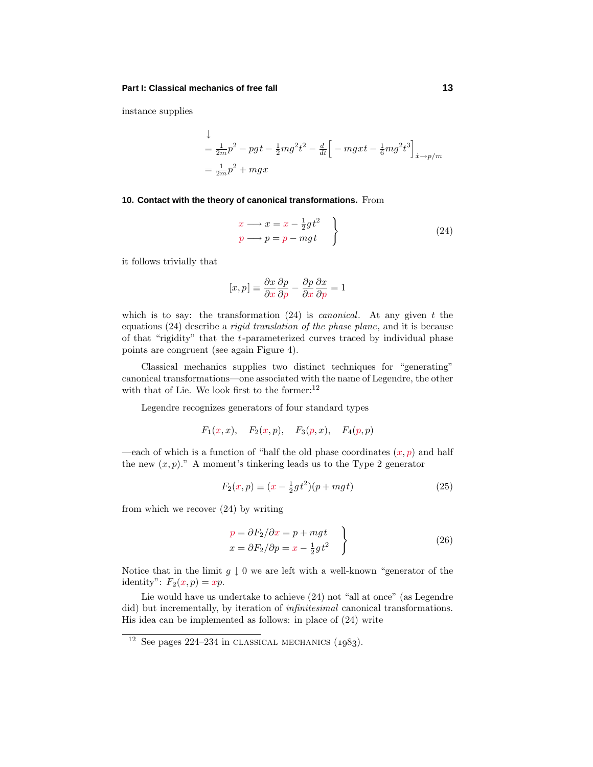instance supplies

$$
\downarrow
$$
\n
$$
= \frac{1}{2m}p^{2} - pg + \frac{1}{2}mg^{2}t^{2} - \frac{d}{dt}\left[-mgxt - \frac{1}{6}mg^{2}t^{3}\right]_{x \to p/m}
$$
\n
$$
= \frac{1}{2m}p^{2} + mgx
$$

#### **10. Contact with the theory of canonical transformations.** From

$$
\begin{aligned}\nx &\longrightarrow x = x - \frac{1}{2}gt^2 \\
p &\longrightarrow p = p - mgt\n\end{aligned}
$$
\n(24)

it follows trivially that

$$
[x,p] \equiv \frac{\partial x}{\partial x} \frac{\partial p}{\partial p} - \frac{\partial p}{\partial x} \frac{\partial x}{\partial p} = 1
$$

which is to say: the transformation (24) is canonical. At any given *t* the equations (24) describe a rigid translation of the phase plane, and it is because of that "rigidity" that the *t*-parameterized curves traced by individual phase points are congruent (see again Figure 4).

Classical mechanics supplies two distinct techniques for "generating" canonical transformations—one associated with the name of Legendre, the other with that of Lie. We look first to the former: $^{12}$ 

Legendre recognizes generators of four standard types

$$
F_1(x, x), F_2(x, p), F_3(p, x), F_4(p, p)
$$

—each of which is a function of "half the old phase coordinates  $(x, p)$  and half the new  $(x, p)$ ." A moment's tinkering leads us to the Type 2 generator

$$
F_2(x, p) \equiv (x - \frac{1}{2}gt^2)(p + mgt)
$$
 (25)

from which we recover (24) by writing

$$
p = \partial F_2 / \partial x = p + mgt
$$
  
\n
$$
x = \partial F_2 / \partial p = x - \frac{1}{2}gt^2
$$
\n(26)

Notice that in the limit  $g \downarrow 0$  we are left with a well-known "generator of the identity":  $F_2(x, p) = xp$ .

Lie would have us undertake to achieve (24) not "all at once" (as Legendre did) but incrementally, by iteration of *infinitesimal* canonical transformations. His idea can be implemented as follows: in place of (24) write

 $\frac{12 \text{ See}}{12 \text{ See}}$  pages 224–234 in CLASSICAL MECHANICS  $(1983)$ .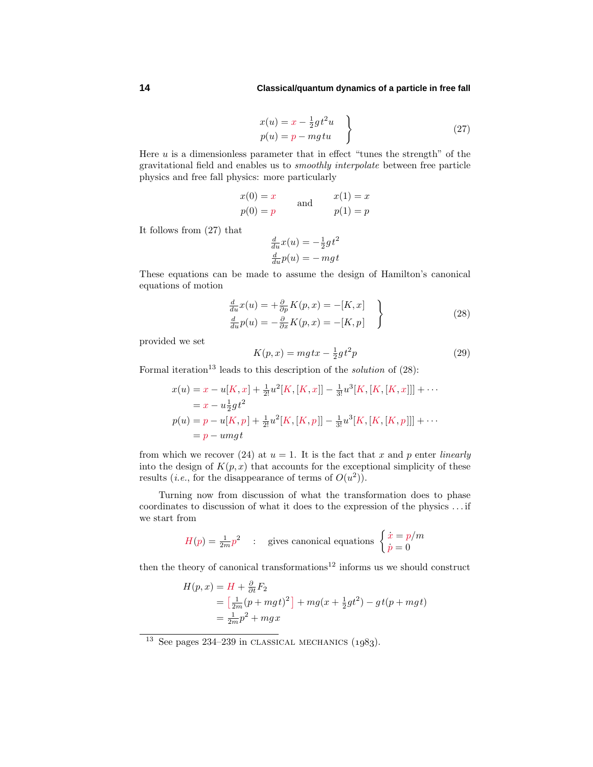## **14 Classical/quantum dynamics of a particle in free fall**

$$
x(u) = x - \frac{1}{2}gt^2u
$$
  
\n
$$
p(u) = p - mgtu
$$
\n(27)

Here *u* is a dimensionless parameter that in effect "tunes the strength" of the gravitational field and enables us to smoothly interpolate between free particle physics and free fall physics: more particularly

$$
x(0) = x
$$
  
\n
$$
p(0) = p
$$
 and 
$$
x(1) = x
$$
  
\n
$$
p(1) = p
$$

It follows from (27) that

$$
\frac{d}{du}x(u) = -\frac{1}{2}gt^2
$$

$$
\frac{d}{du}p(u) = -mgt
$$

These equations can be made to assume the design of Hamilton's canonical equations of motion

$$
\frac{d}{du}x(u) = +\frac{\partial}{\partial p}K(p, x) = -[K, x] \n\frac{d}{du}p(u) = -\frac{\partial}{\partial x}K(p, x) = -[K, p]
$$
\n(28)

provided we set

$$
K(p,x) = mg\,tx - \frac{1}{2}gt^2p\tag{29}
$$

Formal iteration<sup>13</sup> leads to this description of the *solution* of  $(28)$ :

$$
x(u) = x - u[K, x] + \frac{1}{2!}u^2[K, [K, x]] - \frac{1}{3!}u^3[K, [K, [K, x]]] + \cdots
$$
  
=  $x - u\frac{1}{2}gt^2$   

$$
p(u) = p - u[K, p] + \frac{1}{2!}u^2[K, [K, p]] - \frac{1}{3!}u^3[K, [K, [K, p]]] + \cdots
$$
  
=  $p - umgt$ 

from which we recover (24) at  $u = 1$ . It is the fact that x and p enter *linearly* into the design of  $K(p, x)$  that accounts for the exceptional simplicity of these results (*i.e.*, for the disappearance of terms of  $O(u^2)$ ).

Turning now from discussion of what the transformation does to phase coordinates to discussion of what it does to the expression of the physics *...* if we start from

$$
H(p) = \frac{1}{2m}p^2
$$
: gives canonical equations 
$$
\begin{cases} \dot{x} = p/m\\ \dot{p} = 0 \end{cases}
$$

then the theory of canonical transformations<sup>12</sup> informs us we should construct

$$
H(p,x) = H + \frac{\partial}{\partial t} F_2
$$
  
=  $\left[\frac{1}{2m}(p + mgt)^2\right] + mg(x + \frac{1}{2}gt^2) - gt(p + mgt)$   
=  $\frac{1}{2m}p^2 + mgx$ 

<sup>&</sup>lt;sup>13</sup> See pages 234–239 in CLASSICAL MECHANICS  $(1083)$ .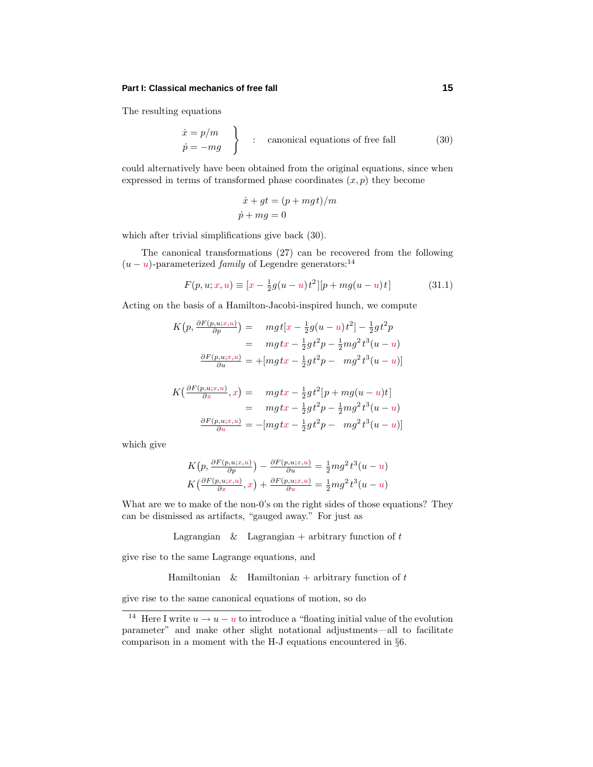The resulting equations

$$
\begin{aligned}\n\dot{x} &= p/m \\
\dot{p} &= -mg\n\end{aligned}\n\bigg\} \quad : \quad \text{canonical equations of free fall} \tag{30}
$$

could alternatively have been obtained from the original equations, since when expressed in terms of transformed phase coordinates  $(x, p)$  they become

$$
\dot{x} + gt = (p + mgt)/m
$$
  

$$
\dot{p} + mg = 0
$$

which after trivial simplifications give back (30).

The canonical transformations (27) can be recovered from the following  $(u - u)$ -parameterized *family* of Legendre generators:<sup>14</sup>

$$
F(p, u; x, u) \equiv [x - \frac{1}{2}g(u - u)t^{2}][p + mg(u - u)t]
$$
 (31.1)

Acting on the basis of a Hamilton-Jacobi-inspired hunch, we compute

$$
K(p, \frac{\partial F(p, u; x, u)}{\partial p}) = mgt[x - \frac{1}{2}g(u - u)t^2] - \frac{1}{2}gt^2p
$$
  
= 
$$
mgtx - \frac{1}{2}gt^2p - \frac{1}{2}mg^2t^3(u - u)
$$
  

$$
\frac{\partial F(p, u; x, u)}{\partial u} = + [mgtx - \frac{1}{2}gt^2p - mg^2t^3(u - u)]
$$

$$
K\left(\frac{\partial F(p, u; x, u)}{\partial x}, x\right) = mgtx - \frac{1}{2}gt^2[p + mg(u - u)t]
$$
  
= 
$$
mgtx - \frac{1}{2}gt^2p - \frac{1}{2}mg^2t^3(u - u)
$$
  

$$
\frac{\partial F(p, u; x, u)}{\partial u} = -[mgtx - \frac{1}{2}gt^2p - mg^2t^3(u - u)]
$$

which give

$$
K(p, \frac{\partial F(p, u; x, u)}{\partial p}) - \frac{\partial F(p, u; x, u)}{\partial u} = \frac{1}{2} m g^2 t^3 (u - u)
$$
  

$$
K(\frac{\partial F(p, u; x, u)}{\partial x}, x) + \frac{\partial F(p, u; x, u)}{\partial u} = \frac{1}{2} m g^2 t^3 (u - u)
$$

What are we to make of the non-0's on the right sides of those equations? They can be dismissed as artifacts, "gauged away." For just as

Lagrangian  $\&$  Lagrangian + arbitrary function of  $t$ 

give rise to the same Lagrange equations, and

Hamiltonian & Hamiltonian + arbitrary function of *t*

give rise to the same canonical equations of motion, so do

<sup>&</sup>lt;sup>14</sup> Here I write  $u \to u - u$  to introduce a "floating initial value of the evolution parameter" and make other slight notational adjustments—all to facilitate comparison in a moment with the H-J equations encountered in §6.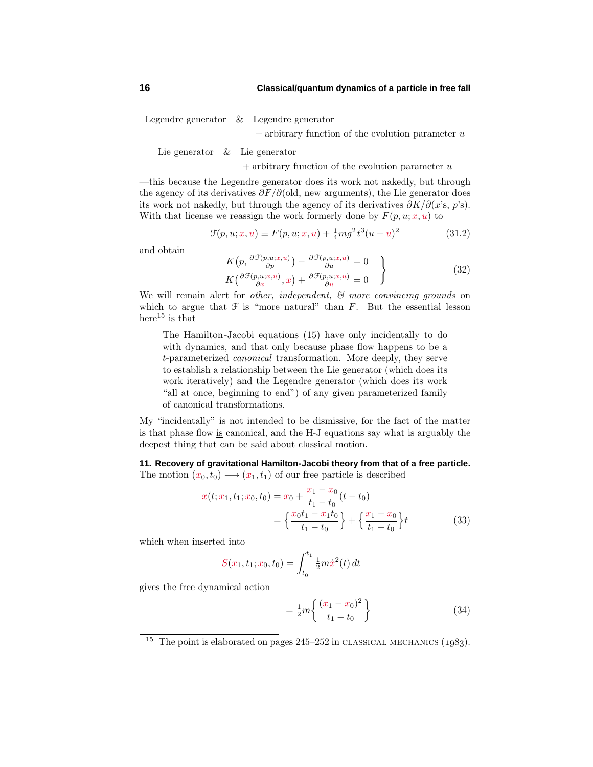Legendre generator & Legendre generator

+ arbitrary function of the evolution parameter *u*

Lie generator & Lie generator

+ arbitrary function of the evolution parameter *u*

—this because the Legendre generator does its work not nakedly, but through the agency of its derivatives *∂F/∂*(old, new arguments), the Lie generator does its work not nakedly, but through the agency of its derivatives *∂K/∂*(*x*'s, *p*'s). With that license we reassign the work formerly done by  $F(p, u; x, u)$  to

$$
\mathcal{F}(p, u; x, u) \equiv F(p, u; x, u) + \frac{1}{4} m g^2 t^3 (u - u)^2 \tag{31.2}
$$

and obtain

$$
K\left(p, \frac{\partial \mathcal{F}(p, u; x, u)}{\partial p}\right) - \frac{\partial \mathcal{F}(p, u; x, u)}{\partial u} = 0
$$
  

$$
K\left(\frac{\partial \mathcal{F}(p, u; x, u)}{\partial x}, x\right) + \frac{\partial \mathcal{F}(p, u; x, u)}{\partial u} = 0
$$
 (32)

We will remain alert for *other, independent,*  $\mathcal{C}$  *more convincing grounds* on which to argue that  $\mathcal F$  is "more natural" than  $F$ . But the essential lesson here<sup>15</sup> is that

The Hamilton-Jacobi equations (15) have only incidentally to do with dynamics, and that only because phase flow happens to be a *t*-parameterized canonical transformation. More deeply, they serve to establish a relationship between the Lie generator (which does its work iteratively) and the Legendre generator (which does its work "all at once, beginning to end") of any given parameterized family of canonical transformations.

My "incidentally" is not intended to be dismissive, for the fact of the matter is that phase flow is canonical, and the H-J equations say what is arguably the deepest thing that can be said about classical motion.

**11. Recovery of gravitational Hamilton-Jacobi theory from that of a free particle.** The motion  $(x_0, t_0) \longrightarrow (x_1, t_1)$  of our free particle is described

$$
x(t; x_1, t_1; x_0, t_0) = x_0 + \frac{x_1 - x_0}{t_1 - t_0} (t - t_0)
$$
  
= 
$$
\left\{ \frac{x_0 t_1 - x_1 t_0}{t_1 - t_0} \right\} + \left\{ \frac{x_1 - x_0}{t_1 - t_0} \right\} t
$$
(33)

which when inserted into

$$
S(x_1, t_1; x_0, t_0) = \int_{t_0}^{t_1} \frac{1}{2} m \dot{x}^2(t) dt
$$

gives the free dynamical action

$$
= \frac{1}{2}m\left\{\frac{(x_1 - x_0)^2}{t_1 - t_0}\right\} \tag{34}
$$

<sup>&</sup>lt;sup>15</sup> The point is elaborated on pages  $245-252$  in CLASSICAL MECHANICS  $(1983)$ .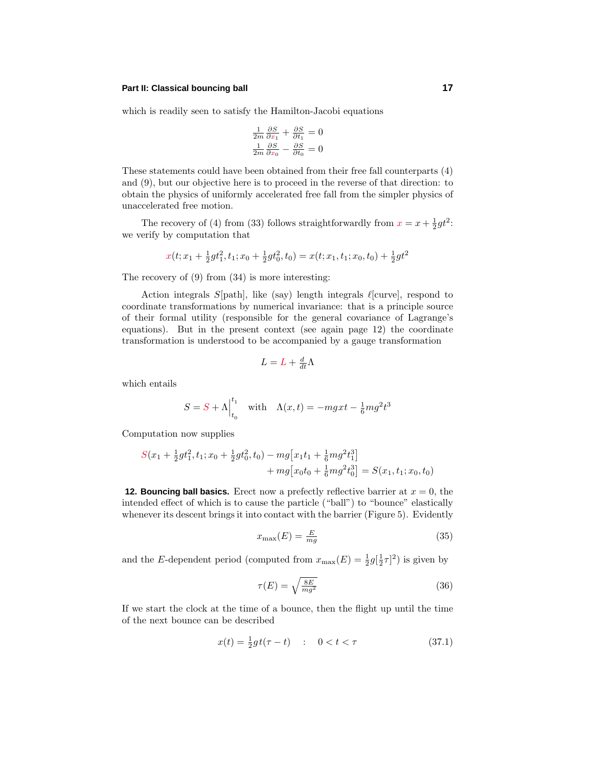## **Part II: Classical bouncing ball 17**

which is readily seen to satisfy the Hamilton-Jacobi equations

$$
\frac{1}{2m}\frac{\partial S}{\partial x_1} + \frac{\partial S}{\partial t_1} = 0
$$

$$
\frac{1}{2m}\frac{\partial S}{\partial x_0} - \frac{\partial S}{\partial t_0} = 0
$$

These statements could have been obtained from their free fall counterparts (4) and (9), but our objective here is to proceed in the reverse of that direction: to obtain the physics of uniformly accelerated free fall from the simpler physics of unaccelerated free motion.

The recovery of (4) from (33) follows straightforwardly from  $x = x + \frac{1}{2}gt^2$ : we verify by computation that

$$
x(t; x_1 + \frac{1}{2}gt_1^2, t_1; x_0 + \frac{1}{2}gt_0^2, t_0) = x(t; x_1, t_1; x_0, t_0) + \frac{1}{2}gt^2
$$

The recovery of  $(9)$  from  $(34)$  is more interesting:

Action integrals  $S[\text{path}]$ , like (say) length integrals  $\ell[\text{curve}]$ , respond to coordinate transformations by numerical invariance: that is a principle source of their formal utility (responsible for the general covariance of Lagrange's equations). But in the present context (see again page 12) the coordinate transformation is understood to be accompanied by a gauge transformation

$$
L = L + \frac{d}{dt}\Lambda
$$

which entails

$$
S = S + \Lambda \Big|_{t_0}^{t_1} \quad \text{with} \quad \Lambda(x, t) = -mgxt - \frac{1}{6}mg^2t^3
$$

Computation now supplies

$$
S(x_1 + \frac{1}{2}gt_1^2, t_1; x_0 + \frac{1}{2}gt_0^2, t_0) - mg[x_1t_1 + \frac{1}{6}mg^2t_1^3] + mg[x_0t_0 + \frac{1}{6}mg^2t_0^3] = S(x_1, t_1; x_0, t_0)
$$

**12. Bouncing ball basics.** Erect now a prefectly reflective barrier at  $x = 0$ , the intended effect of which is to cause the particle ("ball") to "bounce" elastically whenever its descent brings it into contact with the barrier (Figure 5). Evidently

$$
x_{\text{max}}(E) = \frac{E}{mg} \tag{35}
$$

and the *E*-dependent period (computed from  $x_{\text{max}}(E) = \frac{1}{2}g(\frac{1}{2}\tau)^2$ ) is given by

$$
\tau(E) = \sqrt{\frac{8E}{mg^2}}\tag{36}
$$

If we start the clock at the time of a bounce, then the flight up until the time of the next bounce can be described

$$
x(t) = \frac{1}{2}gt(\tau - t) \quad : \quad 0 < t < \tau \tag{37.1}
$$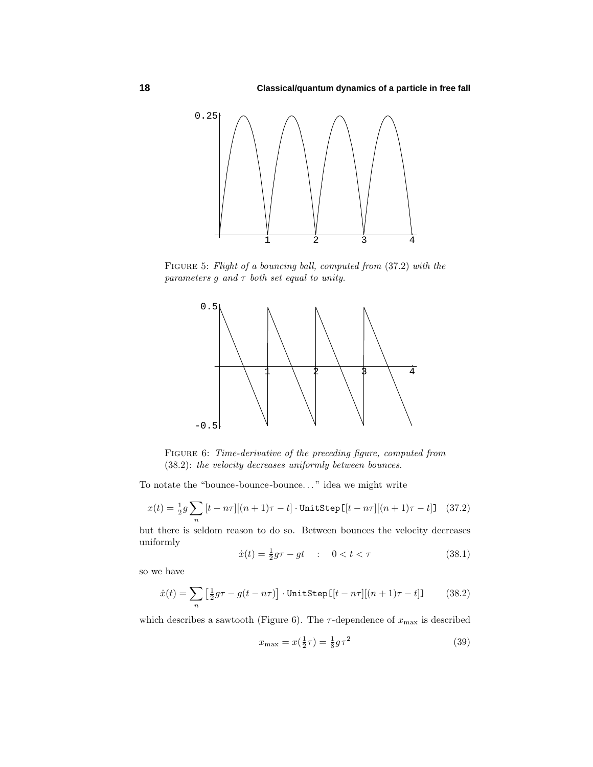

Figure 5: Flight of a bouncing ball, computed from (37.2) with the parameters  $g$  and  $\tau$  both set equal to unity.



Figure 6: Time-derivative of the preceding figure, computed from (38.2): the velocity decreases uniformly between bounces.

To notate the "bounce-bounce-bounce*...* " idea we might write

$$
x(t) = \frac{1}{2}g\sum_{n}[t - n\tau][(n+1)\tau - t] \cdot \text{UnitStep}[[t - n\tau][(n+1)\tau - t]] \quad (37.2)
$$

but there is seldom reason to do so. Between bounces the velocity decreases uniformly

$$
\dot{x}(t) = \frac{1}{2}g\tau - gt \quad : \quad 0 < t < \tau \tag{38.1}
$$

so we have

$$
\dot{x}(t) = \sum_{n} \left[ \frac{1}{2} g\tau - g(t - n\tau) \right] \cdot \text{UnitStep} \left[ \left[ t - n\tau \right] \right] \left[ (n+1)\tau - t \right] \tag{38.2}
$$

which describes a sawtooth (Figure 6). The  $\tau$ -dependence of  $x_{\text{max}}$  is described

$$
x_{\text{max}} = x(\frac{1}{2}\tau) = \frac{1}{8}g\tau^2
$$
\n(39)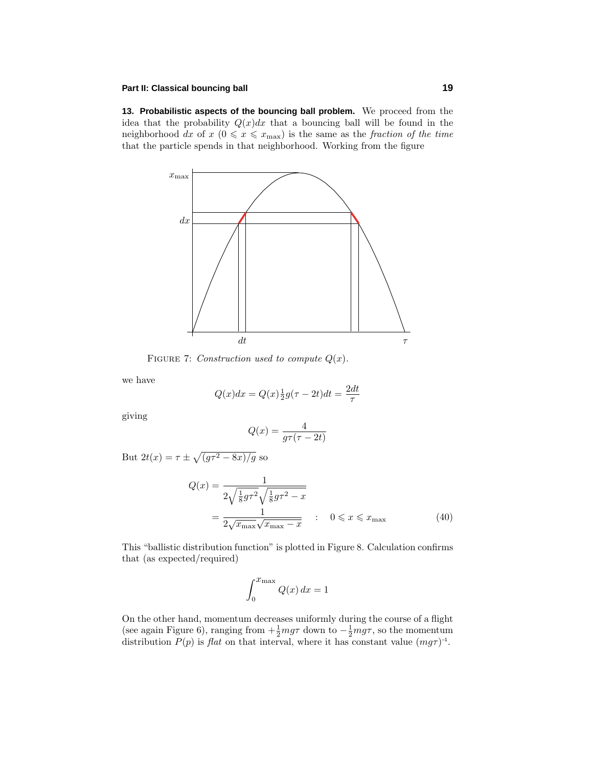#### **Part II: Classical bouncing ball 19**

**13. Probabilistic aspects of the bouncing ball problem.** We proceed from the idea that the probability  $Q(x)dx$  that a bouncing ball will be found in the neighborhood dx of  $x \ (0 \leq x \leq x_{\text{max}})$  is the same as the fraction of the time that the particle spends in that neighborhood. Working from the figure



FIGURE 7: Construction used to compute  $Q(x)$ .

we have

$$
Q(x)dx = Q(x)\frac{1}{2}g(\tau - 2t)dt = \frac{2dt}{\tau}
$$

giving

$$
Q(x) = \frac{4}{g\tau(\tau - 2t)}
$$

But  $2t(x) = \tau \pm \sqrt{(g\tau^2 - 8x)/g}$  so

$$
Q(x) = \frac{1}{2\sqrt{\frac{1}{8}g\tau^2}\sqrt{\frac{1}{8}g\tau^2 - x}}
$$
  
= 
$$
\frac{1}{2\sqrt{x_{\text{max}}}\sqrt{x_{\text{max}} - x}}
$$
 :  $0 \le x \le x_{\text{max}}$  (40)

This "ballistic distribution function" is plotted in Figure 8. Calculation confirms that (as expected/required)

$$
\int_0^{\mathcal{X}_{\text{max}}} Q(x) \, dx = 1
$$

On the other hand, momentum decreases uniformly during the course of a flight (see again Figure 6), ranging from  $+\frac{1}{2}mg\tau$  down to  $-\frac{1}{2}mg\tau$ , so the momentum distribution  $P(p)$  is *flat* on that interval, where it has constant value  $(mg\tau)^{-1}$ .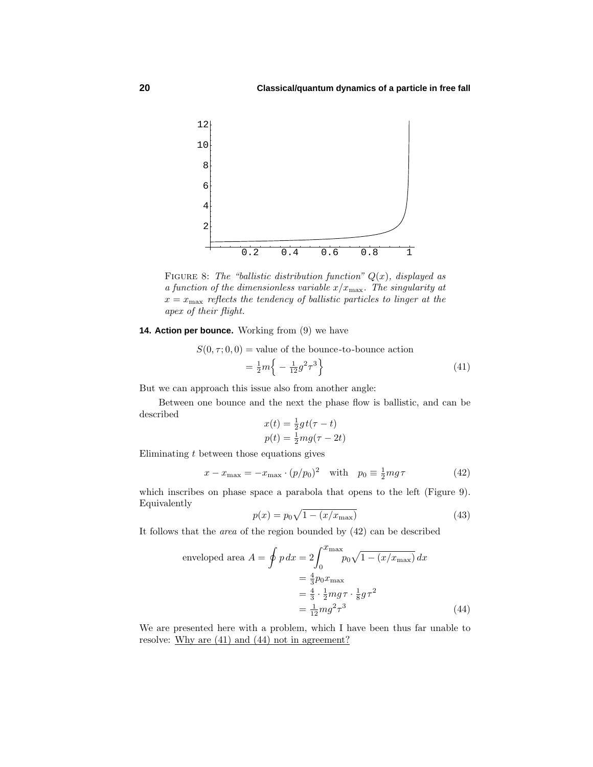

FIGURE 8: The "ballistic distribution function"  $Q(x)$ , displayed as a function of the dimensionless variable  $x/x_{\text{max}}$ . The singularity at  $x = x_{\text{max}}$  reflects the tendency of ballistic particles to linger at the apex of their flight.

**14. Action per bounce.** Working from (9) we have

 $S(0, \tau; 0, 0)$  = value of the bounce-to-bounce action

$$
= \frac{1}{2}m\left\{-\frac{1}{12}g^2\tau^3\right\} \tag{41}
$$

But we can approach this issue also from another angle:

Between one bounce and the next the phase flow is ballistic, and can be described

$$
x(t) = \frac{1}{2}gt(\tau - t)
$$

$$
p(t) = \frac{1}{2}mg(\tau - 2t)
$$

Eliminating *t* between those equations gives

$$
x - x_{\text{max}} = -x_{\text{max}} \cdot (p/p_0)^2 \quad \text{with} \quad p_0 \equiv \frac{1}{2} mg\tau \tag{42}
$$

which inscribes on phase space a parabola that opens to the left (Figure 9). Equivalently

$$
p(x) = p_0 \sqrt{1 - (x/x_{\text{max}})}
$$
\n(43)

It follows that the *area* of the region bounded by  $(42)$  can be described

enveloped area 
$$
A = \oint p dx = 2 \int_0^{x_{\text{max}}} p_0 \sqrt{1 - (x/x_{\text{max}})} dx
$$
  
\n
$$
= \frac{4}{3} p_0 x_{\text{max}}
$$
\n
$$
= \frac{4}{3} \cdot \frac{1}{2} m g \tau \cdot \frac{1}{8} g \tau^2
$$
\n
$$
= \frac{1}{12} m g^2 \tau^3
$$
\n(44)

We are presented here with a problem, which I have been thus far unable to resolve: Why are  $(41)$  and  $(44)$  not in agreement?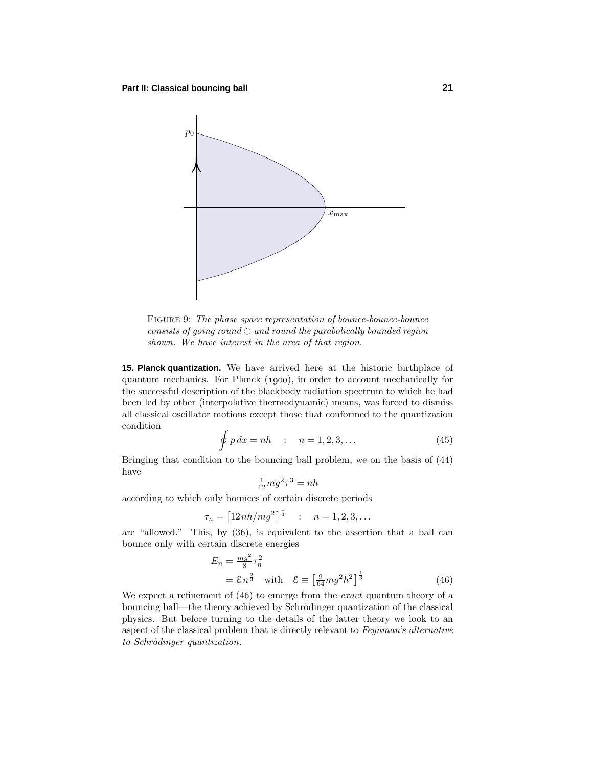

FIGURE 9: The phase space representation of bounce-bounce-bounce  $consists$  of going round  $\Diamond$  and round the parabolically bounded region shown. We have interest in the area of that region.

**15. Planck quantization.** We have arrived here at the historic birthplace of quantum mechanics. For Planck (1900), in order to account mechanically for the successful description of the blackbody radiation spectrum to which he had been led by other (interpolative thermodynamic) means, was forced to dismiss all classical oscillator motions except those that conformed to the quantization condition

$$
\oint p\,dx = nh \qquad : \quad n = 1, 2, 3, \dots \tag{45}
$$

Bringing that condition to the bouncing ball problem, we on the basis of (44) have

$$
\frac{1}{12}mg^2\tau^3 = nh
$$

according to which only bounces of certain discrete periods

$$
\tau_n = \left[12nh/mg^2\right]^{\frac{1}{3}} \quad : \quad n = 1, 2, 3, \dots
$$

are "allowed." This, by (36), is equivalent to the assertion that a ball can bounce only with certain discrete energies

$$
E_n = \frac{mg^2}{8}\tau_n^2
$$
  
=  $\mathcal{E} n^{\frac{2}{3}}$  with  $\mathcal{E} \equiv \left[\frac{9}{64}mg^2h^2\right]^{\frac{1}{3}}$  (46)

We expect a refinement of  $(46)$  to emerge from the *exact* quantum theory of a bouncing ball—the theory achieved by Schrödinger quantization of the classical physics. But before turning to the details of the latter theory we look to an aspect of the classical problem that is directly relevant to Feynman's alternative to Schrödinger quantization.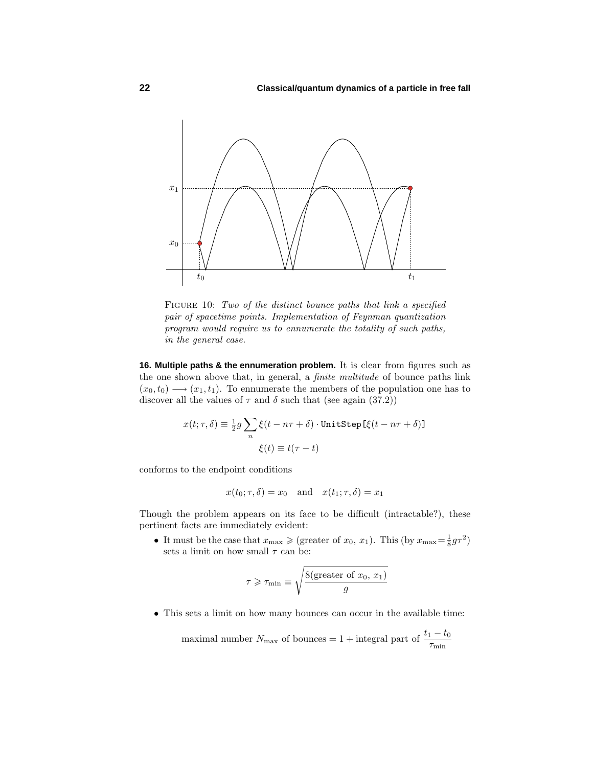

FIGURE 10: Two of the distinct bounce paths that link a specified pair of spacetime points. Implementation of Feynman quantization program would require us to ennumerate the totality of such paths, in the general case.

**16. Multiple paths & the ennumeration problem.** It is clear from figures such as the one shown above that, in general, a finite multitude of bounce paths link  $(x_0, t_0) \longrightarrow (x_1, t_1)$ . To ennumerate the members of the population one has to discover all the values of  $\tau$  and  $\delta$  such that (see again (37.2))

$$
\begin{split} x(t;\tau,\delta) &\equiv \tfrac{1}{2}g\sum_{n}\xi(t-n\tau+\delta)\cdot\text{UnitStep}\left[\xi(t-n\tau+\delta)\right]\\ \xi(t) &\equiv t(\tau-t) \end{split}
$$

conforms to the endpoint conditions

$$
x(t_0; \tau, \delta) = x_0
$$
 and  $x(t_1; \tau, \delta) = x_1$ 

Though the problem appears on its face to be difficult (intractable?), these pertinent facts are immediately evident:

• It must be the case that  $x_{\text{max}} \geqslant (\text{greater of } x_0, x_1)$ . This (by  $x_{\text{max}} = \frac{1}{8} g \tau^2$ ) sets a limit on how small  $\tau$  can be:

$$
\tau \geqslant \tau_{\min} \equiv \sqrt{\frac{8(\text{greater of } x_0, x_1)}{g}}
$$

• This sets a limit on how many bounces can occur in the available time:

maximal number  $N_{\text{max}}$  of bounces = 1 + integral part of  $\frac{t_1 - t_0}{\tau_{\text{min}}}$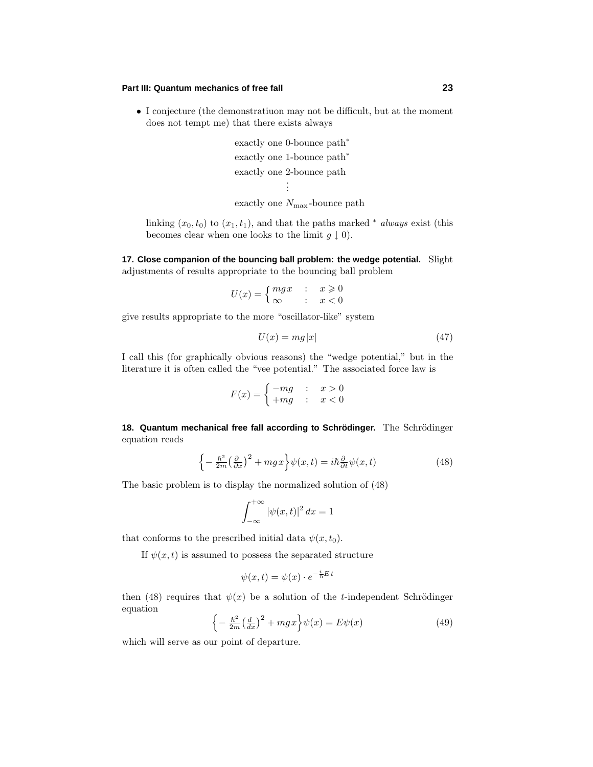## **Part III: Quantum mechanics of free fall 23**

• I conjecture (the demonstratiuon may not be difficult, but at the moment does not tempt me) that there exists always

```
exactly one 0-bounce path∗
exactly one 1-bounce path<sup>*</sup>
exactly one 2-bounce path
              .
              .
```
exactly one *N*max -bounce path

linking  $(x_0, t_0)$  to  $(x_1, t_1)$ , and that the paths marked <sup>\*</sup> always exist (this becomes clear when one looks to the limit  $g \downarrow 0$ .

**17. Close companion of the bouncing ball problem: the wedge potential.** Slight adjustments of results appropriate to the bouncing ball problem

$$
U(x) = \begin{cases} mgx & : x \geqslant 0\\ \infty & : x < 0 \end{cases}
$$

give results appropriate to the more "oscillator-like" system

$$
U(x) = mg|x| \tag{47}
$$

I call this (for graphically obvious reasons) the "wedge potential," but in the literature it is often called the "vee potential." The associated force law is

$$
F(x) = \begin{cases} -mg & : & x > 0 \\ +mg & : & x < 0 \end{cases}
$$

18. Quantum mechanical free fall according to Schrödinger. The Schrödinger equation reads

$$
\left\{-\frac{\hbar^2}{2m}\left(\frac{\partial}{\partial x}\right)^2 + mgx\right\}\psi(x,t) = i\hbar\frac{\partial}{\partial t}\psi(x,t)
$$
\n(48)

The basic problem is to display the normalized solution of (48)

$$
\int_{-\infty}^{+\infty} |\psi(x,t)|^2 dx = 1
$$

that conforms to the prescribed initial data  $\psi(x, t_0)$ .

If  $\psi(x,t)$  is assumed to possess the separated structure

$$
\psi(x,t) = \psi(x) \cdot e^{-\frac{i}{\hbar}E t}
$$

then (48) requires that  $\psi(x)$  be a solution of the *t*-independent Schrödinger equation

$$
\left\{-\frac{\hbar^2}{2m}\left(\frac{d}{dx}\right)^2 + mgx\right\}\psi(x) = E\psi(x) \tag{49}
$$

which will serve as our point of departure.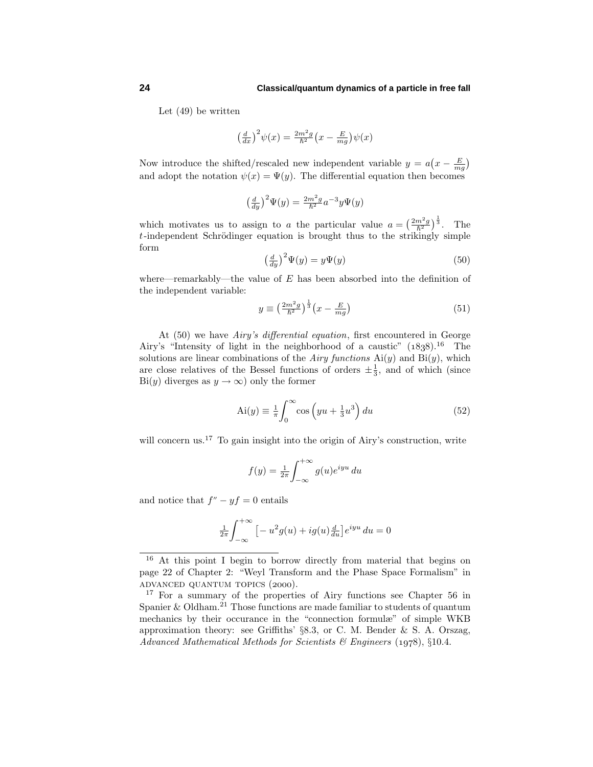#### **24 Classical/quantum dynamics of a particle in free fall**

Let  $(49)$  be written

$$
\left(\frac{d}{dx}\right)^2 \psi(x) = \frac{2m^2g}{\hbar^2} \left(x - \frac{E}{mg}\right) \psi(x)
$$

Now introduce the shifted/rescaled new independent variable  $y = a(x - \frac{E}{mg})$ and adopt the notation  $\psi(x) = \Psi(y)$ . The differential equation then becomes

$$
\left(\frac{d}{dy}\right)^2 \Psi(y) = \frac{2m^2g}{\hbar^2} a^{-3} y \Psi(y)
$$

which motivates us to assign to *a* the particular value  $a = \left(\frac{2m^2g}{\hbar^2}\right)^{\frac{1}{3}}$ . The  $t$ -independent Schrödinger equation is brought thus to the strikingly simple form

$$
\left(\frac{d}{dy}\right)^2 \Psi(y) = y\Psi(y) \tag{50}
$$

where—remarkably—the value of *E* has been absorbed into the definition of the independent variable:

$$
y \equiv \left(\frac{2m^2g}{\hbar^2}\right)^{\frac{1}{3}} \left(x - \frac{E}{mg}\right) \tag{51}
$$

At  $(50)$  we have *Airy's differential equation*, first encountered in George Airy's "Intensity of light in the neighborhood of a caustic"  $(1838).^{16}$  The solutions are linear combinations of the *Airy functions*  $Ai(y)$  and  $Bi(y)$ , which are close relatives of the Bessel functions of orders  $\pm \frac{1}{3}$ , and of which (since Bi(*y*) diverges as  $y \to \infty$ ) only the former

$$
Ai(y) \equiv \frac{1}{\pi} \int_0^\infty \cos\left(yu + \frac{1}{3}u^3\right) du\tag{52}
$$

will concern us.<sup>17</sup> To gain insight into the origin of Airy's construction, write

$$
f(y) = \frac{1}{2\pi} \int_{-\infty}^{+\infty} g(u)e^{iyu} du
$$

and notice that  $f'' - yf = 0$  entails

$$
\frac{1}{2\pi} \int_{-\infty}^{+\infty} \left[ -u^2 g(u) + ig(u) \frac{d}{du} \right] e^{iyu} du = 0
$$

<sup>&</sup>lt;sup>16</sup> At this point I begin to borrow directly from material that begins on page 22 of Chapter 2: "Weyl Transform and the Phase Space Formalism" in ADVANCED QUANTUM TOPICS (2000).

<sup>&</sup>lt;sup>17</sup> For a summary of the properties of Airy functions see Chapter 56 in Spanier & Oldham.<sup>21</sup> Those functions are made familiar to students of quantum mechanics by their occurance in the "connection formulæ" of simple WKB approximation theory: see Griffiths' §8.3, or C. M. Bender & S. A. Orszag, Advanced Mathematical Methods for Scientists & Engineers  $(1978), \, §10.4$ .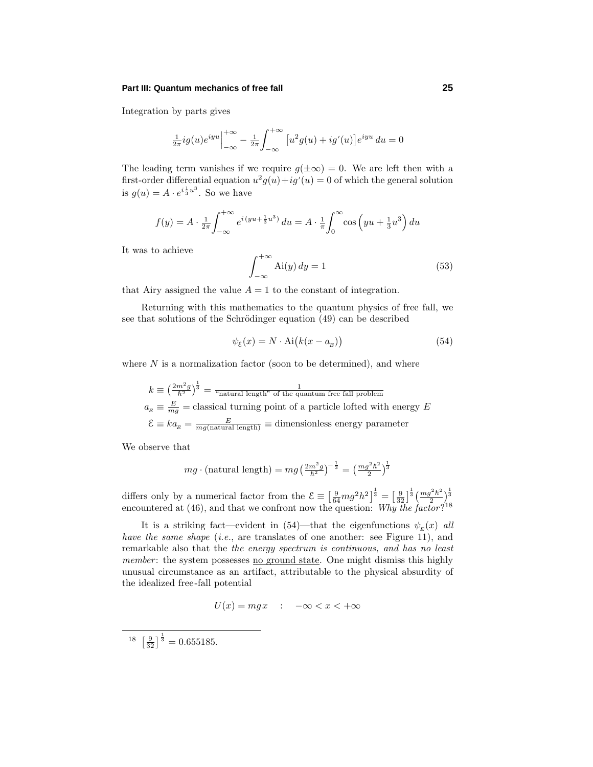#### **Part III: Quantum mechanics of free fall 25**

Integration by parts gives

$$
\frac{1}{2\pi}ig(u)e^{iyu}\Big|_{-\infty}^{+\infty} - \frac{1}{2\pi}\int_{-\infty}^{+\infty} [u^2g(u) + ig'(u)]e^{iyu} du = 0
$$

The leading term vanishes if we require  $q(\pm \infty) = 0$ . We are left then with a first-order differential equation  $u^2g(u)+ig'(u)=0$  of which the general solution is  $g(u) = A \cdot e^{i\frac{1}{3}u^3}$ . So we have

$$
f(y) = A \cdot \frac{1}{2\pi} \int_{-\infty}^{+\infty} e^{i(yu + \frac{1}{3}u^3)} du = A \cdot \frac{1}{\pi} \int_{0}^{\infty} \cos\left(yu + \frac{1}{3}u^3\right) du
$$

It was to achieve

$$
\int_{-\infty}^{+\infty} Ai(y) dy = 1
$$
\n(53)

that Airy assigned the value  $A = 1$  to the constant of integration.

Returning with this mathematics to the quantum physics of free fall, we see that solutions of the Schrödinger equation  $(49)$  can be described

$$
\psi_{\mathcal{E}}(x) = N \cdot \text{Ai}\big(k(x - a_E)\big) \tag{54}
$$

where  $N$  is a normalization factor (soon to be determined), and where

 $k \equiv \left(\frac{2m^2g}{\hbar^2}\right)^{\!\frac{1}{3}} = \frac{1}{\sqrt{2}}$  and  $\ln^2 g$  is the quantum free fall problem  $a_E \equiv \frac{E}{mg}$  = classical turning point of a particle lofted with energy *E*  $\mathcal{E} \equiv ka_E = \frac{E}{mg(\text{natural length})} \equiv \text{dimensionless energy parameter}$ 

We observe that

$$
mg \cdot (\text{natural length}) = mg \left(\frac{2m^2g}{\hbar^2}\right)^{-\frac{1}{3}} = \left(\frac{mg^2\hbar^2}{2}\right)^{\frac{1}{3}}
$$

differs only by a numerical factor from the  $\mathcal{E} \equiv \left[\frac{9}{64}mg^2h^2\right]^{\frac{1}{3}} = \left[\frac{9}{32}\right]^{\frac{1}{3}}\left(\frac{mg^2h^2}{2}\right)^{\frac{1}{3}}$ encountered at (46), and that we confront now the question: Why the factor?<sup>18</sup>

It is a striking fact—evident in  $(54)$ —that the eigenfunctions  $\psi_E(x)$  all have the same shape (i.e., are translates of one another: see Figure 11), and remarkable also that the *the energy spectrum is continuous*, and has no least member: the system possesses no ground state. One might dismiss this highly unusual circumstance as an artifact, attributable to the physical absurdity of the idealized free-fall potential

$$
U(x) = mgx \quad : \quad -\infty < x < +\infty
$$

 $18 \left[ \frac{9}{32} \right]^{\frac{1}{3}} = 0.655185.$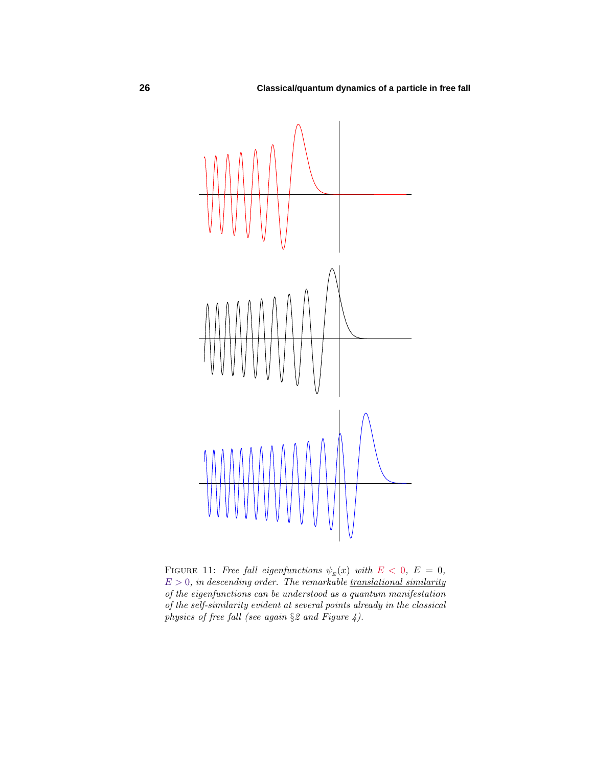

FIGURE 11: Free fall eigenfunctions  $\psi_E(x)$  with  $E < 0$ ,  $E = 0$ ,  $E > 0$ , in descending order. The remarkable translational similarity of the eigenfunctions can be understood as a quantum manifestation of the self-similarity evident at several points already in the classical physics of free fall (see again §2 and Figure 4).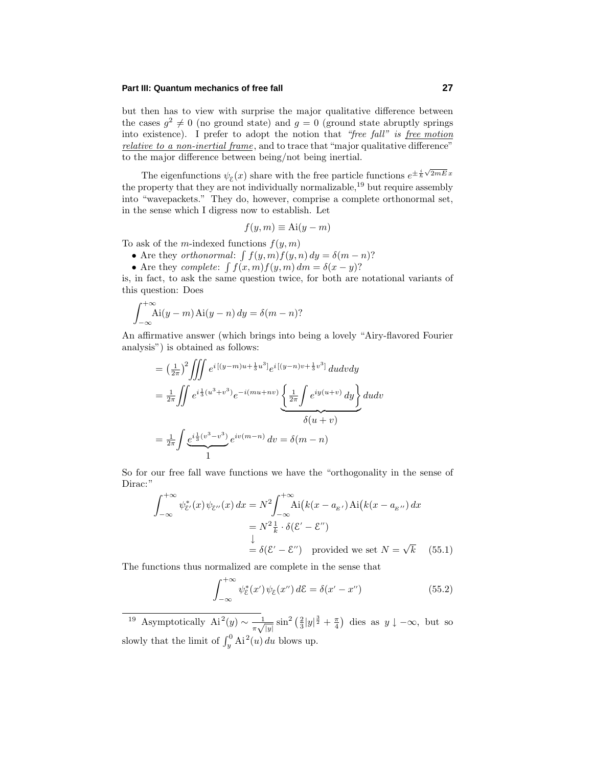## **Part III: Quantum mechanics of free fall 27**

but then has to view with surprise the major qualitative difference between the cases  $g^2 \neq 0$  (no ground state) and  $g = 0$  (ground state abruptly springs into existence). I prefer to adopt the notion that "free fall" is free motion relative to a non-inertial frame, and to trace that "major qualitative difference" to the major difference between being/not being inertial.

The eigenfunctions  $\psi_{\mathcal{E}}(x)$  share with the free particle functions  $e^{\pm \frac{i}{\hbar}\sqrt{2mE}x}$ the property that they are not individually normalizable,  $^{19}$  but require assembly into "wavepackets." They do, however, comprise a complete orthonormal set, in the sense which I digress now to establish. Let

$$
f(y,m) \equiv \text{Ai}(y-m)
$$

To ask of the *m*-indexed functions  $f(y, m)$ 

- Are they *orthonormal*:  $\int f(y, m) f(y, n) dy = \delta(m n)$ ?
- Are they *complete*:  $\int f(x, m) f(y, m) dm = \delta(x y)$ ?

is, in fact, to ask the same question twice, for both are notational variants of this question: Does

$$
\int_{-\infty}^{+\infty} \text{Ai}(y-m) \,\text{Ai}(y-n) \,dy = \delta(m-n)?
$$

An affirmative answer (which brings into being a lovely "Airy-flavored Fourier analysis") is obtained as follows:

$$
= \left(\frac{1}{2\pi}\right)^2 \iiint e^{i\left[(y-m)u+\frac{1}{3}u^3\right]} e^{i\left[(y-n)v+\frac{1}{3}v^3\right]} du dv dy
$$
  
\n
$$
= \frac{1}{2\pi} \iint e^{i\frac{1}{3}(u^3+v^3)} e^{-i(mu+nv)} \underbrace{\left\{\frac{1}{2\pi} \int e^{iy(u+v)} dy\right\}}_{\delta(u+v)} du dv
$$
  
\n
$$
= \frac{1}{2\pi} \int e^{i\frac{1}{3}(v^3-v^3)} e^{iv(m-n)} dv = \delta(m-n)
$$

So for our free fall wave functions we have the "orthogonality in the sense of Dirac:"

$$
\int_{-\infty}^{+\infty} \psi_{\xi'}^*(x) \psi_{\xi''}(x) dx = N^2 \int_{-\infty}^{+\infty} \text{Ai}\big(k(x - a_{E'}) \text{Ai}\big(k(x - a_{E''})\big) dx
$$

$$
= N^2 \frac{1}{k} \cdot \delta(\mathcal{E}' - \mathcal{E}'')
$$

$$
\downarrow
$$

$$
= \delta(\mathcal{E}' - \mathcal{E}'') \text{ provided we set } N = \sqrt{k} \quad (55.1)
$$

The functions thus normalized are complete in the sense that

$$
\int_{-\infty}^{+\infty} \psi_{\mathcal{E}}^*(x') \psi_{\mathcal{E}}(x'') d\mathcal{E} = \delta(x' - x'')
$$
 (55.2)

<sup>19</sup> Asymptotically  $Ai^2(y) \sim \frac{1}{\pi \sqrt{|y|}} \sin^2 \left(\frac{2}{3}|y|^{\frac{3}{2}} + \frac{\pi}{4}\right)$  dies as  $y \downarrow -\infty$ , but so slowly that the limit of  $\int_y^0 Ai^2(u) du$  blows up.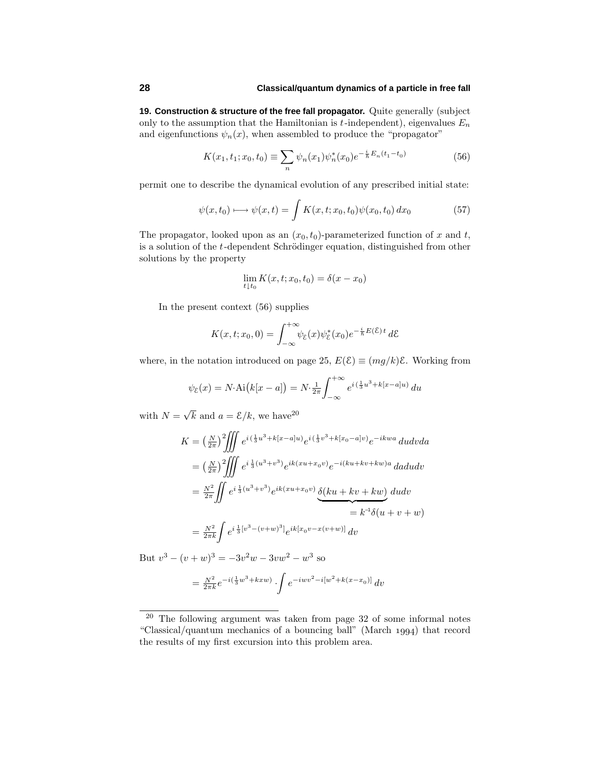**19. Construction & structure of the free fall propagator.** Quite generally (subject only to the assumption that the Hamiltonian is  $t$ -independent), eigenvalues  $E_n$ and eigenfunctions  $\psi_n(x)$ , when assembled to produce the "propagator"

$$
K(x_1, t_1; x_0, t_0) \equiv \sum_n \psi_n(x_1) \psi_n^*(x_0) e^{-\frac{i}{\hbar} E_n(t_1 - t_0)}
$$
(56)

permit one to describe the dynamical evolution of any prescribed initial state:

$$
\psi(x, t_0) \longmapsto \psi(x, t) = \int K(x, t; x_0, t_0) \psi(x_0, t_0) dx_0 \tag{57}
$$

The propagator, looked upon as an  $(x_0, t_0)$ -parameterized function of  $x$  and  $t$ , is a solution of the *t*-dependent Schrödinger equation, distinguished from other solutions by the property

$$
\lim_{t \downarrow t_0} K(x, t; x_0, t_0) = \delta(x - x_0)
$$

In the present context  $(56)$  supplies

$$
K(x,t;x_0,0) = \int_{-\infty}^{+\infty} \psi_{\mathcal{E}}(x)\psi_{\mathcal{E}}^*(x_0)e^{-\frac{i}{\hbar}E(\mathcal{E})t}d\mathcal{E}
$$

where, in the notation introduced on page 25,  $E(\mathcal{E}) \equiv (mg/k)\mathcal{E}$ . Working from

$$
\psi_{\xi}(x) = N \cdot \text{Ai}\big(k[x-a]\big) = N \cdot \frac{1}{2\pi} \int_{-\infty}^{+\infty} e^{i\left(\frac{1}{3}u^3 + k[x-a]u\right)} du
$$

with  $N = \sqrt{k}$  and  $a = \mathcal{E}/k$ , we have<sup>20</sup>

$$
K = \left(\frac{N}{2\pi}\right)^2 \iiint e^{i(\frac{1}{3}u^3 + k[x-a]u)} e^{i(\frac{1}{3}v^3 + k[x_0 - a]v)} e^{-ikwa} dudv da
$$
  
\n
$$
= \left(\frac{N}{2\pi}\right)^2 \iiint e^{i\frac{1}{3}(u^3 + v^3)} e^{ik(xu + x_0v)} e^{-i(ku + kv + kw)a} daddv
$$
  
\n
$$
= \frac{N^2}{2\pi} \iint e^{i\frac{1}{3}(u^3 + v^3)} e^{ik(xu + x_0v)} \underbrace{\delta(ku + kv + kw)}_{=k^{-1}\delta(u + v + w)}
$$
  
\n
$$
= \frac{N^2}{2\pi k} \int e^{i\frac{1}{3}[v^3 - (v + w)^3]} e^{ik[x_0v - x(v + w)]} dv
$$

But  $v^3 - (v + w)^3 = -3v^2w - 3vw^2 - w^3$  so

$$
= \frac{N^2}{2\pi k} e^{-i(\frac{1}{3}w^3 + kxw)} \cdot \int e^{-i wv^2 - i[w^2 + k(x - x_0)]} dv
$$

<sup>20</sup> The following argument was taken from page 32 of some informal notes "Classical/quantum mechanics of a bouncing ball" (March  $1994$ ) that record the results of my first excursion into this problem area.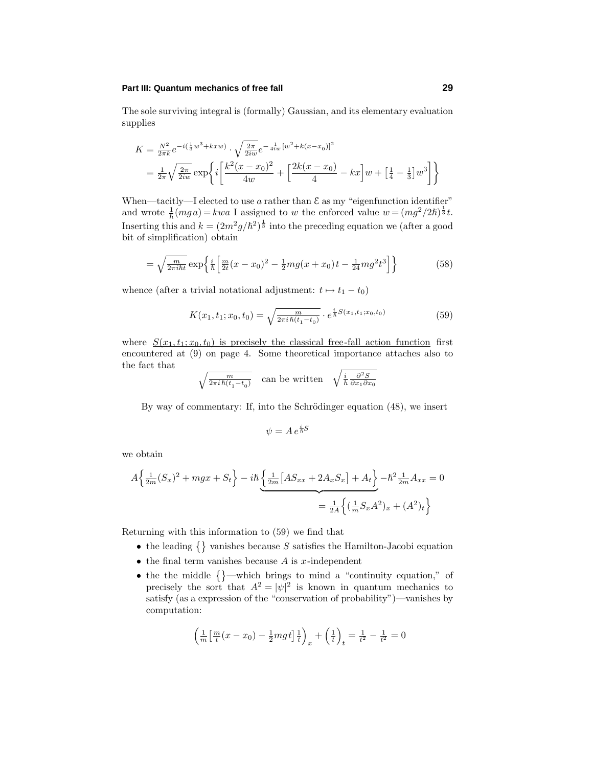#### **Part III: Quantum mechanics of free fall 29**

The sole surviving integral is (formally) Gaussian, and its elementary evaluation supplies

$$
K = \frac{N^2}{2\pi k} e^{-i(\frac{1}{3}w^3 + kxw)} \cdot \sqrt{\frac{2\pi}{2iw}} e^{-\frac{1}{4iw}[w^2 + k(x - x_0)]^2}
$$
  
=  $\frac{1}{2\pi} \sqrt{\frac{2\pi}{2iw}} \exp\left\{ i \left[ \frac{k^2(x - x_0)^2}{4w} + \left[ \frac{2k(x - x_0)}{4} - kx \right] w + \left[ \frac{1}{4} - \frac{1}{3} \right] w^3 \right] \right\}$ 

When—tacitly—I elected to use  $a$  rather than  $\mathcal E$  as my "eigenfunction identifier" and wrote  $\frac{1}{\hbar}(mga) = kwa$  I assigned to *w* the enforced value  $w = (mg^2/2\hbar)^{\frac{1}{3}}t$ . Inserting this and  $k = (2m^2g/\hbar^2)^{\frac{1}{3}}$  into the preceding equation we (after a good bit of simplification) obtain

$$
= \sqrt{\frac{m}{2\pi i\hbar t}} \exp\left\{ \frac{i}{\hbar} \left[ \frac{m}{2t} (x - x_0)^2 - \frac{1}{2} m g (x + x_0) t - \frac{1}{24} m g^2 t^3 \right] \right\} \tag{58}
$$

whence (after a trivial notational adjustment:  $t \mapsto t_1 - t_0$ )

$$
K(x_1, t_1; x_0, t_0) = \sqrt{\frac{m}{2\pi i \hbar (t_1 - t_0)}} \cdot e^{\frac{i}{\hbar} S(x_1, t_1; x_0, t_0)}
$$
(59)

where  $S(x_1, t_1; x_0, t_0)$  is precisely the classical free-fall action function first encountered at  $(9)$  on page 4. Some theoretical importance attaches also to the fact that

$$
\sqrt{\tfrac{m}{2\pi i\,\hbar(t_1-t_0)}}\quad\text{can be written}\quad \sqrt{\tfrac{i}{h}\tfrac{\partial^2 S}{\partial x_1 \partial x_0}}
$$

By way of commentary: If, into the Schrödinger equation  $(48)$ , we insert

$$
\psi = A \, e^{\frac{i}{\hbar}S}
$$

we obtain

$$
A\left\{\frac{1}{2m}(S_x)^2 + mgx + S_t\right\} - i\hbar \underbrace{\left\{\frac{1}{2m}[AS_{xx} + 2A_xS_x] + A_t\right\}}_{=\frac{1}{2A}\left\{\left(\frac{1}{m}S_xA^2\right)_x + (A^2)_t\right\}}
$$

Returning with this information to  $(59)$  we find that

- the leading  $\{\}$  vanishes because *S* satisfies the Hamilton-Jacobi equation
- $\bullet$  the final term vanishes because *A* is *x*-independent
- the the middle  $\{\}$ —which brings to mind a "continuity equation," of precisely the sort that  $A^2 = |\psi|^2$  is known in quantum mechanics to satisfy (as a expression of the "conservation of probability")—vanishes by computation:

$$
\left(\frac{1}{m}\left[\frac{m}{t}(x-x_0) - \frac{1}{2}mgt\right]\frac{1}{t}\right)_x + \left(\frac{1}{t}\right)_t = \frac{1}{t^2} - \frac{1}{t^2} = 0
$$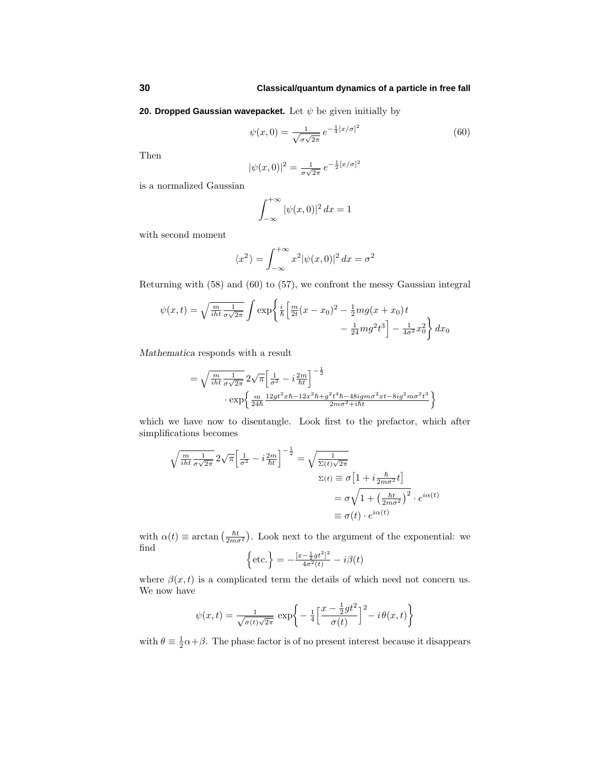**20. Dropped Gaussian wavepacket.** Let *ψ* be given initially by

$$
\psi(x,0) = \frac{1}{\sqrt{\sigma\sqrt{2\pi}}} \, e^{-\frac{1}{4}[x/\sigma]^2} \tag{60}
$$

Then

$$
|\psi(x,0)|^2 = \frac{1}{\sigma\sqrt{2\pi}}e^{-\frac{1}{2}[x/\sigma]^2}
$$

is a normalized Gaussian

$$
\int_{-\infty}^{+\infty} |\psi(x,0)|^2 dx = 1
$$

with second moment

$$
\langle x^2 \rangle = \int_{-\infty}^{+\infty} x^2 |\psi(x,0)|^2 dx = \sigma^2
$$

Returning with  $(58)$  and  $(60)$  to  $(57)$ , we confront the messy Gaussian integral

$$
\psi(x,t) = \sqrt{\frac{m}{iht} \frac{1}{\sigma \sqrt{2\pi}}} \int \exp\left\{ \frac{i}{\hbar} \left[ \frac{m}{2t} (x - x_0)^2 - \frac{1}{2} m g (x + x_0) t - \frac{1}{24} m g^2 t^3 \right] - \frac{1}{4\sigma^2} x_0^2 \right\} dx_0
$$

*Mathematica* responds with a result

$$
= \sqrt{\frac{m}{iht} \frac{1}{\sigma \sqrt{2\pi}}} 2\sqrt{\pi} \left[ \frac{1}{\sigma^2} - i \frac{2m}{\hbar t} \right]^{-\frac{1}{2}} \n\cdot \exp \left\{ \frac{m}{24\hbar} \frac{12gt^2x\hbar - 12x^2\hbar + g^2t^4\hbar - 48igm\sigma^2xt - 8ig^2m\sigma^2t^3}{2m\sigma^2 + i\hbar t} \right\}
$$

which we have now to disentangle. Look first to the prefactor, which after simplifications becomes

$$
\sqrt{\frac{m}{i\hbar t} \frac{1}{\sigma \sqrt{2\pi}}} 2\sqrt{\pi} \left[ \frac{1}{\sigma^2} - i \frac{2m}{\hbar t} \right]^{-\frac{1}{2}} = \sqrt{\frac{1}{\Sigma(t)\sqrt{2\pi}}}
$$
\n
$$
\Sigma(t) \equiv \sigma \left[ 1 + i \frac{\hbar}{2m\sigma^2} t \right]
$$
\n
$$
= \sigma \sqrt{1 + \left( \frac{\hbar t}{2m\sigma^2} \right)^2} \cdot e^{i\alpha(t)}
$$
\n
$$
\equiv \sigma(t) \cdot e^{i\alpha(t)}
$$

with  $\alpha(t) \equiv \arctan\left(\frac{\hbar t}{2m\sigma^2}\right)$ . Look next to the argument of the exponential: we find 2

$$
\left\{\text{etc.}\right\} = -\frac{[x - \frac{1}{2}gt^2]^2}{4\sigma^2(t)} - i\beta(t)
$$

where  $\beta(x,t)$  is a complicated term the details of which need not concern us. We now have

$$
\psi(x,t) = \frac{1}{\sqrt{\sigma(t)\sqrt{2\pi}}} \exp\bigg\{-\frac{1}{4}\bigg[\frac{x-\frac{1}{2}gt^2}{\sigma(t)}\bigg]^2 - i\theta(x,t)\bigg\}
$$

with  $\theta \equiv \frac{1}{2}\alpha + \beta$ . The phase factor is of no present interest because it disappears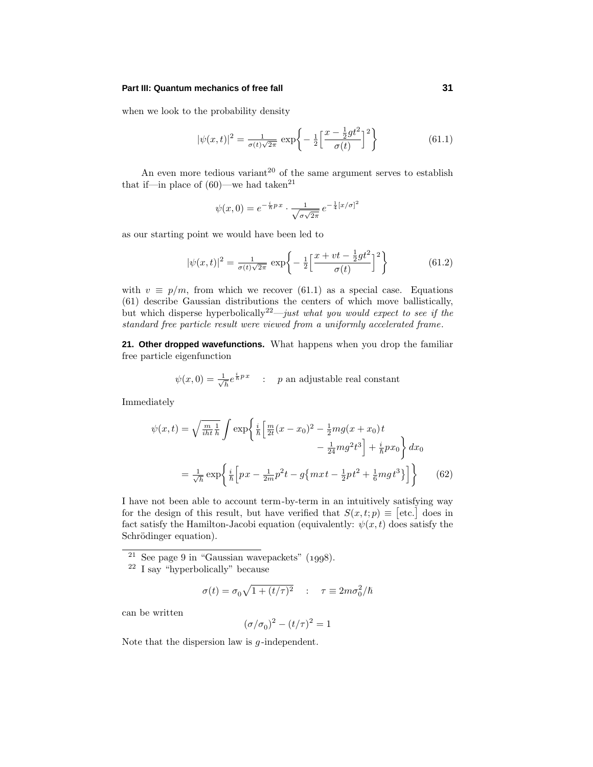## **Part III: Quantum mechanics of free fall 31**

when we look to the probability density

$$
|\psi(x,t)|^2 = \frac{1}{\sigma(t)\sqrt{2\pi}} \exp\left\{-\frac{1}{2}\left[\frac{x-\frac{1}{2}gt^2}{\sigma(t)}\right]^2\right\}
$$
(61.1)

An even more tedious variant<sup>20</sup> of the same argument serves to establish that if—in place of  $(60)$ —we had taken<sup>21</sup>

$$
\psi(x,0) = e^{-\frac{i}{\hbar}px} \cdot \frac{1}{\sqrt{\sigma\sqrt{2\pi}}} e^{-\frac{1}{4}[x/\sigma]^2}
$$

as our starting point we would have been led to

$$
|\psi(x,t)|^2 = \frac{1}{\sigma(t)\sqrt{2\pi}} \exp\left\{-\frac{1}{2}\left[\frac{x+vt-\frac{1}{2}gt^2}{\sigma(t)}\right]^2\right\}
$$
(61.2)

with  $v \equiv p/m$ , from which we recover (61.1) as a special case. Equations  $(61)$  describe Gaussian distributions the centers of which move ballistically, but which disperse hyperbolically<sup>22</sup>—just what you would expect to see if the standard free particle result were viewed from a uniformly accelerated frame.

**21. Other dropped wavefunctions.** What happens when you drop the familiar free particle eigenfunction

$$
\psi(x,0) = \frac{1}{\sqrt{h}} e^{\frac{i}{h}p x}
$$
: p an adjustable real constant

Immediately

$$
\psi(x,t) = \sqrt{\frac{m}{i\hbar t}} \frac{1}{\hbar} \int \exp\left\{ \frac{i}{\hbar} \left[ \frac{m}{2t} (x - x_0)^2 - \frac{1}{2} m g (x + x_0) t - \frac{1}{24} m g^2 t^3 \right] + \frac{i}{\hbar} p x_0 \right\} dx_0
$$

$$
= \frac{1}{\sqrt{\hbar}} \exp\left\{ \frac{i}{\hbar} \left[ px - \frac{1}{2m} p^2 t - g \{ m x t - \frac{1}{2} p t^2 + \frac{1}{6} m g t^3 \} \right] \right\} \tag{62}
$$

I have not been able to account term-by-term in an intuitively satisfying way for the design of this result, but have verified that  $S(x,t;p) \equiv [\text{etc.}]$  does in fact satisfy the Hamilton-Jacobi equation (equivalently:  $\psi(x, t)$  does satisfy the Schrödinger equation).

 $21$  See page 9 in "Gaussian wavepackets" (1998).

$$
\sigma(t) = \sigma_0 \sqrt{1 + (t/\tau)^2} \quad : \quad \tau \equiv 2m\sigma_0^2/\hbar
$$

can be written

$$
(\sigma/\sigma_0)^2 - (t/\tau)^2 = 1
$$

Note that the dispersion law is *g* -independent.

<sup>22</sup> I say "hyperbolically" because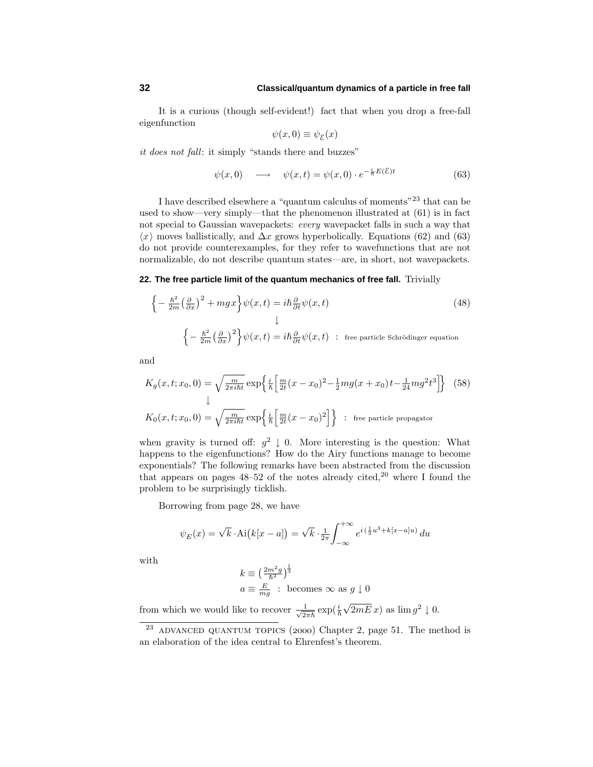It is a curious (though self-evident!) fact that when you drop a free-fall eigenfunction

$$
\psi(x,0) \equiv \psi_{\mathcal{E}}(x)
$$

it does not fall: it simply "stands there and buzzes"

$$
\psi(x,0) \longrightarrow \psi(x,t) = \psi(x,0) \cdot e^{-\frac{i}{\hbar}E(\mathcal{E})t} \tag{63}
$$

I have described elsewhere a "quantum calculus of moments"<sup>23</sup> that can be used to show—very simply—that the phenomenon illustrated at  $(61)$  is in fact not special to Gaussian wavepackets: every wavepacket falls in such a way that  $\langle x \rangle$  moves ballistically, and  $\Delta x$  grows hyperbolically. Equations (62) and (63) do not provide counterexamples, for they refer to wavefunctions that are not normalizable, do not describe quantum states—are, in short, not wavepackets.

#### **22. The free particle limit of the quantum mechanics of free fall.** Trivially

$$
\begin{cases}\n-\frac{\hbar^2}{2m} \left(\frac{\partial}{\partial x}\right)^2 + mgx\n\end{cases} \psi(x,t) = i\hbar \frac{\partial}{\partial t} \psi(x,t)
$$
\n
$$
\downarrow
$$
\n
$$
\begin{cases}\n-\frac{\hbar^2}{2m} \left(\frac{\partial}{\partial x}\right)^2\n\end{cases} \psi(x,t) = i\hbar \frac{\partial}{\partial t} \psi(x,t) \quad : \text{free particle Schrödinger equation}
$$
\n(48)

and

$$
K_g(x, t; x_0, 0) = \sqrt{\frac{m}{2\pi i\hbar t}} \exp\left\{\frac{i}{\hbar} \left[\frac{m}{2t}(x - x_0)^2 - \frac{1}{2}mg(x + x_0)t - \frac{1}{24}mg^2t^3\right]\right\}
$$
(58)  

$$
K_0(x, t; x_0, 0) = \sqrt{\frac{m}{2\pi i\hbar t}} \exp\left\{\frac{i}{\hbar} \left[\frac{m}{2t}(x - x_0)^2\right]\right\} \text{ : free particle propagator}
$$

when gravity is turned off:  $g^2 \downarrow 0$ . More interesting is the question: What happens to the eigenfunctions? How do the Airy functions manage to become exponentials? The following remarks have been abstracted from the discussion that appears on pages  $48-52$  of the notes already cited,<sup>20</sup> where I found the problem to be surprisingly ticklish.

Borrowing from page 28, we have

$$
\psi_E(x) = \sqrt{k} \cdot \text{Ai}\big(k[x-a]\big) = \sqrt{k} \cdot \frac{1}{2\pi} \int_{-\infty}^{+\infty} e^{i\left(\frac{1}{3}u^3 + k[x-a]u\right)} du
$$

with

$$
k \equiv \left(\frac{2m^2g}{\hbar^2}\right)^{\frac{1}{3}}
$$
  

$$
a \equiv \frac{E}{mg} : \text{ becomes } \infty \text{ as } g \downarrow 0
$$

from which we would like to recover  $\frac{1}{\sqrt{2\pi\hbar}}\exp(\frac{i}{\hbar}\sqrt{2mE}\,x)$  as  $\lim g^2 \downarrow 0$ .

<sup>&</sup>lt;sup>23</sup> ADVANCED QUANTUM TOPICS (2000) Chapter 2, page 51. The method is an elaboration of the idea central to Ehrenfest's theorem.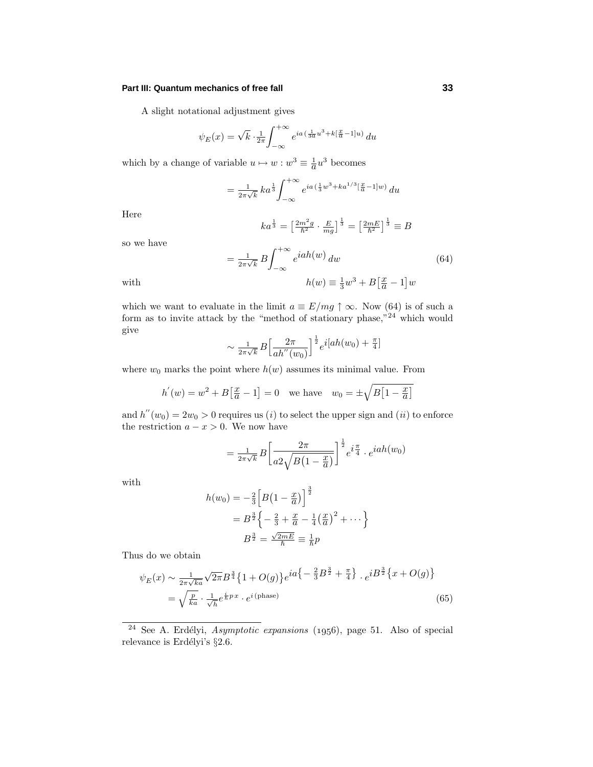#### **Part III: Quantum mechanics of free fall 33**

A slight notational adjustment gives

$$
\psi_E(x) = \sqrt{k} \cdot \frac{1}{2\pi} \int_{-\infty}^{+\infty} e^{ia\left(\frac{1}{3a}u^3 + k\left[\frac{x}{a} - 1\right]u\right)} du
$$

which by a change of variable  $u \mapsto w : w^3 \equiv \frac{1}{a}u^3$  becomes

$$
= \frac{1}{2\pi\sqrt{k}} k a^{\frac{1}{3}} \int_{-\infty}^{+\infty} e^{ia(\frac{1}{3}w^3 + ka^{1/3}[\frac{x}{a}-1]w)} du
$$

Here

$$
ka^{\frac{1}{3}} = \left[\frac{2m^2g}{\hbar^2} \cdot \frac{E}{mg}\right]^{\frac{1}{3}} = \left[\frac{2mE}{\hbar^2}\right]^{\frac{1}{3}} \equiv B
$$

so we have

$$
=\frac{1}{2\pi\sqrt{k}}B\int_{-\infty}^{+\infty}e^{iah(w)} dw
$$
\nwith\n
$$
h(w) \equiv \frac{1}{3}w^3 + B\left[\frac{x}{a} - 1\right]w
$$
\n(64)

which we want to evaluate in the limit  $a \equiv E/mg \uparrow \infty$ . Now (64) is of such a form as to invite attack by the "method of stationary phase," $^{24}$  which would give

$$
\sim \frac{1}{2\pi\sqrt{k}}B\left[\frac{2\pi}{ah''(w_0)}\right]^{\frac{1}{2}}e^{i[ah(w_0)+\frac{\pi}{4}]}
$$

where  $w_0$  marks the point where  $h(w)$  assumes its minimal value. From

$$
h'(w) = w^2 + B[\frac{x}{a} - 1] = 0
$$
 we have  $w_0 = \pm \sqrt{B[1 - \frac{x}{a}]}$ 

and  $h''(w_0)=2w_0 > 0$  requires us (i) to select the upper sign and (ii) to enforce the restriction  $a - x > 0$ . We now have

$$
= \frac{1}{2\pi\sqrt{k}} B \left[ \frac{2\pi}{a^2\sqrt{B(1-\frac{x}{a})}} \right]^{\frac{1}{2}} e^{i\frac{\pi}{4}} \cdot e^{iah(w_0)}
$$

with

$$
h(w_0) = -\frac{2}{3} \left[ B\left(1 - \frac{x}{a}\right) \right]^{\frac{3}{2}}
$$
  
=  $B^{\frac{3}{2}} \left\{ -\frac{2}{3} + \frac{x}{a} - \frac{1}{4} \left(\frac{x}{a}\right)^2 + \cdots \right\}$   
 $B^{\frac{3}{2}} = \frac{\sqrt{2mE}}{\hbar} \equiv \frac{1}{\hbar} p$ 

Thus do we obtain

$$
\psi_E(x) \sim \frac{1}{2\pi\sqrt{ka}} \sqrt{2\pi} B^{\frac{3}{4}} \{1 + O(g)\} e^{ia \left\{-\frac{2}{3}B^{\frac{3}{2}} + \frac{\pi}{4}\right\}} \cdot e^{i B^{\frac{3}{2}} \left\{x + O(g)\right\}} \n= \sqrt{\frac{p}{ka}} \cdot \frac{1}{\sqrt{h}} e^{\frac{i}{\hbar} px} \cdot e^{i \text{(phase)}}
$$
\n(65)

 $24$  See A. Erdélyi, Asymptotic expansions (1956), page 51. Also of special relevance is Erdélyi's  $\S 2.6$ .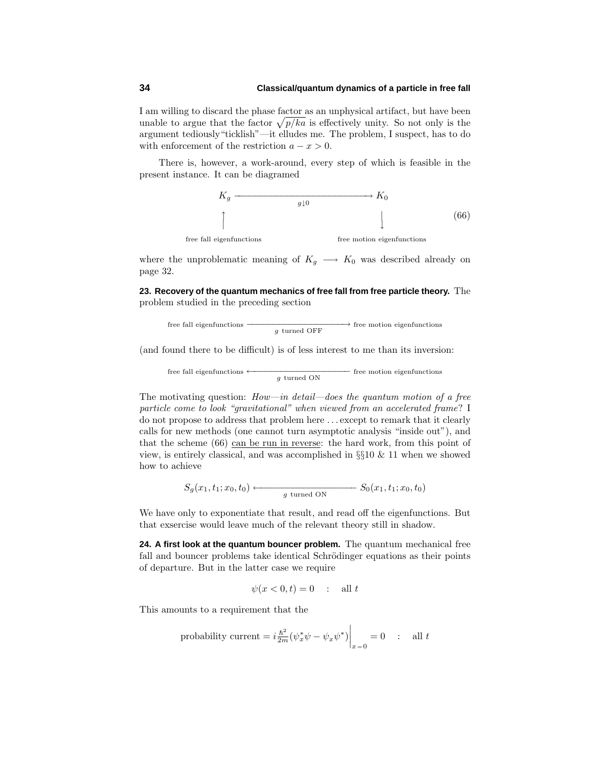## **34 Classical/quantum dynamics of a particle in free fall**

I am willing to discard the phase factor as an unphysical artifact, but have been unable to argue that the factor  $\sqrt{p/ka}$  is effectively unity. So not only is the argument tediously"ticklish"—it elludes me. The problem, I suspect, has to do with enforcement of the restriction  $a - x > 0$ .

There is, however, a work-around, every step of which is feasible in the present instance. It can be diagramed



where the unproblematic meaning of  $K_g \longrightarrow K_0$  was described already on page 32.

**23. Recovery of the quantum mechanics of free fall from free particle theory.** The problem studied in the preceding section

$$
\text{free fall eigenfunctions} \xrightarrow{\hspace{0.5cm}} g \text{ turned OFF} \hspace{0.5cm} \text{free motion eigenfunctions}
$$

(and found there to be difficult) is of less interest to me than its inversion:

free fall eigenfunctions 
$$
\longleftarrow
$$
  $g$  turned ON

The motivating question:  $How-in detail—does the quantum motion of a free$ particle come to look "gravitational" when viewed from an accelerated frame? I do not propose to address that problem here *...* except to remark that it clearly calls for new methods (one cannot turn asymptotic analysis "inside out"), and that the scheme  $(66)$  can be run in reverse: the hard work, from this point of view, is entirely classical, and was accomplished in  $\S 10 \& 11$  when we showed how to achieve

$$
S_g(x_1, t_1; x_0, t_0) \longleftarrow \qquad \qquad S_0(x_1, t_1; x_0, t_0)
$$

We have only to exponentiate that result, and read off the eigenfunctions. But that exsercise would leave much of the relevant theory still in shadow.

**24. A first look at the quantum bouncer problem.** The quantum mechanical free fall and bouncer problems take identical Schrödinger equations as their points of departure. But in the latter case we require

$$
\psi(x<0,t)=0 \quad : \quad \text{all } t
$$

This amounts to a requirement that the

probability current = 
$$
i \frac{\hbar^2}{2m} (\psi_x^* \psi - \psi_x \psi^*)\Big|_{x=0} = 0
$$
 : all  $t$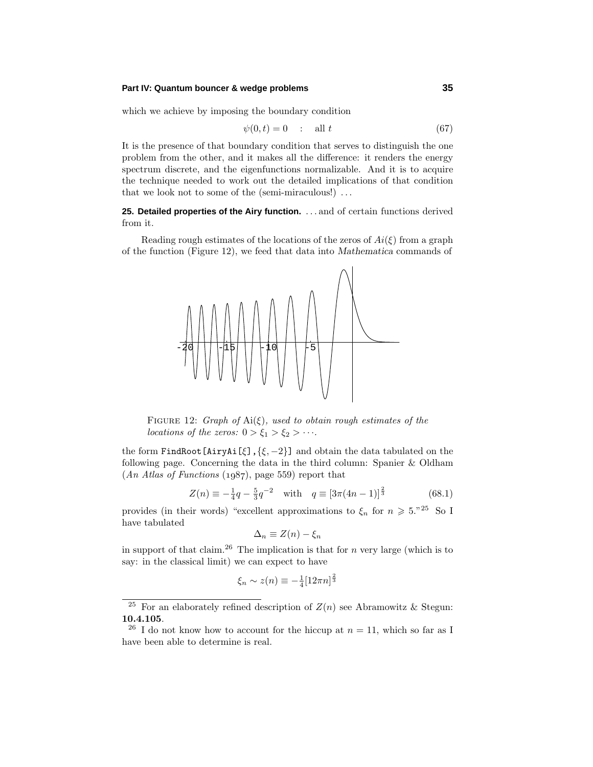#### **Part IV: Quantum bouncer & wedge problems 35**

which we achieve by imposing the boundary condition

$$
\psi(0,t) = 0 \qquad \text{all } t \tag{67}
$$

It is the presence of that boundary condition that serves to distinguish the one problem from the other, and it makes all the difference: it renders the energy spectrum discrete, and the eigenfunctions normalizable. And it is to acquire the technique needed to work out the detailed implications of that condition that we look not to some of the (semi-miraculous!) *...*

**25. Detailed properties of the Airy function.** *...* and of certain functions derived from it.

Reading rough estimates of the locations of the zeros of  $Ai(\xi)$  from a graph of the function (Figure 12), we feed that data into *Mathematica* commands of



FIGURE 12:  $Graph of \, Ai(\xi), \, used \, to \, obtain \, rough \, estimates \, of \, the$ *locations of the zeros:*  $0 > \xi_1 > \xi_2 > \cdots$ .

the form FindRoot[AiryAi[*ξ*],{*ξ,* −2}] and obtain the data tabulated on the following page. Concerning the data in the third column: Spanier & Oldham  $(An \text{ Atlas of Functions } (1987), \text{page } 559)$  report that

$$
Z(n) \equiv -\frac{1}{4}q - \frac{5}{3}q^{-2} \quad \text{with} \quad q \equiv \left[3\pi(4n-1)\right]^{\frac{2}{3}} \tag{68.1}
$$

provides (in their words) "excellent approximations to  $\xi_n$  for  $n \geq 5.^{n25}$  So I have tabulated

$$
\Delta_n \equiv Z(n) - \xi_n
$$

in support of that claim.<sup>26</sup> The implication is that for  $n$  very large (which is to say: in the classical limit) we can expect to have

$$
\xi_n \sim z(n) \equiv -\frac{1}{4} [12\pi n]^{\frac{2}{3}}
$$

<sup>&</sup>lt;sup>25</sup> For an elaborately refined description of  $Z(n)$  see Abramowitz & Stegun: **10.4.105**.

<sup>&</sup>lt;sup>26</sup> I do not know how to account for the hiccup at  $n = 11$ , which so far as I have been able to determine is real.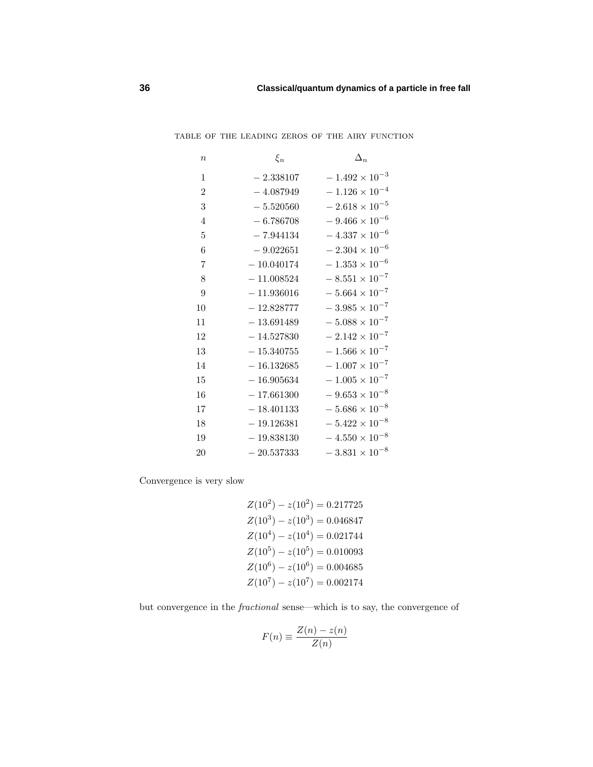| $\boldsymbol{n}$ | $\xi_n$      | $\Delta_n$              |
|------------------|--------------|-------------------------|
| $\mathbf{1}$     | $-2.338107$  | $-1.492 \times 10^{-3}$ |
| $\overline{2}$   | $-4.087949$  | $-1.126 \times 10^{-4}$ |
| 3                | $-5.520560$  | $-2.618 \times 10^{-5}$ |
| 4                | $-6.786708$  | $-9.466 \times 10^{-6}$ |
| 5                | $-7.944134$  | $-4.337 \times 10^{-6}$ |
| 6                | $-9.022651$  | $-2.304 \times 10^{-6}$ |
| 7                | $-10.040174$ | $-1.353 \times 10^{-6}$ |
| 8                | $-11.008524$ | $-8.551 \times 10^{-7}$ |
| 9                | $-11.936016$ | $-5.664 \times 10^{-7}$ |
| 10               | $-12.828777$ | $-3.985 \times 10^{-7}$ |
| 11               | $-13.691489$ | $-5.088 \times 10^{-7}$ |
| 12               | $-14.527830$ | $-2.142 \times 10^{-7}$ |
| 13               | $-15.340755$ | $-1.566 \times 10^{-7}$ |
| 14               | $-16.132685$ | $-1.007 \times 10^{-7}$ |
| 15               | $-16.905634$ | $-1.005 \times 10^{-7}$ |
| 16               | $-17.661300$ | $-9.653 \times 10^{-8}$ |
| 17               | $-18.401133$ | $-5.686 \times 10^{-8}$ |
| 18               | $-19.126381$ | $-5.422 \times 10^{-8}$ |
| 19               | $-19.838130$ | $-4.550 \times 10^{-8}$ |
| 20               | $-20.537333$ | $-3.831 \times 10^{-8}$ |

table of the leading zeros of the airy function

Convergence is very slow

 $Z(10^2) - z(10^2) = 0.217725$  $Z(10^3) - z(10^3) = 0.046847$  $Z(10^4) - z(10^4) = 0.021744$  $Z(10^5) - z(10^5) = 0.010093$  $Z(10^6) - z(10^6) = 0.004685$  $Z(10^7) - z(10^7) = 0.002174$ 

but convergence in the fractional sense—which is to say, the convergence of

$$
F(n) \equiv \frac{Z(n) - z(n)}{Z(n)}
$$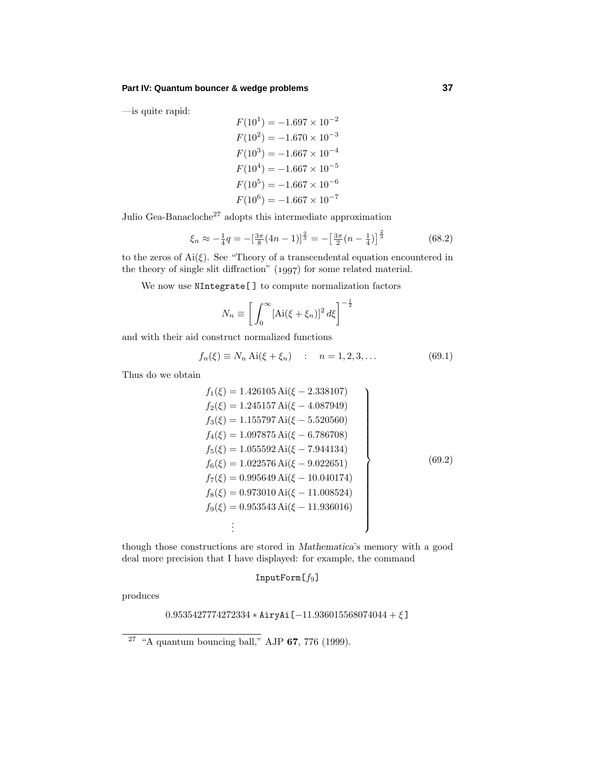—is quite rapid:

$$
F(10^1) = -1.697 \times 10^{-2}
$$
  
\n
$$
F(10^2) = -1.670 \times 10^{-3}
$$
  
\n
$$
F(10^3) = -1.667 \times 10^{-4}
$$
  
\n
$$
F(10^4) = -1.667 \times 10^{-5}
$$
  
\n
$$
F(10^5) = -1.667 \times 10^{-6}
$$
  
\n
$$
F(10^6) = -1.667 \times 10^{-7}
$$

Julio Gea-Banacloche<sup>27</sup> adopts this intermediate approximation

$$
\xi_n \approx -\frac{1}{4}q = -\left[\frac{3\pi}{8}(4n-1)\right]^{\frac{2}{3}} = -\left[\frac{3\pi}{2}(n-\frac{1}{4})\right]^{\frac{2}{3}}\tag{68.2}
$$

to the zeros of  $\text{Ai}(\xi)$ . See "Theory of a transcendental equation encountered in the theory of single slit diffraction"  $(1997)$  for some related material.

We now use NIntegrate<sup>[]</sup> to compute normalization factors

$$
N_n \equiv \left[ \int_0^\infty [\text{Ai}(\xi + \xi_n)]^2 \, d\xi \right]^{-\frac{1}{2}}
$$

and with their aid construct normalized functions

$$
f_n(\xi) \equiv N_n \text{ Ai}(\xi + \xi_n) \quad : \quad n = 1, 2, 3, \dots \tag{69.1}
$$

Thus do we obtain

$$
f_1(\xi) = 1.426105 \text{ Ai}(\xi - 2.338107)
$$
  
\n
$$
f_2(\xi) = 1.245157 \text{ Ai}(\xi - 4.087949)
$$
  
\n
$$
f_3(\xi) = 1.155797 \text{ Ai}(\xi - 5.520560)
$$
  
\n
$$
f_4(\xi) = 1.097875 \text{ Ai}(\xi - 6.786708)
$$
  
\n
$$
f_5(\xi) = 1.055592 \text{ Ai}(\xi - 7.944134)
$$
  
\n
$$
f_6(\xi) = 1.022576 \text{ Ai}(\xi - 9.022651)
$$
  
\n
$$
f_7(\xi) = 0.995649 \text{ Ai}(\xi - 10.040174)
$$
  
\n
$$
f_8(\xi) = 0.973010 \text{ Ai}(\xi - 11.008524)
$$
  
\n
$$
f_9(\xi) = 0.953543 \text{ Ai}(\xi - 11.936016)
$$
  
\n
$$
\vdots
$$

though those constructions are stored in *Mathematica*'s memory with a good deal more precision that I have displayed: for example, the command

InputForm[*f*9]

produces

0*.*9535427774272334 ∗ AiryAi[−11*.*936015568074044 + *ξ* ]

<sup>27</sup> "A quantum bouncing ball," AJP **67**, 776 (1999).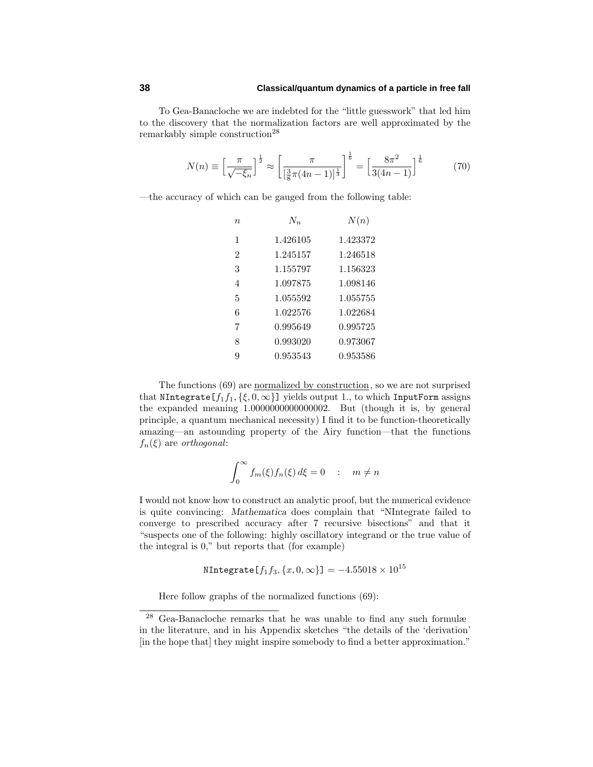# **38 Classical/quantum dynamics of a particle in free fall**

To Gea-Banacloche we are indebted for the "little guesswork" that led him to the discovery that the normalization factors are well approximated by the remarkably simple construction<sup>28</sup>

$$
N(n) \equiv \left[\frac{\pi}{\sqrt{-\xi_n}}\right]^{\frac{1}{2}} \approx \left[\frac{\pi}{\left[\frac{3}{8}\pi(4n-1)\right]^{\frac{1}{3}}}\right]^{\frac{1}{6}} = \left[\frac{8\pi^2}{3(4n-1)}\right]^{\frac{1}{6}}\tag{70}
$$

—the accuracy of which can be gauged from the following table:

| $\eta$         | $N_{n}$  | N(n)     |
|----------------|----------|----------|
| 1              | 1.426105 | 1.423372 |
| $\overline{2}$ | 1.245157 | 1.246518 |
| 3              | 1.155797 | 1.156323 |
| 4              | 1.097875 | 1.098146 |
| 5              | 1.055592 | 1.055755 |
| 6              | 1.022576 | 1.022684 |
| 7              | 0.995649 | 0.995725 |
| 8              | 0.993020 | 0.973067 |
| 9              | 0.953543 | 0.953586 |

The functions (69) are normalized by construction, so we are not surprised that NIntegrate  $[f_1 f_1, \{\xi, 0, \infty\}]$  yields output 1., to which InputForm assigns the expanded meaning 1.0000000000000002. But (though it is, by general principle, a quantum mechanical necessity) I find it to be function-theoretically amazing—an astounding property of the Airy function—that the functions  $f_n(\xi)$  are *orthogonal*:

$$
\int_0^\infty f_m(\xi) f_n(\xi) d\xi = 0 \quad : \quad m \neq n
$$

I would not know how to construct an analytic proof, but the numerical evidence is quite convincing: *Mathematica* does complain that "NIntegrate failed to converge to prescribed accuracy after 7 recursive bisections" and that it "suspects one of the following: highly oscillatory integrand or the true value of the integral is 0," but reports that (for example)

$$
\texttt{NIntegrate}\left[f_1f_3,\{x,0,\infty\}\right]=-4.55018\times10^{15}
$$

Here follow graphs of the normalized functions (69):

<sup>28</sup> Gea-Banacloche remarks that he was unable to find any such formulæ in the literature, and in his Appendix sketches "the details of the 'derivation' [in the hope that] they might inspire somebody to find a better approximation."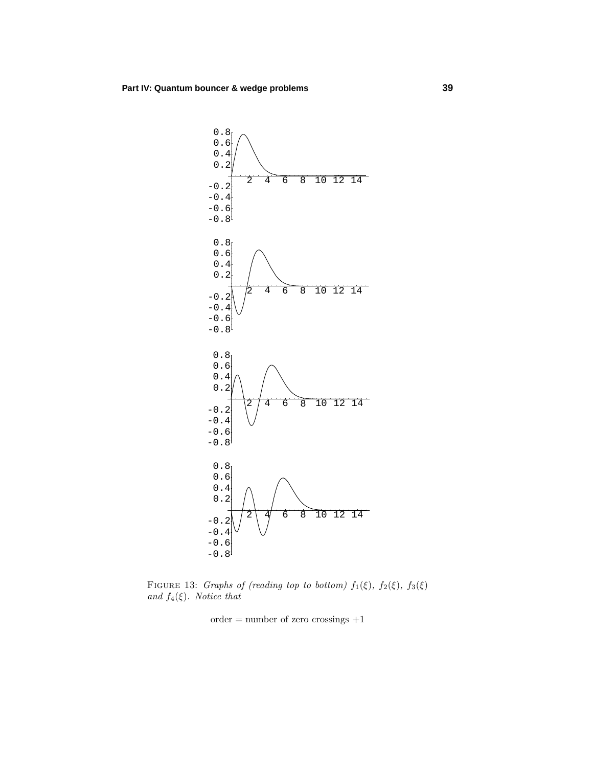

FIGURE 13: Graphs of (reading top to bottom)  $f_1(\xi)$ ,  $f_2(\xi)$ ,  $f_3(\xi)$ and  $f_4(\xi)$ . Notice that

 $order = number of zero crossings +1$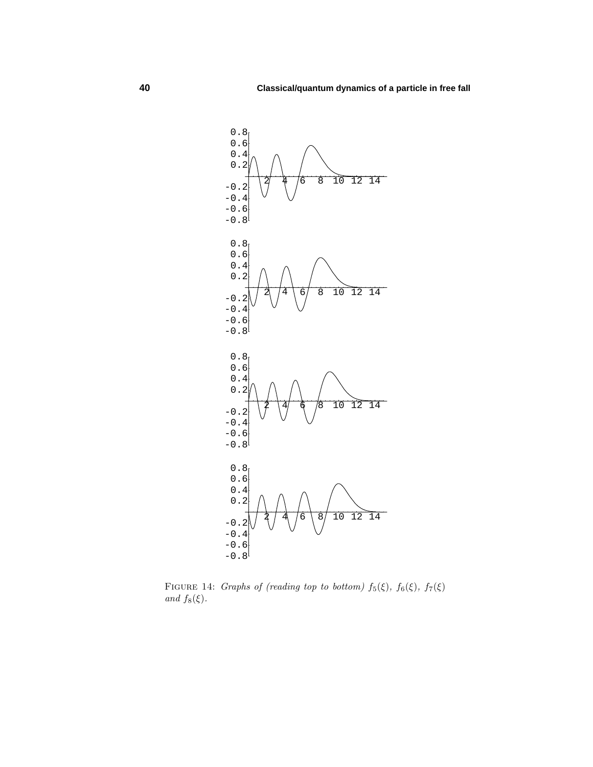

FIGURE 14: Graphs of (reading top to bottom)  $f_5(\xi)$ ,  $f_6(\xi)$ ,  $f_7(\xi)$ and  $f_8(\xi)$ .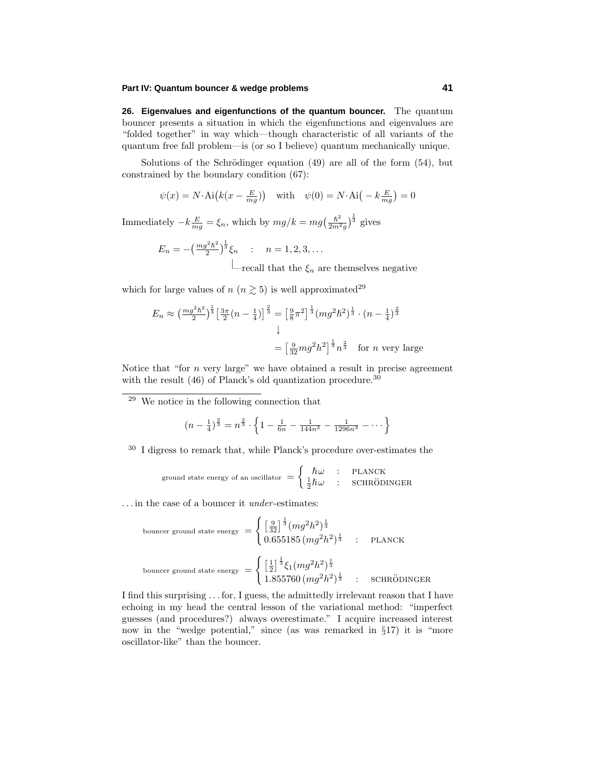**26. Eigenvalues and eigenfunctions of the quantum bouncer.** The quantum bouncer presents a situation in which the eigenfunctions and eigenvalues are "folded together" in way which—though characteristic of all variants of the quantum free fall problem—is (or so I believe) quantum mechanically unique.

Solutions of the Schrödinger equation  $(49)$  are all of the form  $(54)$ , but constrained by the boundary condition (67):

$$
\psi(x) = N \cdot \text{Ai}\left(k(x - \frac{E}{mg})\right)
$$
 with  $\psi(0) = N \cdot \text{Ai}\left(-k \frac{E}{mg}\right) = 0$ 

Immediately  $-k\frac{E}{mg} = \xi_n$ , which by  $mg/k = mg\left(\frac{\hbar^2}{2m^2g}\right)^{\frac{1}{3}}$  gives

 $E_n = -(\frac{mg^2\hbar^2}{2})^{\frac{1}{3}}\xi_n$  :  $n = 1, 2, 3, \ldots$  $\Box$  recall that the  $\xi_n$  are themselves negative

which for large values of  $n (n \geq 5)$  is well approximated<sup>29</sup>

$$
E_n \approx \left(\frac{mg^2\hbar^2}{2}\right)^{\frac{1}{3}} \left[\frac{3\pi}{2}(n-\frac{1}{4})\right]^{\frac{2}{3}} = \left[\frac{9}{8}\pi^2\right]^{\frac{1}{3}} (mg^2\hbar^2)^{\frac{1}{3}} \cdot (n-\frac{1}{4})^{\frac{2}{3}}
$$

$$
\downarrow
$$

$$
= \left[\frac{9}{32}mg^2h^2\right]^{\frac{1}{3}} n^{\frac{2}{3}} \quad \text{for } n \text{ very large}
$$

Notice that "for *n* very large" we have obtained a result in precise agreement with the result  $(46)$  of Planck's old quantization procedure.<sup>30</sup>

<sup>29</sup> We notice in the following connection that

$$
(n - \frac{1}{4})^{\frac{2}{3}} = n^{\frac{2}{3}} \cdot \left\{ 1 - \frac{1}{6n} - \frac{1}{144n^2} - \frac{1}{1296n^3} - \dots \right\}
$$

<sup>30</sup> I digress to remark that, while Planck's procedure over-estimates the

ground state energy of an oscillator 
$$
=\begin{cases} \hbar\omega & : \text{ PLANCK} \\ \frac{1}{2}\hbar\omega & : \text{SCHRÖDINGER} \end{cases}
$$

*...* in the case of a bouncer it under -estimates:

bounceer ground state energy 
$$
= \begin{cases} \left[\frac{9}{32}\right]^{\frac{1}{3}} (mg^2h^2)^{\frac{1}{3}} \\ 0.655185 \left(mg^2h^2\right)^{\frac{1}{3}} \quad : \quad \text{PLANCK} \end{cases}
$$
  
bounceer ground state energy 
$$
= \begin{cases} \left[\frac{1}{2}\right]^{\frac{1}{3}} \xi_1 (mg^2h^2)^{\frac{1}{3}} \\ 1.855760 \left(mg^2h^2\right)^{\frac{1}{3}} \quad : \quad \text{SCHRÖDINGER}
$$

I find this surprising *...* for, I guess, the admittedly irrelevant reason that I have echoing in my head the central lesson of the variational method: "imperfect guesses (and procedures?) always overestimate." I acquire increased interest now in the "wedge potential," since (as was remarked in §17) it is "more oscillator-like" than the bouncer.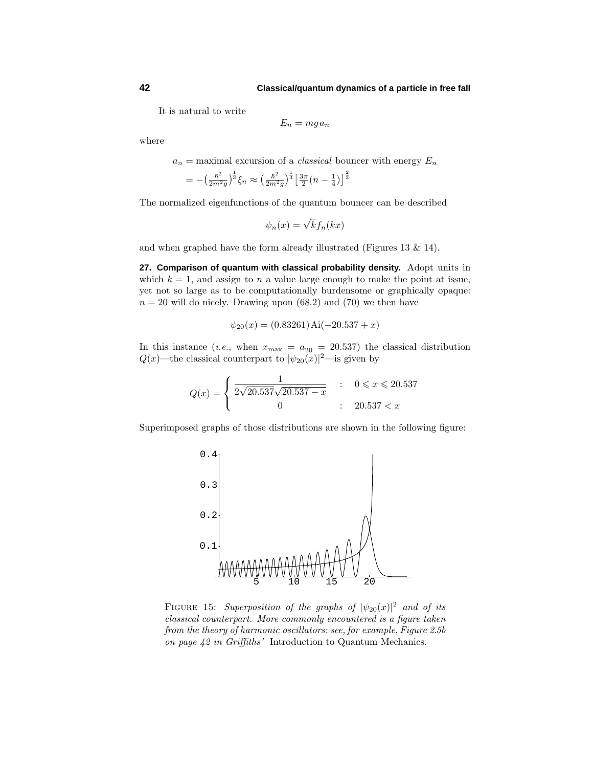It is natural to write

$$
E_n = m g a_n
$$

where

 $a_n$  = maximal excursion of a *classical* bouncer with energy  $E_n$ 

$$
= -\left(\frac{\hbar^2}{2m^2g}\right)^{\frac{1}{3}}\xi_n \approx \left(\frac{\hbar^2}{2m^2g}\right)^{\frac{1}{3}} \left[\frac{3\pi}{2}\left(n-\frac{1}{4}\right)\right]^{\frac{2}{3}}
$$

The normalized eigenfunctions of the quantum bouncer can be described

$$
\psi_n(x) = \sqrt{k} f_n(kx)
$$

and when graphed have the form already illustrated (Figures 13  $\&$  14).

**27. Comparison of quantum with classical probability density.** Adopt units in which  $k = 1$ , and assign to *n* a value large enough to make the point at issue, yet not so large as to be computationally burdensome or graphically opaque:  $n = 20$  will do nicely. Drawing upon  $(68.2)$  and  $(70)$  we then have

$$
\psi_{20}(x) = (0.83261) \text{Ai}(-20.537 + x)
$$

In this instance (*i.e.*, when  $x_{\text{max}} = a_{20} = 20.537$ ) the classical distribution  $Q(x)$ —the classical counterpart to  $|\psi_{20}(x)|^2$ —is given by

$$
Q(x) = \begin{cases} \frac{1}{2\sqrt{20.537}\sqrt{20.537 - x}} & : & 0 \leq x \leq 20.537 \\ 0 & : & 20.537 < x \end{cases}
$$

Superimposed graphs of those distributions are shown in the following figure:



FIGURE 15: Superposition of the graphs of  $|\psi_{20}(x)|^2$  and of its classical counterpart. More commonly encountered is a figure taken from the theory of harmonic oscillators: see, for example, Figure 2.5b on page 42 in Griffiths' Introduction to Quantum Mechanics.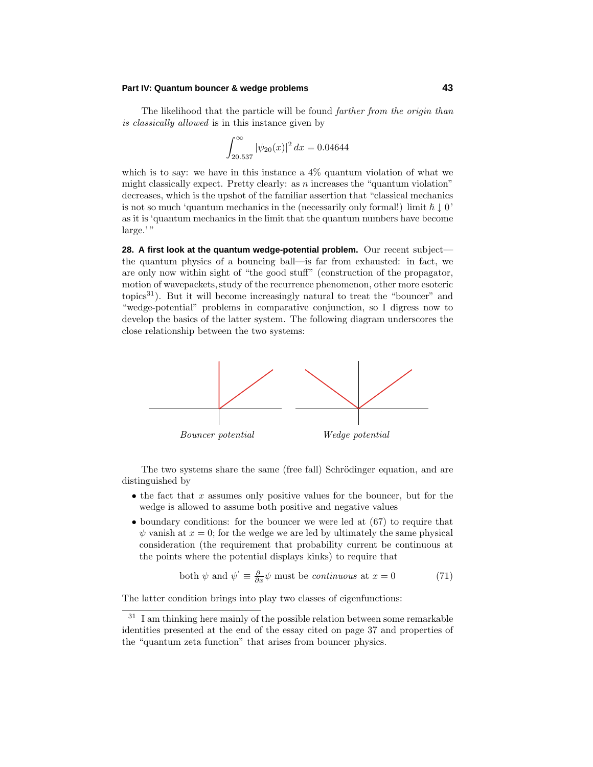The likelihood that the particle will be found *farther from the origin than* is classically allowed is in this instance given by

$$
\int_{20.537}^{\infty} |\psi_{20}(x)|^2 dx = 0.04644
$$

which is to say: we have in this instance a 4% quantum violation of what we might classically expect. Pretty clearly: as *n* increases the "quantum violation" decreases, which is the upshot of the familiar assertion that "classical mechanics is not so much 'quantum mechanics in the (necessarily only formal!) limit  $\hbar \downarrow 0'$ as it is 'quantum mechanics in the limit that the quantum numbers have become large.'"

**28. A first look at the quantum wedge-potential problem.** Our recent subject the quantum physics of a bouncing ball—is far from exhausted: in fact, we are only now within sight of "the good stuff" (construction of the propagator, motion of wavepackets, study of the recurrence phenomenon, other more esoteric topics<sup>31</sup>). But it will become increasingly natural to treat the "bouncer" and "wedge-potential" problems in comparative conjunction, so I digress now to develop the basics of the latter system. The following diagram underscores the close relationship between the two systems:



The two systems share the same (free fall) Schrödinger equation, and are distinguished by

- the fact that *x* assumes only positive values for the bouncer, but for the wedge is allowed to assume both positive and negative values
- boundary conditions: for the bouncer we were led at  $(67)$  to require that  $\psi$  vanish at  $x = 0$ ; for the wedge we are led by ultimately the same physical consideration (the requirement that probability current be continuous at the points where the potential displays kinks) to require that

both 
$$
\psi
$$
 and  $\psi' \equiv \frac{\partial}{\partial x} \psi$  must be *continuous* at  $x = 0$  (71)

The latter condition brings into play two classes of eigenfunctions:

 $31$  I am thinking here mainly of the possible relation between some remarkable identities presented at the end of the essay cited on page 37 and properties of the "quantum zeta function" that arises from bouncer physics.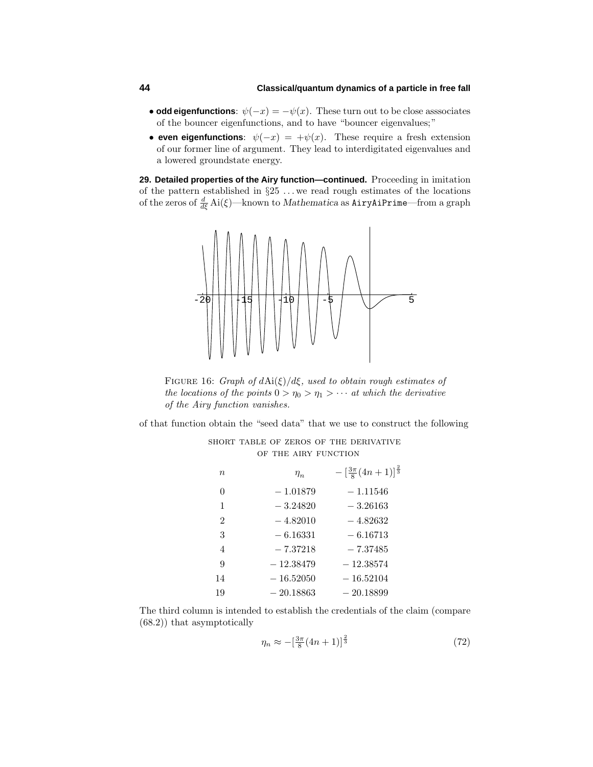# **44 Classical/quantum dynamics of a particle in free fall**

- **odd eigenfunctions**:  $\psi(-x) = -\psi(x)$ . These turn out to be close asssociates of the bouncer eigenfunctions, and to have "bouncer eigenvalues;"
- **even eigenfunctions**:  $\psi(-x) = +\psi(x)$ . These require a fresh extension of our former line of argument. They lead to interdigitated eigenvalues and a lowered groundstate energy.

**29. Detailed properties of the Airy function—continued.** Proceeding in imitation of the pattern established in §25 *...* we read rough estimates of the locations of the zeros of *<sup>d</sup> dξ* Ai(*ξ*)—known to *Mathematica* as AiryAiPrime—from a graph



Figure 16: Graph of *d*Ai(*ξ*)*/dξ*, used to obtain rough estimates of the locations of the points  $0 > \eta_0 > \eta_1 > \cdots$  at which the derivative of the Airy function vanishes.

of that function obtain the "seed data" that we use to construct the following short table of zeros of the derivative

| OF THE AIRY FUNCTION |             |                                                    |  |
|----------------------|-------------|----------------------------------------------------|--|
| $\boldsymbol{n}$     | $\eta_n$    | $-\left[\frac{3\pi}{8}(4n+1)\right]^{\frac{2}{3}}$ |  |
| $\theta$             | $-1.01879$  | $-1.11546$                                         |  |
| 1                    | $-3.24820$  | $-3.26163$                                         |  |
| $\overline{2}$       | $-4.82010$  | $-4.82632$                                         |  |
| 3                    | $-6.16331$  | $-6.16713$                                         |  |
| $\overline{4}$       | $-7.37218$  | $-7.37485$                                         |  |
| 9                    | $-12.38479$ | $-12.38574$                                        |  |
| 14                   | $-16.52050$ | $-16.52104$                                        |  |
| 19                   | $-20.18863$ | $-20.18899$                                        |  |

The third column is intended to establish the credentials of the claim (compare (68.2)) that asymptotically

$$
\eta_n \approx -\left[\frac{3\pi}{8}(4n+1)\right]^{\frac{2}{3}}\tag{72}
$$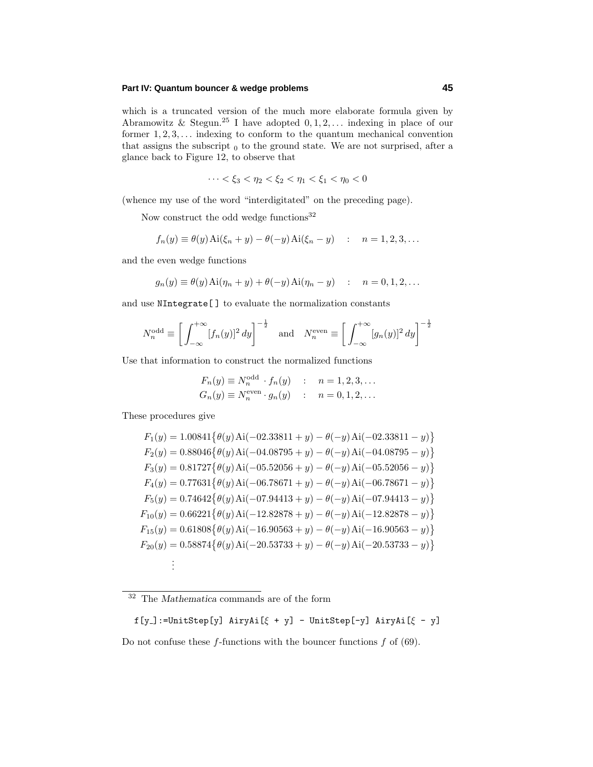which is a truncated version of the much more elaborate formula given by Abramowitz & Stegun.<sup>25</sup> I have adopted 0*,* 1*,* 2*,...* indexing in place of our former 1*,* 2*,* 3*,...* indexing to conform to the quantum mechanical convention that assigns the subscript  $_0$  to the ground state. We are not surprised, after a glance back to Figure 12, to observe that

$$
\cdots < \xi_3 < \eta_2 < \xi_2 < \eta_1 < \xi_1 < \eta_0 < 0
$$

(whence my use of the word "interdigitated" on the preceding page).

Now construct the odd wedge functions  $32$ 

$$
f_n(y) \equiv \theta(y) \text{Ai}(\xi_n + y) - \theta(-y) \text{Ai}(\xi_n - y)
$$
 :  $n = 1, 2, 3, ...$ 

and the even wedge functions

$$
g_n(y) \equiv \theta(y) \text{Ai}(\eta_n + y) + \theta(-y) \text{Ai}(\eta_n - y) \quad : \quad n = 0, 1, 2, \dots
$$

and use NIntegrate[ ] to evaluate the normalization constants

$$
N_n^{\text{odd}} \equiv \left[ \int_{-\infty}^{+\infty} [f_n(y)]^2 dy \right]^{-\frac{1}{2}} \quad \text{and} \quad N_n^{\text{even}} \equiv \left[ \int_{-\infty}^{+\infty} [g_n(y)]^2 dy \right]^{-\frac{1}{2}}
$$

Use that information to construct the normalized functions

$$
F_n(y) \equiv N_n^{\text{odd}} \cdot f_n(y) \quad : \quad n = 1, 2, 3, \dots
$$
  
\n
$$
G_n(y) \equiv N_n^{\text{even}} \cdot g_n(y) \quad : \quad n = 0, 1, 2, \dots
$$

These procedures give

$$
F_1(y) = 1.00841\{\theta(y) \text{ Ai}(-02.33811 + y) - \theta(-y) \text{ Ai}(-02.33811 - y)\}
$$
  
\n
$$
F_2(y) = 0.88046\{\theta(y) \text{ Ai}(-04.08795 + y) - \theta(-y) \text{ Ai}(-04.08795 - y)\}
$$
  
\n
$$
F_3(y) = 0.81727\{\theta(y) \text{ Ai}(-05.52056 + y) - \theta(-y) \text{ Ai}(-05.52056 - y)\}
$$
  
\n
$$
F_4(y) = 0.77631\{\theta(y) \text{ Ai}(-06.78671 + y) - \theta(-y) \text{ Ai}(-06.78671 - y)\}
$$
  
\n
$$
F_5(y) = 0.74642\{\theta(y) \text{ Ai}(-07.94413 + y) - \theta(-y) \text{ Ai}(-07.94413 - y)\}
$$
  
\n
$$
F_{10}(y) = 0.66221\{\theta(y) \text{ Ai}(-12.82878 + y) - \theta(-y) \text{ Ai}(-12.82878 - y)\}
$$
  
\n
$$
F_{15}(y) = 0.61808\{\theta(y) \text{ Ai}(-16.90563 + y) - \theta(-y) \text{ Ai}(-16.90563 - y)\}
$$
  
\n
$$
F_{20}(y) = 0.58874\{\theta(y) \text{ Ai}(-20.53733 + y) - \theta(-y) \text{ Ai}(-20.53733 - y)\}
$$
  
\n
$$
\vdots
$$

f[y ]:=UnitStep[y] AiryAi[*ξ* + y] - UnitStep[-y] AiryAi[*ξ* - y]

Do not confuse these *f*-functions with the bouncer functions *f* of (69).

<sup>32</sup> The *Mathematica* commands are of the form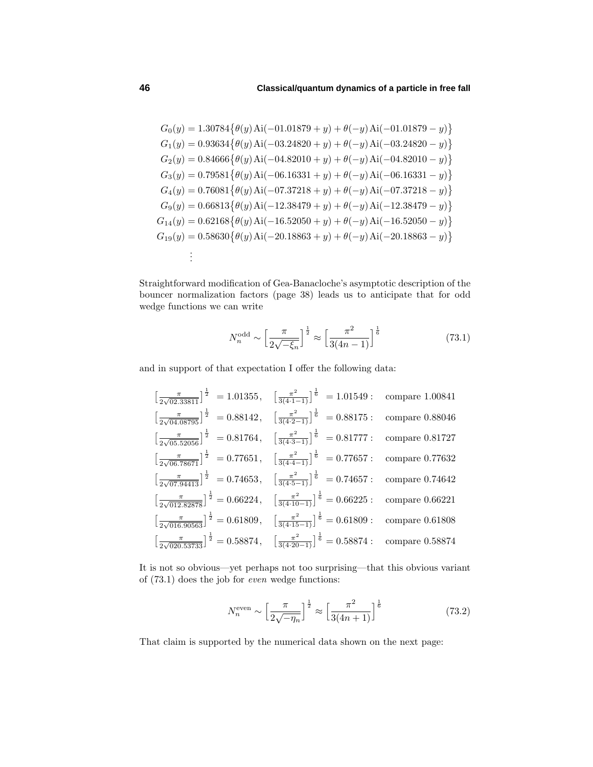$$
G_0(y) = 1.30784\{\theta(y) \text{ Ai}(-01.01879 + y) + \theta(-y) \text{ Ai}(-01.01879 - y)\}
$$
  
\n
$$
G_1(y) = 0.93634\{\theta(y) \text{ Ai}(-03.24820 + y) + \theta(-y) \text{ Ai}(-03.24820 - y)\}
$$
  
\n
$$
G_2(y) = 0.84666\{\theta(y) \text{ Ai}(-04.82010 + y) + \theta(-y) \text{ Ai}(-04.82010 - y)\}
$$
  
\n
$$
G_3(y) = 0.79581\{\theta(y) \text{ Ai}(-06.16331 + y) + \theta(-y) \text{ Ai}(-06.16331 - y)\}
$$
  
\n
$$
G_4(y) = 0.76081\{\theta(y) \text{ Ai}(-07.37218 + y) + \theta(-y) \text{ Ai}(-07.37218 - y)\}
$$
  
\n
$$
G_9(y) = 0.66813\{\theta(y) \text{ Ai}(-12.38479 + y) + \theta(-y) \text{ Ai}(-12.38479 - y)\}
$$
  
\n
$$
G_{14}(y) = 0.62168\{\theta(y) \text{ Ai}(-16.52050 + y) + \theta(-y) \text{ Ai}(-16.52050 - y)\}
$$
  
\n
$$
G_{19}(y) = 0.58630\{\theta(y) \text{ Ai}(-20.18863 + y) + \theta(-y) \text{ Ai}(-20.18863 - y)\}
$$
  
\n
$$
\vdots
$$

Straightforward modification of Gea-Banacloche's asymptotic description of the bouncer normalization factors (page 38) leads us to anticipate that for odd wedge functions we can write

$$
N_n^{\text{odd}} \sim \left[\frac{\pi}{2\sqrt{-\xi_n}}\right]^{\frac{1}{2}} \approx \left[\frac{\pi^2}{3(4n-1)}\right]^{\frac{1}{6}} \tag{73.1}
$$

and in support of that expectation I offer the following data:

$$
\left[\frac{\pi}{2\sqrt{02.33811}}\right]^{\frac{1}{2}} = 1.01355, \quad \left[\frac{\pi^2}{3(4\cdot1-1)}\right]^{\frac{1}{6}} = 1.01549: \quad \text{compare } 1.00841
$$
\n
$$
\left[\frac{\pi}{2\sqrt{04.08795}}\right]^{\frac{1}{2}} = 0.88142, \quad \left[\frac{\pi^2}{3(4\cdot2-1)}\right]^{\frac{1}{6}} = 0.88175: \quad \text{compare } 0.88046
$$
\n
$$
\left[\frac{\pi}{2\sqrt{05.52056}}\right]^{\frac{1}{2}} = 0.81764, \quad \left[\frac{\pi^2}{3(4\cdot3-1)}\right]^{\frac{1}{6}} = 0.81777: \quad \text{compare } 0.81727
$$
\n
$$
\left[\frac{\pi}{2\sqrt{06.78671}}\right]^{\frac{1}{2}} = 0.77651, \quad \left[\frac{\pi^2}{3(4\cdot4-1)}\right]^{\frac{1}{6}} = 0.77657: \quad \text{compare } 0.77632
$$
\n
$$
\left[\frac{\pi}{2\sqrt{07.94413}}\right]^{\frac{1}{2}} = 0.74653, \quad \left[\frac{\pi^2}{3(4\cdot5-1)}\right]^{\frac{1}{6}} = 0.74657: \quad \text{compare } 0.74642
$$
\n
$$
\left[\frac{\pi}{2\sqrt{012.82878}}\right]^{\frac{1}{2}} = 0.66224, \quad \left[\frac{\pi^2}{3(4\cdot10-1)}\right]^{\frac{1}{6}} = 0.66225: \quad \text{compare } 0.66221
$$
\n
$$
\left[\frac{\pi}{2\sqrt{016.90563}}\right]^{\frac{1}{2}} = 0.61809, \quad \left[\frac{\pi^2}{3(4\cdot15-1)}\right]^{\frac{1}{6}} = 0.61809: \quad \text{compare } 0.61808
$$
\n
$$
\left[\frac{\pi}{2\sqrt{020.53733}}\right]^{\frac{1
$$

It is not so obvious—yet perhaps not too surprising—that this obvious variant of (73.1) does the job for even wedge functions:

$$
N_n^{\text{even}} \sim \left[\frac{\pi}{2\sqrt{-\eta_n}}\right]^{\frac{1}{2}} \approx \left[\frac{\pi^2}{3(4n+1)}\right]^{\frac{1}{6}} \tag{73.2}
$$

That claim is supported by the numerical data shown on the next page: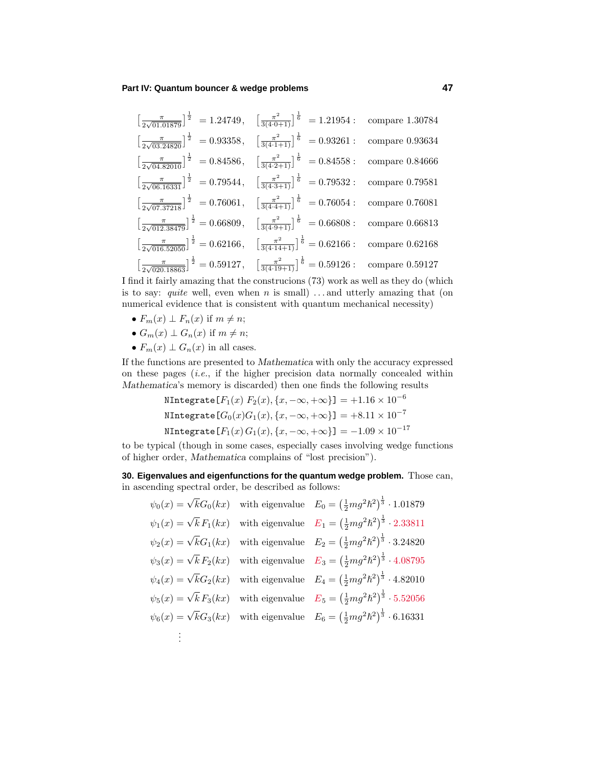$$
\left[\frac{\pi}{2\sqrt{01.01879}}\right]^{\frac{1}{2}} = 1.24749, \quad \left[\frac{\pi^2}{3(4\cdot 0+1)}\right]^{\frac{1}{6}} = 1.21954: \text{ compare } 1.30784
$$
\n
$$
\left[\frac{\pi}{2\sqrt{03.24820}}\right]^{\frac{1}{2}} = 0.93358, \quad \left[\frac{\pi^2}{3(4\cdot 1+1)}\right]^{\frac{1}{6}} = 0.93261: \text{ compare } 0.93634
$$
\n
$$
\left[\frac{\pi}{2\sqrt{04.82010}}\right]^{\frac{1}{2}} = 0.84586, \quad \left[\frac{\pi^2}{3(4\cdot 2+1)}\right]^{\frac{1}{6}} = 0.84558: \text{ compare } 0.84666
$$
\n
$$
\left[\frac{\pi}{2\sqrt{06.16331}}\right]^{\frac{1}{2}} = 0.79544, \quad \left[\frac{\pi^2}{3(4\cdot 3+1)}\right]^{\frac{1}{6}} = 0.79532: \text{ compare } 0.79581
$$
\n
$$
\left[\frac{\pi}{2\sqrt{07.37218}}\right]^{\frac{1}{2}} = 0.76061, \quad \left[\frac{\pi^2}{3(4\cdot 4+1)}\right]^{\frac{1}{6}} = 0.76054: \text{ compare } 0.76081
$$
\n
$$
\left[\frac{\pi}{2\sqrt{012.38479}}\right]^{\frac{1}{2}} = 0.66809, \quad \left[\frac{\pi^2}{3(4\cdot 9+1)}\right]^{\frac{1}{6}} = 0.66808: \text{ compare } 0.66813
$$
\n
$$
\left[\frac{\pi}{2\sqrt{016.52050}}\right]^{\frac{1}{2}} = 0.62166, \quad \left[\frac{\pi^2}{3(4\cdot 14+1)}\right]^{\frac{1}{6}} = 0.62166: \text{ compare } 0.62168
$$
\n
$$
\left[\frac{\pi}{2\sqrt{020.18863}}\right]^{\frac{1}{2}} = 0.5
$$

I find it fairly amazing that the construcions (73) work as well as they do (which is to say: quite well, even when *n* is small) *...* and utterly amazing that (on numerical evidence that is consistent with quantum mechanical necessity)

- $F_m(x) \perp F_n(x)$  if  $m \neq n$ ;
- $G_m(x) \perp G_n(x)$  if  $m \neq n$ ;
- $F_m(x) \perp G_n(x)$  in all cases.

If the functions are presented to *Mathematica* with only the accuracy expressed on these pages  $(i.e., if the higher precision data normally concealed within$ *Mathematica*'s memory is discarded) then one finds the following results

$$
\text{NIntegrate}\left[F_1(x) \ F_2(x), \{x, -\infty, +\infty\}\right] = +1.16 \times 10^{-6}
$$
\n
$$
\text{NIntegrate}\left[G_0(x)G_1(x), \{x, -\infty, +\infty\}\right] = +8.11 \times 10^{-7}
$$
\n
$$
\text{NIntegrate}\left[F_1(x) G_1(x), \{x, -\infty, +\infty\}\right] = -1.09 \times 10^{-17}
$$

to be typical (though in some cases, especially cases involving wedge functions of higher order, *Mathematica* complains of "lost precision").

**30. Eigenvalues and eigenfunctions for the quantum wedge problem.** Those can, in ascending spectral order, be described as follows:

$$
\psi_0(x) = \sqrt{k}G_0(kx) \text{ with eigenvalue } E_0 = \left(\frac{1}{2}mg^2\hbar^2\right)^{\frac{1}{3}} \cdot 1.01879
$$
  
\n
$$
\psi_1(x) = \sqrt{k}F_1(kx) \text{ with eigenvalue } E_1 = \left(\frac{1}{2}mg^2\hbar^2\right)^{\frac{1}{3}} \cdot 2.33811
$$
  
\n
$$
\psi_2(x) = \sqrt{k}G_1(kx) \text{ with eigenvalue } E_2 = \left(\frac{1}{2}mg^2\hbar^2\right)^{\frac{1}{3}} \cdot 3.24820
$$
  
\n
$$
\psi_3(x) = \sqrt{k}F_2(kx) \text{ with eigenvalue } E_3 = \left(\frac{1}{2}mg^2\hbar^2\right)^{\frac{1}{3}} \cdot 4.08795
$$
  
\n
$$
\psi_4(x) = \sqrt{k}G_2(kx) \text{ with eigenvalue } E_4 = \left(\frac{1}{2}mg^2\hbar^2\right)^{\frac{1}{3}} \cdot 4.82010
$$
  
\n
$$
\psi_5(x) = \sqrt{k}F_3(kx) \text{ with eigenvalue } E_5 = \left(\frac{1}{2}mg^2\hbar^2\right)^{\frac{1}{3}} \cdot 5.52056
$$
  
\n
$$
\psi_6(x) = \sqrt{k}G_3(kx) \text{ with eigenvalue } E_6 = \left(\frac{1}{2}mg^2\hbar^2\right)^{\frac{1}{3}} \cdot 6.16331
$$
  
\n
$$
\vdots
$$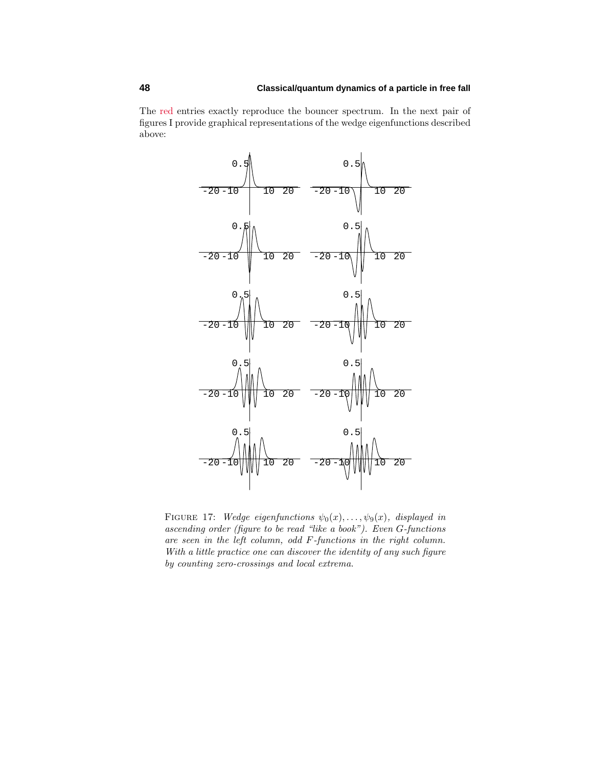The red entries exactly reproduce the bouncer spectrum. In the next pair of figures I provide graphical representations of the wedge eigenfunctions described above:



FIGURE 17: Wedge eigenfunctions  $\psi_0(x), \ldots, \psi_9(x)$ , displayed in ascending order (figure to be read "like a book"). Even *G*-functions are seen in the left column, odd *F*-functions in the right column. With a little practice one can discover the identity of any such figure by counting zero-crossings and local extrema.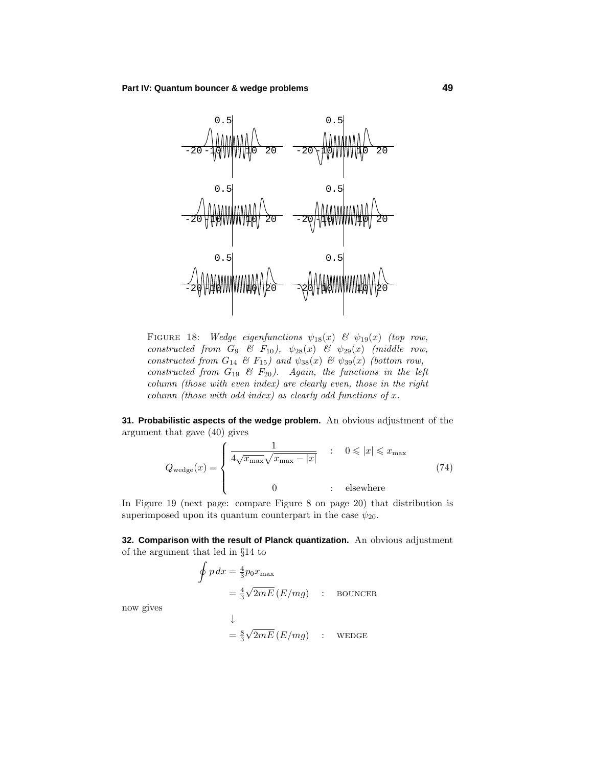

FIGURE 18: Wedge eigenfunctions  $\psi_{18}(x)$  &  $\psi_{19}(x)$  (top row,  $\emph{constructed from } G_9 \ \& \ F_{10}$ ,  $\psi_{28}(x) \ \& \ \psi_{29}(x) \ \ (middle \ row,$ constructed from  $G_{14}$  &  $F_{15}$ ) and  $\psi_{38}(x)$  &  $\psi_{39}(x)$  (bottom row, constructed from *G*<sup>19</sup> & *F*20). Again, the functions in the left column (those with even index) are clearly even, those in the right column (those with odd index) as clearly odd functions of *x*.

**31. Probabilistic aspects of the wedge problem.** An obvious adjustment of the argument that gave (40) gives

$$
Q_{\text{wedge}}(x) = \begin{cases} \frac{1}{4\sqrt{x_{\text{max}}}\sqrt{x_{\text{max}} - |x|}} & : & 0 \leq |x| \leq x_{\text{max}}\\ 0 & : & \text{elsewhere} \end{cases} \tag{74}
$$

In Figure 19 (next page: compare Figure 8 on page 20) that distribution is superimposed upon its quantum counterpart in the case  $\psi_{20}$ .

**32. Comparison with the result of Planck quantization.** An obvious adjustment of the argument that led in  $\S 14$  to

$$
\oint p dx = \frac{4}{3} p_0 x_{\text{max}}
$$
  
=  $\frac{4}{3} \sqrt{2mE} (E/mg)$  : BOUNCER

now gives

↓  $=\frac{8}{3}$  $\sqrt{2mE}$   $(E/mg)$  : wedge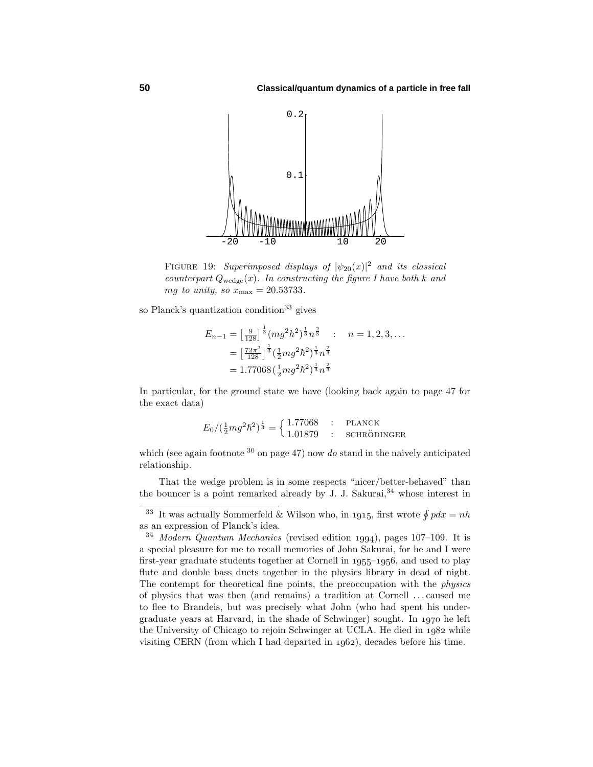

FIGURE 19: Superimposed displays of  $|\psi_{20}(x)|^2$  and its classical counterpart  $Q_{\text{wedge}}(x)$ . In constructing the figure I have both *k* and *mg* to unity, so  $x_{\text{max}} = 20.53733$ .

so Planck's quantization condition<sup>33</sup> gives

$$
E_{n-1} = \left[\frac{9}{128}\right]^{\frac{1}{3}} (mg^2h^2)^{\frac{1}{3}}n^{\frac{2}{3}} : n = 1, 2, 3, ...
$$

$$
= \left[\frac{72\pi^2}{128}\right]^{\frac{1}{3}} \left(\frac{1}{2}mg^2h^2\right)^{\frac{1}{3}}n^{\frac{2}{3}}
$$

$$
= 1.77068 \left(\frac{1}{2}mg^2h^2\right)^{\frac{1}{3}}n^{\frac{2}{3}}
$$

In particular, for the ground state we have (looking back again to page 47 for the exact data)

$$
E_0 / (\frac{1}{2}mg^2\hbar^2)^{\frac{1}{3}} = \begin{cases} 1.77068 & : \text{ PLANCK} \\ 1.01879 & : \text{SCHRÖDINGER} \end{cases}
$$

which (see again footnote  $30$  on page 47) now do stand in the naively anticipated relationship.

That the wedge problem is in some respects "nicer/better-behaved" than the bouncer is a point remarked already by J. J. Sakurai,  $34$  whose interest in

<sup>&</sup>lt;sup>33</sup> It was actually Sommerfeld & Wilson who, in 1915, first wrote  $\oint pdx = nh$ as an expression of Planck's idea.

 $34$  Modern Quantum Mechanics (revised edition 1994), pages 107–109. It is a special pleasure for me to recall memories of John Sakurai, for he and I were first-year graduate students together at Cornell in  $1955-1956$ , and used to play flute and double bass duets together in the physics library in dead of night. The contempt for theoretical fine points, the preoccupation with the physics of physics that was then (and remains) a tradition at Cornell *...* caused me to flee to Brandeis, but was precisely what John (who had spent his undergraduate years at Harvard, in the shade of Schwinger) sought. In 1970 he left the University of Chicago to rejoin Schwinger at UCLA. He died in  $1982$  while visiting CERN (from which I had departed in  $1062$ ), decades before his time.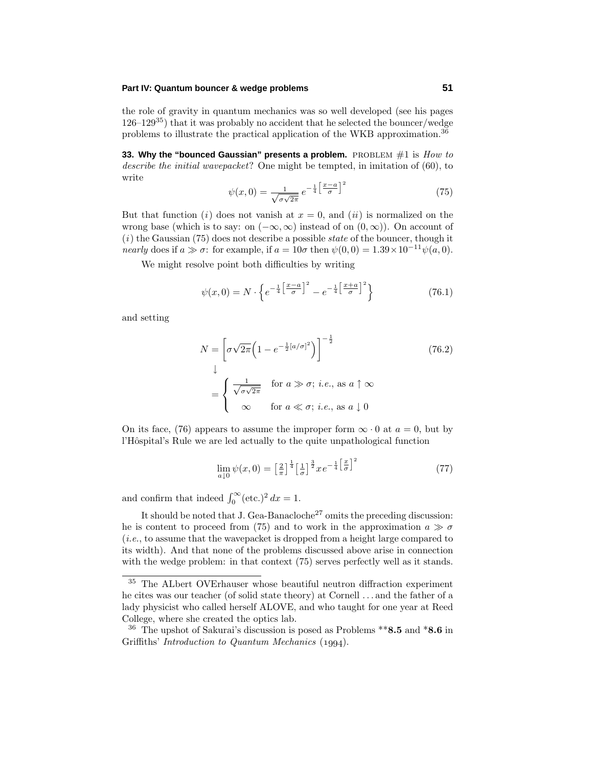the role of gravity in quantum mechanics was so well developed (see his pages 126–12935) that it was probably no accident that he selected the bouncer/wedge problems to illustrate the practical application of the WKB approximation.<sup>36</sup>

**33. Why the "bounced Gaussian" presents a problem.** PROBLEM #1 is  $How\ to$ describe the initial wavepacket? One might be tempted, in imitation of (60), to write

$$
\psi(x,0) = \frac{1}{\sqrt{\sigma\sqrt{2\pi}}}e^{-\frac{1}{4}\left[\frac{x-a}{\sigma}\right]^2}
$$
\n(75)

But that function (i) does not vanish at  $x = 0$ , and (ii) is normalized on the wrong base (which is to say: on  $(-\infty, \infty)$  instead of on  $(0, \infty)$ ). On account of  $(i)$  the Gaussian (75) does not describe a possible *state* of the bouncer, though it nearly does if  $a \gg \sigma$ : for example, if  $a = 10\sigma$  then  $\psi(0,0) = 1.39 \times 10^{-11} \psi(a,0)$ .

We might resolve point both difficulties by writing

$$
\psi(x,0) = N \cdot \left\{ e^{-\frac{1}{4} \left[ \frac{x-a}{\sigma} \right]^2} - e^{-\frac{1}{4} \left[ \frac{x+a}{\sigma} \right]^2} \right\} \tag{76.1}
$$

and setting

$$
N = \left[\sigma\sqrt{2\pi}\left(1 - e^{-\frac{1}{2}[a/\sigma]^2}\right)\right]^{-\frac{1}{2}}
$$
(76.2)  

$$
\downarrow
$$
  

$$
= \begin{cases} \frac{1}{\sqrt{\sigma\sqrt{2\pi}}} & \text{for } a \gg \sigma; i.e., \text{ as } a \uparrow \infty \\ \infty & \text{for } a \ll \sigma; i.e., \text{ as } a \downarrow 0 \end{cases}
$$

On its face, (76) appears to assume the improper form  $\infty \cdot 0$  at  $a = 0$ , but by l'Hôspital's Rule we are led actually to the quite unpathological function

$$
\lim_{a\downarrow 0} \psi(x,0) = \left[\frac{2}{\pi}\right]^{\frac{1}{4}} \left[\frac{1}{\sigma}\right]^{\frac{3}{2}} x e^{-\frac{1}{4} \left[\frac{x}{\sigma}\right]^2} \tag{77}
$$

and confirm that indeed  $\int_0^\infty (\text{etc.})^2 dx = 1$ .

It should be noted that J. Gea-Banacloche<sup>27</sup> omits the preceding discussion: he is content to proceed from (75) and to work in the approximation  $a \gg \sigma$ (i.e., to assume that the wavepacket is dropped from a height large compared to its width). And that none of the problems discussed above arise in connection with the wedge problem: in that context (75) serves perfectly well as it stands.

<sup>35</sup> The ALbert OVErhauser whose beautiful neutron diffraction experiment he cites was our teacher (of solid state theory) at Cornell *...* and the father of a lady physicist who called herself ALOVE, and who taught for one year at Reed College, where she created the optics lab.

<sup>36</sup> The upshot of Sakurai's discussion is posed as Problems \*\***8.5** and \***8.6** in Griffiths' Introduction to Quantum Mechanics  $(1994)$ .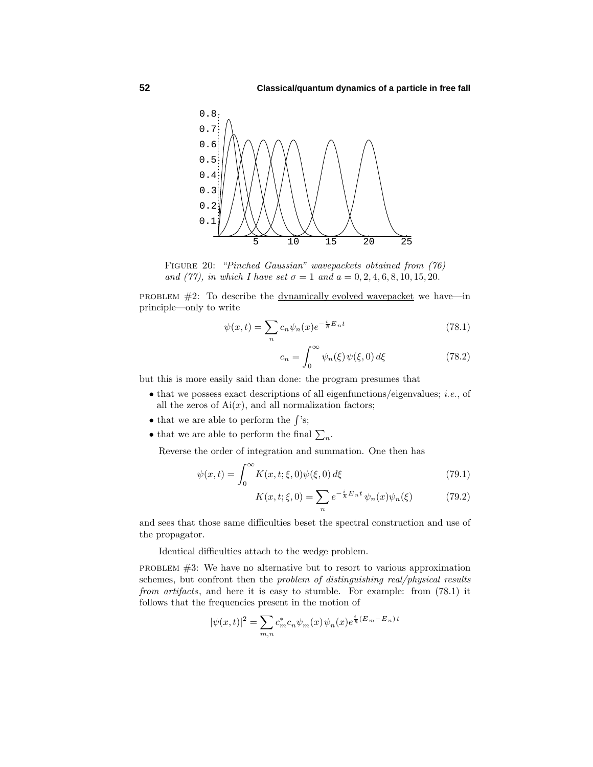

Figure 20: "Pinched Gaussian" wavepackets obtained from (76) and (77), in which I have set  $\sigma = 1$  and  $a = 0, 2, 4, 6, 8, 10, 15, 20$ .

PROBLEM  $#2$ : To describe the <u>dynamically evolved wavepacket</u> we have—in principle—only to write

$$
\psi(x,t) = \sum_{n} c_n \psi_n(x) e^{-\frac{i}{\hbar}E_n t} \tag{78.1}
$$

$$
c_n = \int_0^\infty \psi_n(\xi) \psi(\xi, 0) d\xi \tag{78.2}
$$

but this is more easily said than done: the program presumes that

- $\bullet$  that we possess exact descriptions of all eigenfunctions/eigenvalues; *i.e.*, of all the zeros of  $Ai(x)$ , and all normalization factors;
- that we are able to perform the  $\int$ 's;
- that we are able to perform the final  $\sum_n$ .

Reverse the order of integration and summation. One then has

$$
\psi(x,t) = \int_0^\infty K(x,t;\xi,0)\psi(\xi,0)\,d\xi\tag{79.1}
$$

$$
K(x, t; \xi, 0) = \sum_{n} e^{-\frac{i}{\hbar} E_n t} \psi_n(x) \psi_n(\xi)
$$
 (79.2)

and sees that those same difficulties beset the spectral construction and use of the propagator.

Identical difficulties attach to the wedge problem.

problem #3: We have no alternative but to resort to various approximation schemes, but confront then the *problem of distinguishing real/physical results* from artifacts, and here it is easy to stumble. For example: from (78.1) it follows that the frequencies present in the motion of

$$
|\psi(x,t)|^2 = \sum_{m,n} c_m^* c_n \psi_m(x) \psi_n(x) e^{\frac{i}{\hbar}(E_m - E_n)t}
$$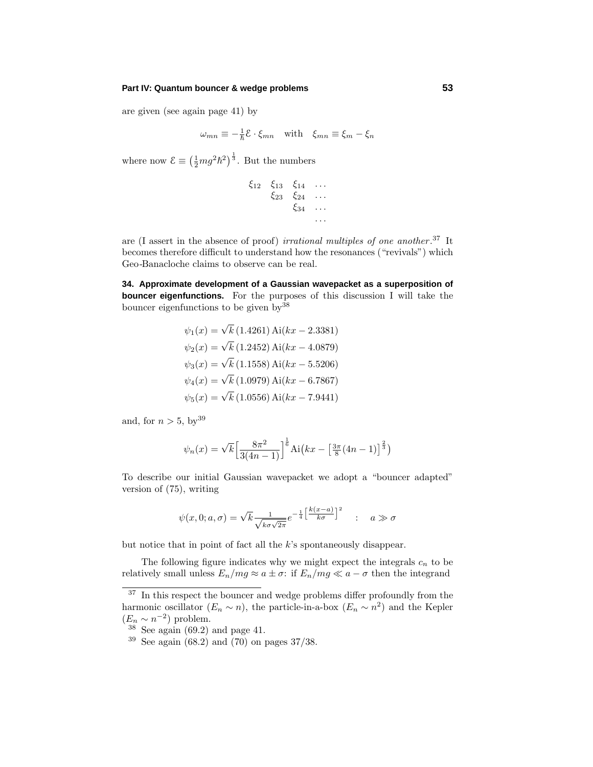are given (see again page 41) by

$$
\omega_{mn} \equiv -\frac{1}{\hbar} \mathcal{E} \cdot \xi_{mn} \quad \text{with} \quad \xi_{mn} \equiv \xi_m - \xi_n
$$

where now  $\mathcal{E} \equiv \left(\frac{1}{2}mg^2\hbar^2\right)^{\frac{1}{3}}$ . But the numbers

$$
\begin{array}{cccc}\n\xi_{12} & \xi_{13} & \xi_{14} & \dots \\
\xi_{23} & \xi_{24} & \dots \\
\xi_{34} & \dots \\
\vdots & \vdots\n\end{array}
$$

are (I assert in the absence of proof) *irrational multiples of one another*.<sup>37</sup> It becomes therefore difficult to understand how the resonances ("revivals") which Geo-Banacloche claims to observe can be real.

**34. Approximate development of a Gaussian wavepacket as a superposition of bouncer eigenfunctions.** For the purposes of this discussion I will take the bouncer eigenfunctions to be given  $bv^{38}$ 

$$
\psi_1(x) = \sqrt{k} (1.4261) \text{ Ai}(kx - 2.3381)
$$
  
\n
$$
\psi_2(x) = \sqrt{k} (1.2452) \text{ Ai}(kx - 4.0879)
$$
  
\n
$$
\psi_3(x) = \sqrt{k} (1.1558) \text{ Ai}(kx - 5.5206)
$$
  
\n
$$
\psi_4(x) = \sqrt{k} (1.0979) \text{ Ai}(kx - 6.7867)
$$
  
\n
$$
\psi_5(x) = \sqrt{k} (1.0556) \text{ Ai}(kx - 7.9441)
$$

and, for  $n > 5$ , by<sup>39</sup>

$$
\psi_n(x) = \sqrt{k} \left[ \frac{8\pi^2}{3(4n-1)} \right]^{\frac{1}{6}} \text{Ai}\left(kx - \left[ \frac{3\pi}{8} (4n-1) \right]^{\frac{2}{3}} \right)
$$

To describe our initial Gaussian wavepacket we adopt a "bouncer adapted" version of (75), writing

$$
\psi(x,0;a,\sigma) = \sqrt{k} \frac{1}{\sqrt{k\sigma\sqrt{2\pi}}} e^{-\frac{1}{4}\left[\frac{k(x-a)}{k\sigma}\right]^2} \quad : \quad a \gg \sigma
$$

but notice that in point of fact all the *k*'s spontaneously disappear.

The following figure indicates why we might expect the integrals  $c_n$  to be relatively small unless  $E_n/mg \approx a \pm \sigma$ : if  $E_n/mg \ll a - \sigma$  then the integrand

 $37$  In this respect the bouncer and wedge problems differ profoundly from the harmonic oscillator  $(E_n \sim n)$ , the particle-in-a-box  $(E_n \sim n^2)$  and the Kepler  $(E_n \sim n^{-2})$  problem.

 $38$  See again (69.2) and page 41.

 $39$  See again (68.2) and (70) on pages 37/38.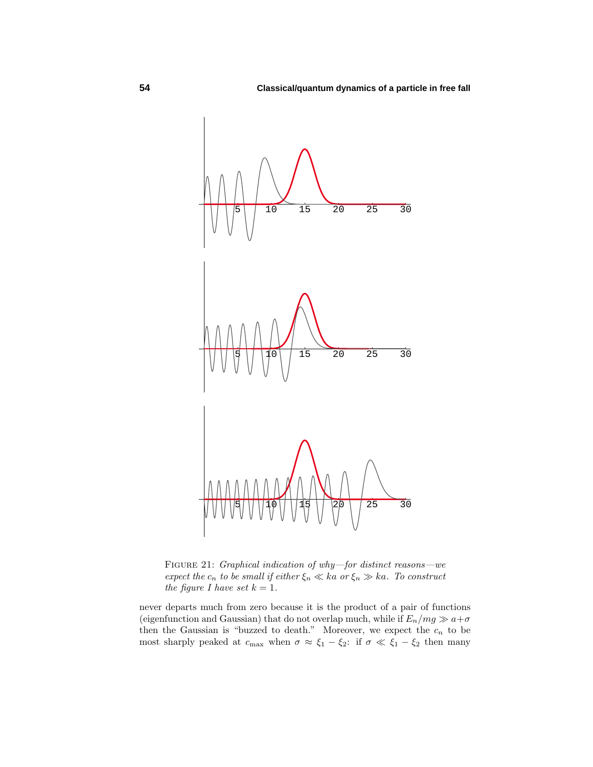

FIGURE 21: *Graphical indication of why—for distinct reasons—we* expect the  $c_n$  to be small if either  $\xi_n \ll ka$  or  $\xi_n \gg ka$ . To construct the figure *I* have set  $k = 1$ .

never departs much from zero because it is the product of a pair of functions (eigenfunction and Gaussian) that do not overlap much, while if  $E_n/mg \gg a+\sigma$ then the Gaussian is "buzzed to death." Moreover, we expect the  $c_n$  to be most sharply peaked at  $c_{\text{max}}$  when  $\sigma \approx \xi_1 - \xi_2$ : if  $\sigma \ll \xi_1 - \xi_2$  then many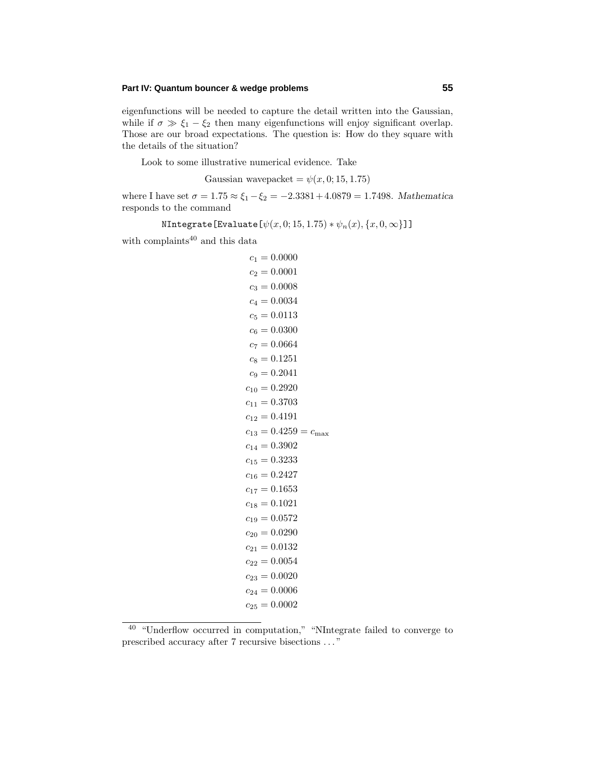eigenfunctions will be needed to capture the detail written into the Gaussian, while if  $\sigma \gg \xi_1 - \xi_2$  then many eigenfunctions will enjoy significant overlap. Those are our broad expectations. The question is: How do they square with the details of the situation?

Look to some illustrative numerical evidence. Take

Gaussian wavepacket =  $\psi(x, 0; 15, 1.75)$ 

where I have set  $\sigma = 1.75 \approx \xi_1 - \xi_2 = -2.3381 + 4.0879 = 1.7498$ . *Mathematica* responds to the command

$$
\mathtt{NIntegrate}\left[\mathtt{Evaluate}\left[\psi(x,0;15,1.75)*\psi_n(x),\{x,0,\infty\}\right]\right]
$$

with complaints  $\!^{40}$  and this data

|  | $c_1 = 0.0000$<br>$c_2 = 0.0001$<br>$c_3 = 0.0008$<br>$c_4 = 0.0034$<br>$c_5 = 0.0113$<br>$c_6 = 0.0300$<br>$c_7 = 0.0664$<br>$c_8 = 0.1251$<br>$c_9 = 0.2041$<br>$c_{10} = 0.2920$<br>$c_{11} = 0.3703$<br>$c_{12} = 0.4191$<br>$c_{14} = 0.3902$<br>$c_{15} = 0.3233$<br>$c_{16} = 0.2427$<br>$c_{17} = 0.1653$<br>$c_{18} = 0.1021$<br>$c_{19} = 0.0572$<br>$c_{20} = 0.0290$<br>$c_{21} = 0.0132$<br>$c_{22} = 0.0054$<br>$c_{23} = 0.0020$<br>$c_{24} = 0.0006$<br>$c_{25} = 0.0002$ | $c_{13} = 0.4259 = c_{\text{max}}$ |
|--|-------------------------------------------------------------------------------------------------------------------------------------------------------------------------------------------------------------------------------------------------------------------------------------------------------------------------------------------------------------------------------------------------------------------------------------------------------------------------------------------|------------------------------------|

<sup>&</sup>lt;sup>40</sup> "Underflow occurred in computation," "NIntegrate failed to converge to prescribed accuracy after 7 recursive bisections *...* "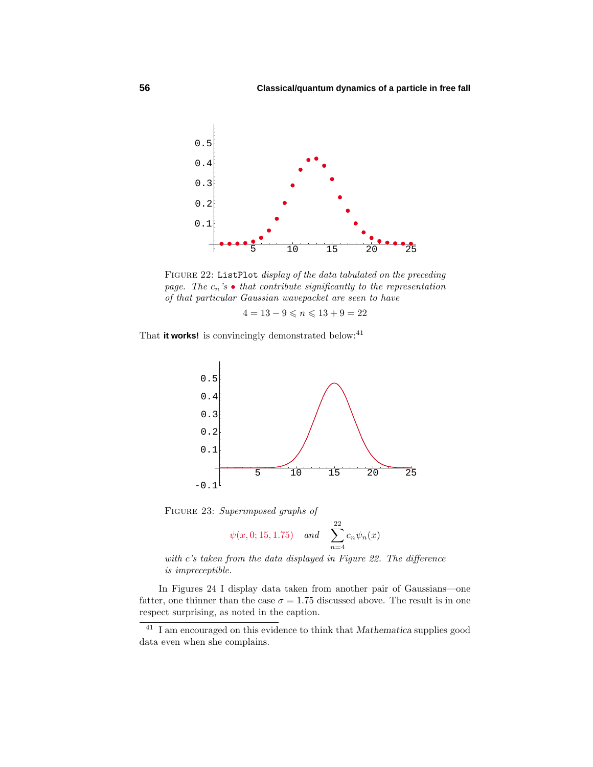

FIGURE 22: ListPlot *display of the data tabulated on the preceding* page. The  $c_n$ 's  $\bullet$  that contribute significantly to the representation of that particular Gaussian wavepacket are seen to have

 $4 = 13 - 9 \leqslant n \leqslant 13 + 9 = 22$ 

That it works! is convincingly demonstrated below:<sup>41</sup>



FIGURE 23: Superimposed graphs of

$$
\psi(x, 0; 15, 1.75)
$$
 and  $\sum_{n=4}^{22} c_n \psi_n(x)$ 

with *c*'s taken from the data displayed in Figure 22. The difference is impreceptible.

In Figures 24 I display data taken from another pair of Gaussians—one fatter, one thinner than the case  $\sigma = 1.75$  discussed above. The result is in one respect surprising, as noted in the caption.

<sup>41</sup> I am encouraged on this evidence to think that *Mathematica* supplies good data even when she complains.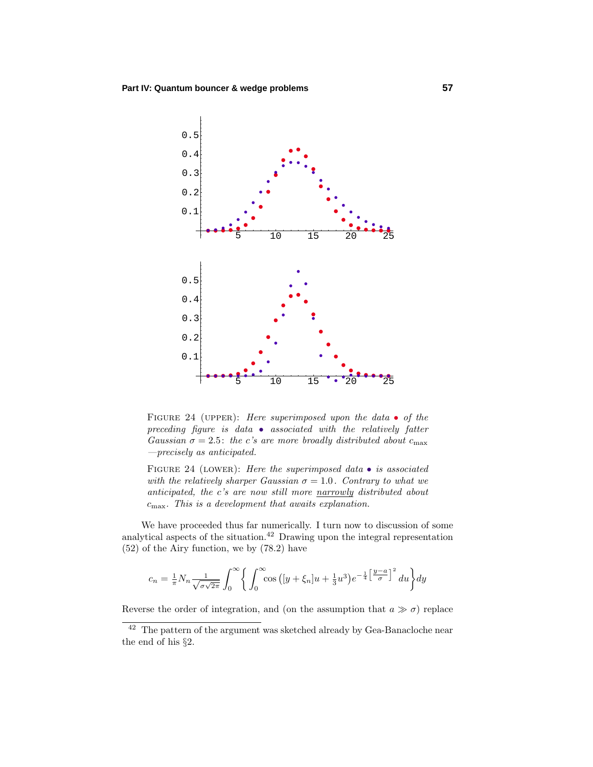

FIGURE 24 (UPPER): Here superimposed upon the data  $\bullet$  of the preceding figure is data • associated with the relatively fatter Gaussian  $\sigma = 2.5$ : the *c*'s are more broadly distributed about  $c_{\text{max}}$ —precisely as anticipated.

FIGURE 24 (LOWER): Here the superimposed data  $\bullet$  is associated with the relatively sharper Gaussian  $\sigma = 1.0$ . Contrary to what we anticipated, the *c*'s are now still more narrowly distributed about *c*max. This is a development that awaits explanation.

We have proceeded thus far numerically. I turn now to discussion of some analytical aspects of the situation. $42$  Drawing upon the integral representation (52) of the Airy function, we by (78.2) have

$$
c_n = \frac{1}{\pi} N_n \frac{1}{\sqrt{\sigma \sqrt{2\pi}}} \int_0^\infty \left\{ \int_0^\infty \cos\left( [y + \xi_n] u + \frac{1}{3} u^3 \right) e^{-\frac{1}{4} \left[ \frac{y - a}{\sigma} \right]^2} du \right\} dy
$$

Reverse the order of integration, and (on the assumption that  $a \gg \sigma$ ) replace

 $42$  The pattern of the argument was sketched already by Gea-Banacloche near the end of his §2.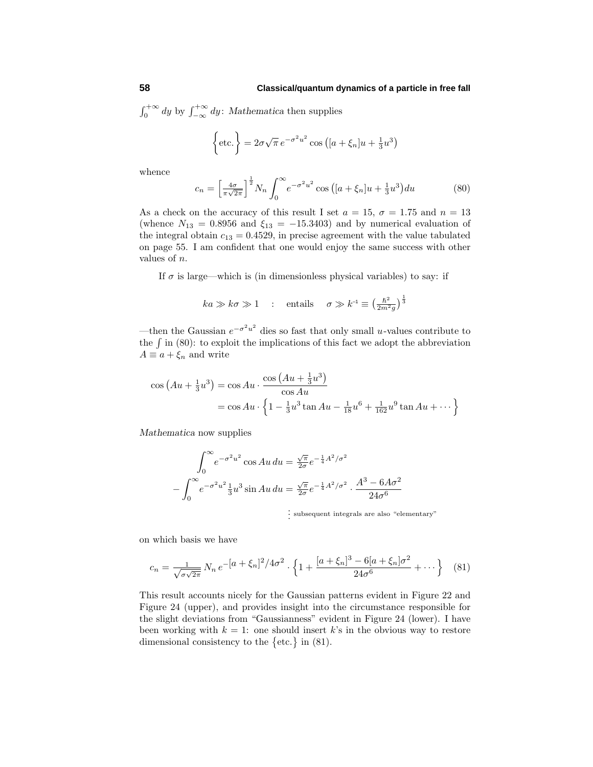$\int_0^{+\infty} dy$  by  $\int_{-\infty}^{+\infty} dy$ : *Mathematica* then supplies

$$
\left\{\text{etc.}\right\} = 2\sigma\sqrt{\pi}e^{-\sigma^2u^2}\cos\left([a+\xi_n]u + \frac{1}{3}u^3\right)
$$

whence

$$
c_n = \left[\frac{4\sigma}{\pi\sqrt{2\pi}}\right]^{\frac{1}{2}} N_n \int_0^\infty e^{-\sigma^2 u^2} \cos\left([a+\xi_n]u + \frac{1}{3}u^3\right) du\tag{80}
$$

As a check on the accuracy of this result I set  $a = 15$ ,  $\sigma = 1.75$  and  $n = 13$ (whence  $N_{13} = 0.8956$  and  $\xi_{13} = -15.3403$ ) and by numerical evaluation of the integral obtain  $c_{13} = 0.4529$ , in precise agreement with the value tabulated on page 55. I am confident that one would enjoy the same success with other values of *n*.

If  $\sigma$  is large—which is (in dimensionless physical variables) to say: if

$$
ka \gg k\sigma \gg 1
$$
: entails  $\sigma \gg k^{-1} \equiv \left(\frac{\hbar^2}{2m^2g}\right)^{\frac{1}{3}}$ 

—then the Gaussian *e*−*σ*2*u*<sup>2</sup> dies so fast that only small *u*-values contribute to the  $\int$  in (80): to exploit the implications of this fact we adopt the abbreviation  $A \equiv a + \xi_n$  and write

$$
\cos (Au + \frac{1}{3}u^3) = \cos Au \cdot \frac{\cos (Au + \frac{1}{3}u^3)}{\cos Au}
$$
  
=  $\cos Au \cdot \left\{ 1 - \frac{1}{3}u^3 \tan Au - \frac{1}{18}u^6 + \frac{1}{162}u^9 \tan Au + \cdots \right\}$ 

*Mathematica* now supplies

$$
\int_0^{\infty} e^{-\sigma^2 u^2} \cos Au \, du = \frac{\sqrt{\pi}}{2\sigma} e^{-\frac{1}{4}A^2/\sigma^2}
$$

$$
-\int_0^{\infty} e^{-\sigma^2 u^2} \frac{1}{3} u^3 \sin Au \, du = \frac{\sqrt{\pi}}{2\sigma} e^{-\frac{1}{4}A^2/\sigma^2} \cdot \frac{A^3 - 6A\sigma^2}{24\sigma^6}
$$

. . . subsequent integrals are also "elementary"

on which basis we have

$$
c_n = \frac{1}{\sqrt{\sigma\sqrt{2\pi}}} N_n e^{-\left[a + \xi_n\right]^2/4\sigma^2} \cdot \left\{1 + \frac{\left[a + \xi_n\right]^3 - 6[a + \xi_n]\sigma^2}{24\sigma^6} + \cdots \right\} \tag{81}
$$

This result accounts nicely for the Gaussian patterns evident in Figure 22 and Figure 24 (upper), and provides insight into the circumstance responsible for the slight deviations from "Gaussianness"evident in Figure 24 (lower). I have been working with  $k = 1$ : one should insert  $k$ 's in the obvious way to restore dimensional consistency to the  $\{\text{etc.}\}\$ in (81).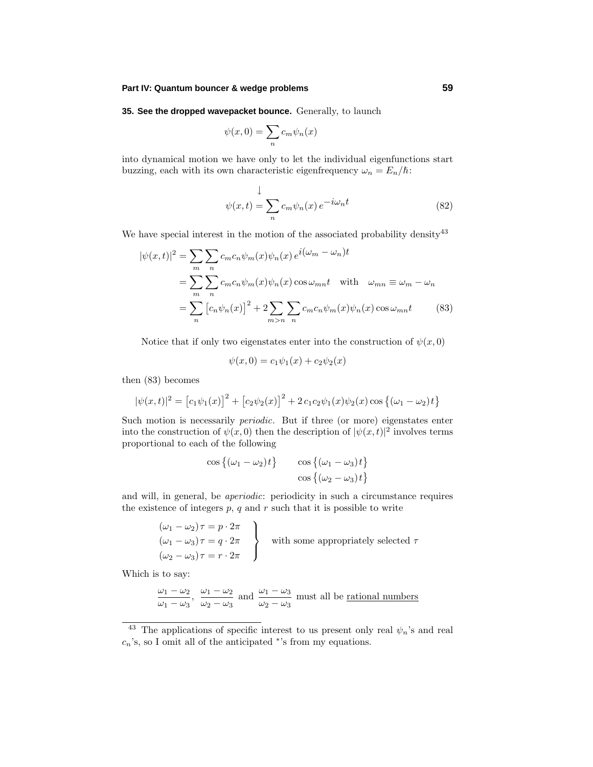**35. See the dropped wavepacket bounce.** Generally, to launch

$$
\psi(x,0)=\sum_n c_m \psi_n(x)
$$

into dynamical motion we have only to let the individual eigenfunctions start buzzing, each with its own characteristic eigenfrequency  $\omega_n = E_n/\hbar$ :

$$
\downarrow
$$
  

$$
\psi(x,t) = \sum_{n} c_m \psi_n(x) e^{-i\omega_n t}
$$
 (82)

We have special interest in the motion of the associated probability density  $43$ 

$$
|\psi(x,t)|^2 = \sum_{m} \sum_{n} c_m c_n \psi_m(x) \psi_n(x) e^{i(\omega_m - \omega_n)t}
$$
  
= 
$$
\sum_{m} \sum_{n} c_m c_n \psi_m(x) \psi_n(x) \cos \omega_{mn} t \quad \text{with} \quad \omega_{mn} \equiv \omega_m - \omega_n
$$
  
= 
$$
\sum_{n} [c_n \psi_n(x)]^2 + 2 \sum_{m>n} \sum_{n} c_m c_n \psi_m(x) \psi_n(x) \cos \omega_{mn} t
$$
 (83)

Notice that if only two eigenstates enter into the construction of  $\psi(x, 0)$ 

$$
\psi(x,0) = c_1 \psi_1(x) + c_2 \psi_2(x)
$$

then (83) becomes

$$
|\psi(x,t)|^2 = [c_1\psi_1(x)]^2 + [c_2\psi_2(x)]^2 + 2c_1c_2\psi_1(x)\psi_2(x)\cos\{(\omega_1 - \omega_2)t\}
$$

Such motion is necessarily periodic. But if three (or more) eigenstates enter into the construction of  $\psi(x,0)$  then the description of  $|\psi(x,t)|^2$  involves terms proportional to each of the following

$$
\cos\left\{(\omega_1 - \omega_2)t\right\} \qquad \cos\left\{(\omega_1 - \omega_3)t\right\}
$$

$$
\cos\left\{(\omega_2 - \omega_3)t\right\}
$$

and will, in general, be aperiodic: periodicity in such a circumstance requires the existence of integers  $p$ ,  $q$  and  $r$  such that it is possible to write

$$
(\omega_1 - \omega_2)\tau = p \cdot 2\pi
$$
  
\n
$$
(\omega_1 - \omega_3)\tau = q \cdot 2\pi
$$
  
\n
$$
(\omega_2 - \omega_3)\tau = r \cdot 2\pi
$$
 with some appropriately selected  $\tau$ 

Which is to say:

$$
\frac{\omega_1 - \omega_2}{\omega_1 - \omega_3}
$$
,  $\frac{\omega_1 - \omega_2}{\omega_2 - \omega_3}$  and  $\frac{\omega_1 - \omega_3}{\omega_2 - \omega_3}$  must all be rational numbers

<sup>&</sup>lt;sup>43</sup> The applications of specific interest to us present only real  $\psi_n$ 's and real *cn*'s, so I omit all of the anticipated <sup>∗</sup>'s from my equations.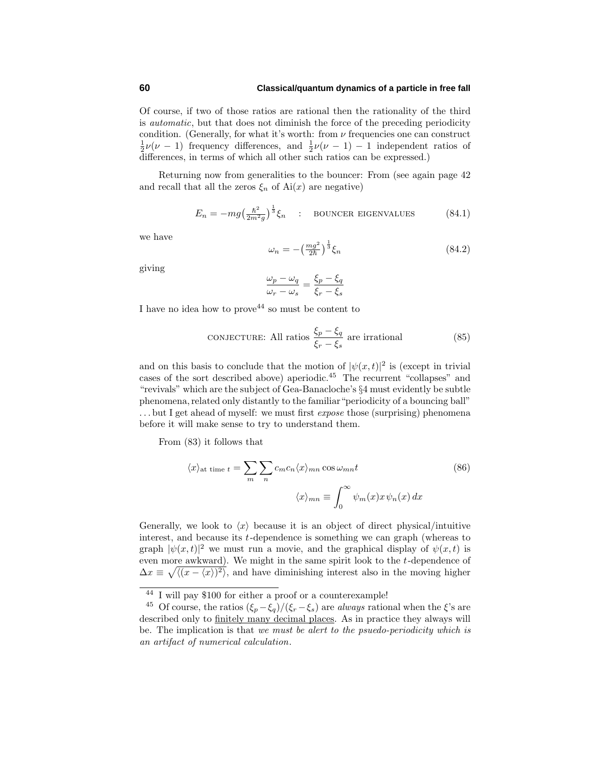## **60 Classical/quantum dynamics of a particle in free fall**

Of course, if two of those ratios are rational then the rationality of the third is automatic, but that does not diminish the force of the preceding periodicity condition. (Generally, for what it's worth: from  $\nu$  frequencies one can construct  $\frac{1}{2}\nu(\nu-1)$  frequency differences, and  $\frac{1}{2}\nu(\nu-1) - 1$  independent ratios of differences, in terms of which all other such ratios can be expressed.)

Returning now from generalities to the bouncer: From (see again page 42 and recall that all the zeros  $\xi_n$  of Ai(x) are negative)

$$
E_n = -mg\left(\frac{\hbar^2}{2m^2g}\right)^{\frac{1}{3}}\xi_n \quad : \quad \text{BOUNCER EIGENVALUES} \tag{84.1}
$$

we have

$$
\omega_n = -\left(\frac{mg^2}{2\hbar}\right)^{\frac{1}{3}} \xi_n \tag{84.2}
$$

giving

$$
\frac{\omega_p - \omega_q}{\omega_r - \omega_s} = \frac{\xi_p - \xi_q}{\xi_r - \xi_s}
$$

I have no idea how to prove<sup>44</sup> so must be content to

**CONJECTURE:** All ratios 
$$
\frac{\xi_p - \xi_q}{\xi_r - \xi_s}
$$
 are irrational (85)

and on this basis to conclude that the motion of  $|\psi(x,t)|^2$  is (except in trivial cases of the sort described above) aperiodic.<sup>45</sup> The recurrent "collapses"and "revivals"which are the subject of Gea-Banacloche's §4 must evidently be subtle phenomena, related only distantly to the familiar "periodicity of a bouncing ball" ...but I get ahead of myself: we must first *expose* those (surprising) phenomena before it will make sense to try to understand them.

From (83) it follows that

$$
\langle x \rangle_{\text{at time } t} = \sum_{m} \sum_{n} c_m c_n \langle x \rangle_{mn} \cos \omega_{mn} t
$$
\n
$$
\langle x \rangle_{mn} \equiv \int_0^\infty \psi_m(x) x \psi_n(x) dx
$$
\n(86)

Generally, we look to  $\langle x \rangle$  because it is an object of direct physical/intuitive interest, and because its *t*-dependence is something we can graph (whereas to graph  $|\psi(x,t)|^2$  we must run a movie, and the graphical display of  $\psi(x,t)$  is even more awkward). We might in the same spirit look to the *t*-dependence of  $\Delta x \equiv \sqrt{\langle (x-\langle x\rangle)^2 \rangle}$ , and have diminishing interest also in the moving higher

<sup>44</sup> I will pay \$100 for either a proof or a counterexample!

<sup>&</sup>lt;sup>45</sup> Of course, the ratios  $(\xi_p - \xi_q)/(\xi_r - \xi_s)$  are *always* rational when the  $\xi$ 's are described only to finitely many decimal places. As in practice they always will be. The implication is that we must be alert to the psuedo-periodicity which is an artifact of numerical calculation.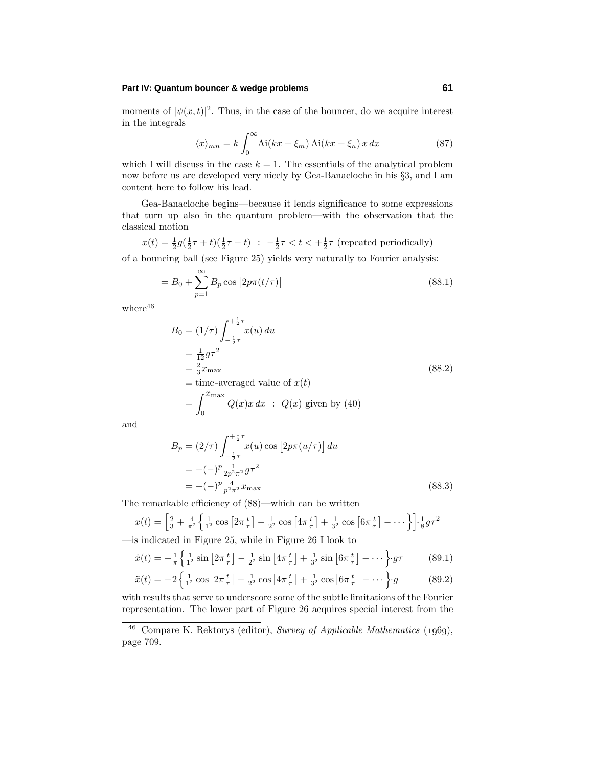moments of  $|\psi(x,t)|^2$ . Thus, in the case of the bouncer, do we acquire interest in the integrals

$$
\langle x \rangle_{mn} = k \int_0^\infty \text{Ai}(kx + \xi_m) \, \text{Ai}(kx + \xi_n) \, x \, dx \tag{87}
$$

which I will discuss in the case  $k = 1$ . The essentials of the analytical problem now before us are developed very nicely by Gea-Banacloche in his §3, and I am content here to follow his lead.

Gea-Banacloche begins—because it lends significance to some expressions that turn up also in the quantum problem—with the observation that the classical motion

$$
x(t) = \frac{1}{2}g(\frac{1}{2}\tau + t)(\frac{1}{2}\tau - t) \; : \; -\frac{1}{2}\tau < t < +\frac{1}{2}\tau \text{ (repeated periodically)}
$$
\nwhere  $\tau$  is the number of times 25, with the same number of times 25.

of a bouncing ball (see Figure 25) yields very naturally to Fourier analysis:

$$
=B_0+\sum_{p=1}^{\infty}B_p\cos\left[2p\pi(t/\tau)\right]
$$
\n(88.1)

 $\rm{where}^{46}$ 

$$
B_0 = (1/\tau) \int_{-\frac{1}{2}\tau}^{\frac{1}{2}\tau} x(u) du
$$
  
\n
$$
= \frac{1}{12} g \tau^2
$$
  
\n
$$
= \frac{2}{3} x_{\text{max}}
$$
  
\n
$$
= \text{time-averaged value of } x(t)
$$
  
\n
$$
= \int_0^{x_{\text{max}}} Q(x) x dx : Q(x) \text{ given by (40)}
$$

and

$$
B_p = (2/\tau) \int_{-\frac{1}{2}\tau}^{\frac{1}{2}\tau} x(u) \cos [2p\pi(u/\tau)] du
$$
  
= -(-)^p \frac{1}{2p^2 \pi^2} g \tau^2  
= -(-)^p \frac{4}{p^2 \pi^2} x\_{\text{max}} (88.3)

The remarkable efficiency of (88)—which can be written

$$
x(t) = \left[\frac{2}{3} + \frac{4}{\pi^2} \left\{ \frac{1}{1^2} \cos\left[2\pi \frac{t}{\tau}\right] - \frac{1}{2^2} \cos\left[4\pi \frac{t}{\tau}\right] + \frac{1}{3^2} \cos\left[6\pi \frac{t}{\tau}\right] - \dots\right\} \right] \cdot \frac{1}{8} g \tau^2
$$

—is indicated in Figure 25, while in Figure 26 I look to

$$
\dot{x}(t) = -\frac{1}{\pi} \left\{ \frac{1}{1^2} \sin \left[ 2\pi \frac{t}{\tau} \right] - \frac{1}{2^2} \sin \left[ 4\pi \frac{t}{\tau} \right] + \frac{1}{3^2} \sin \left[ 6\pi \frac{t}{\tau} \right] - \dots \right\} g\tau \tag{89.1}
$$

$$
\ddot{x}(t) = -2\left\{\frac{1}{1^2}\cos\left[2\pi\frac{t}{\tau}\right] - \frac{1}{2^2}\cos\left[4\pi\frac{t}{\tau}\right] + \frac{1}{3^2}\cos\left[6\pi\frac{t}{\tau}\right] - \cdots\right\} \cdot g \tag{89.2}
$$

with results that serve to underscore some of the subtle limitations of the Fourier representation. The lower part of Figure 26 acquires special interest from the

 $46$  Compare K. Rektorys (editor), Survey of Applicable Mathematics (1969), page 709.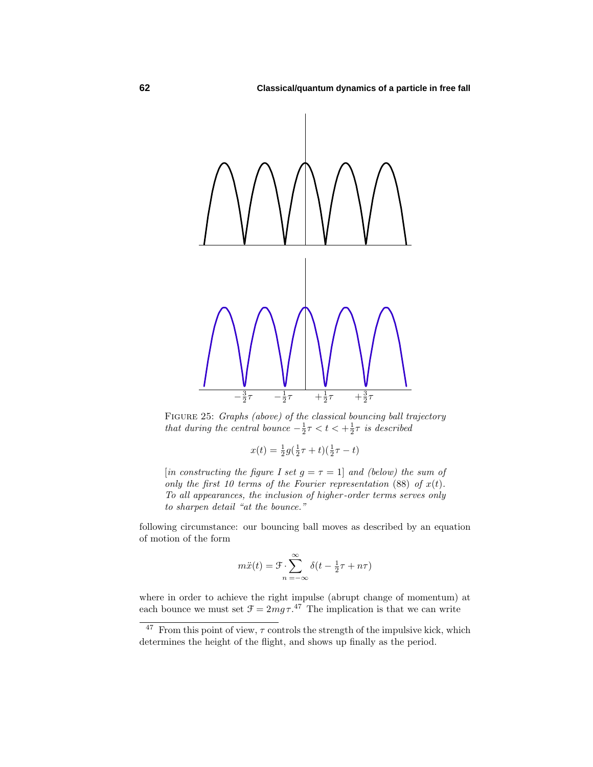

FIGURE 25: Graphs (above) of the classical bouncing ball trajectory that during the central bounce  $-\frac{1}{2}\tau < t < +\frac{1}{2}\tau$  is described

$$
x(t) = \frac{1}{2}g(\frac{1}{2}\tau + t)(\frac{1}{2}\tau - t)
$$

[in constructing the figure I set  $q = \tau = 1$ ] and (below) the sum of only the first 10 terms of the Fourier representation  $(88)$  of  $x(t)$ . To all appearances, the inclusion of higher -order terms serves only to sharpen detail "at the bounce."

following circumstance: our bouncing ball moves as described by an equation of motion of the form

$$
m\ddot{x}(t) = \mathcal{F} \cdot \sum_{n=-\infty}^{\infty} \delta(t - \frac{1}{2}\tau + n\tau)
$$

where in order to achieve the right impulse (abrupt change of momentum) at each bounce we must set  $\mathcal{F} = 2mg\tau$ .<sup>47</sup> The implication is that we can write

 $\frac{47}{10}$  From this point of view,  $\tau$  controls the strength of the impulsive kick, which determines the height of the flight, and shows up finally as the period.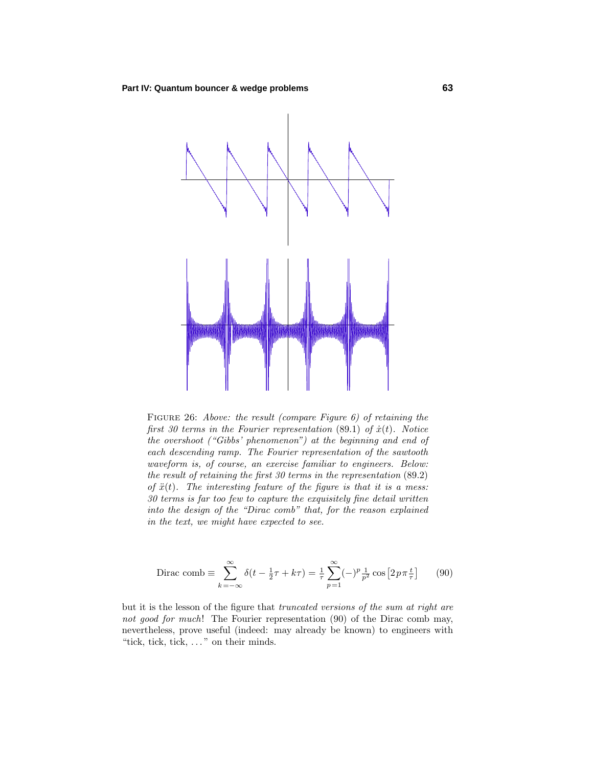

Figure 26: Above: the result (compare Figure 6) of retaining the first 30 terms in the Fourier representation  $(89.1)$  of  $\dot{x}(t)$ . Notice the overshoot ("Gibbs' phenomenon") at the beginning and end of each descending ramp. The Fourier representation of the sawtooth waveform is, of course, an exercise familiar to engineers. Below: the result of retaining the first 30 terms in the representation (89*.*2) of  $\ddot{x}(t)$ . The interesting feature of the figure is that it is a mess: 30 terms is far too few to capture the exquisitely fine detail written into the design of the "Dirac comb" that, for the reason explained in the text, we might have expected to see.

$$
\text{Dirac comb} \equiv \sum_{k=-\infty}^{\infty} \delta(t - \frac{1}{2}\tau + k\tau) = \frac{1}{\tau} \sum_{p=1}^{\infty} (-)^p \frac{1}{p^2} \cos\left[2p\pi \frac{t}{\tau}\right] \tag{90}
$$

but it is the lesson of the figure that truncated versions of the sum at right are not good for much! The Fourier representation (90) of the Dirac comb may, nevertheless, prove useful (indeed: may already be known) to engineers with "tick, tick, tick, *...* "on their minds.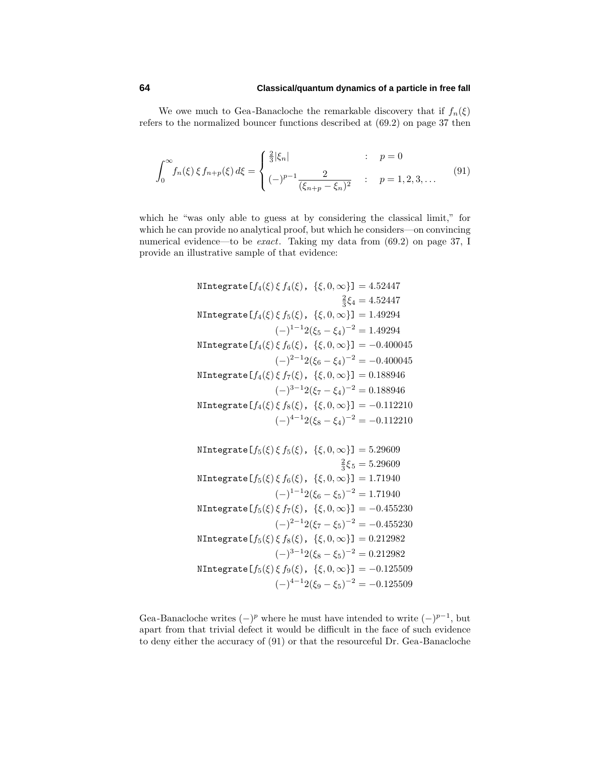# **64 Classical/quantum dynamics of a particle in free fall**

We owe much to Gea-Banacloche the remarkable discovery that if  $f_n(\xi)$ refers to the normalized bouncer functions described at (69.2) on page 37 then

$$
\int_0^\infty f_n(\xi) \, \xi \, f_{n+p}(\xi) \, d\xi = \begin{cases} \frac{2}{3} |\xi_n| & : p = 0 \\ (-)^{p-1} \frac{2}{(\xi_{n+p} - \xi_n)^2} & : p = 1, 2, 3, \dots \end{cases} \tag{91}
$$

which he "was only able to guess at by considering the classical limit," for which he can provide no analytical proof, but which he considers—on convincing numerical evidence—to be exact. Taking my data from (69.2) on page 37, I provide an illustrative sample of that evidence:

NIntegrate 
$$
[f_4(\xi) \xi f_4(\xi), \{\xi, 0, \infty\}] = 4.52447
$$
  
\n $\frac{2}{3}\xi_4 = 4.52447$   
\nNIntegrate  $[f_4(\xi) \xi f_5(\xi), \{\xi, 0, \infty\}] = 1.49294$   
\n $(-)^{1-1}2(\xi_5 - \xi_4)^{-2} = 1.49294$   
\nNIntegrate  $[f_4(\xi) \xi f_6(\xi), \{\xi, 0, \infty\}] = -0.400045$   
\n $(-)^{2-1}2(\xi_6 - \xi_4)^{-2} = -0.400045$   
\nNIntegrate  $[f_4(\xi) \xi f_7(\xi), \{\xi, 0, \infty\}] = 0.188946$   
\n $(-)^{3-1}2(\xi_7 - \xi_4)^{-2} = 0.188946$   
\nNIntegrate  $[f_4(\xi) \xi f_8(\xi), \{\xi, 0, \infty\}] = -0.112210$   
\n $(-)^{4-1}2(\xi_8 - \xi_4)^{-2} = -0.112210$   
\nNIntegrate  $[f_5(\xi) \xi f_5(\xi), \{\xi, 0, \infty\}] = 5.29609$   
\n $\frac{2}{3}\xi_5 = 5.29609$   
\nNIntegrate  $[f_5(\xi) \xi f_6(\xi), \{\xi, 0, \infty\}] = 1.71940$   
\n $(-)^{1-1}2(\xi_6 - \xi_5)^{-2} = 1.71940$   
\nNIntegrate  $[f_5(\xi) \xi f_7(\xi), \{\xi, 0, \infty\}] = -0.455230$   
\n $(-)^{2-1}2(\xi_7 - \xi_5)^{-2} = -0.455230$   
\n $(-)^{3-1}2(\xi_8 - \xi_5)^{-2} = 0.212982$ 

$$
\text{NIntegrate}\left[f_5(\xi)\,\xi\,f_9(\xi),\ \{\xi,0,\infty\}\right] = -0.125509
$$
\n
$$
(-)^{4-1}2(\xi_9 - \xi_5)^{-2} = -0.125509
$$

Gea-Banacloche writes  $(-)^p$  where he must have intended to write  $(-)^{p-1}$ , but apart from that trivial defect it would be difficult in the face of such evidence to deny either the accuracy of (91) or that the resourceful Dr. Gea-Banacloche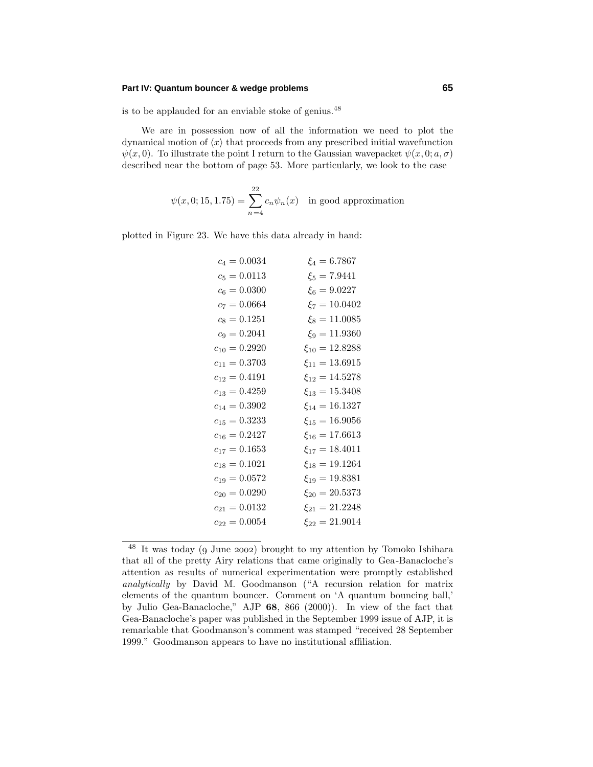is to be applauded for an enviable stoke of genius.<sup>48</sup>

We are in possession now of all the information we need to plot the dynamical motion of  $\langle x \rangle$  that proceeds from any prescribed initial wavefunction  $\psi(x,0)$ . To illustrate the point I return to the Gaussian wavepacket  $\psi(x,0;a,\sigma)$ described near the bottom of page 53. More particularly, we look to the case

$$
\psi(x, 0; 15, 1.75) = \sum_{n=4}^{22} c_n \psi_n(x) \text{ in good approximation}
$$

plotted in Figure 23. We have this data already in hand:

| $c_4 = 0.0034$    | $\xi_4 = 6.7867$     |
|-------------------|----------------------|
| $c_5 = 0.0113$    | $\xi_5 = 7.9441$     |
| $c_6 = 0.0300$    | $\xi_6 = 9.0227$     |
| $c_7 = 0.0664$    | $\xi_7 = 10.0402$    |
| $c_8 = 0.1251$    | $\xi_8 = 11.0085$    |
| $c_9 = 0.2041$    | $\xi_9 = 11.9360$    |
| $c_{10} = 0.2920$ | $\xi_{10} = 12.8288$ |
| $c_{11} = 0.3703$ | $\xi_{11} = 13.6915$ |
| $c_{12} = 0.4191$ | $\xi_{12} = 14.5278$ |
| $c_{13} = 0.4259$ | $\xi_{13} = 15.3408$ |
| $c_{14} = 0.3902$ | $\xi_{14} = 16.1327$ |
| $c_{15} = 0.3233$ | $\xi_{15} = 16.9056$ |
| $c_{16} = 0.2427$ | $\xi_{16} = 17.6613$ |
| $c_{17} = 0.1653$ | $\xi_{17} = 18.4011$ |
| $c_{18} = 0.1021$ | $\xi_{18} = 19.1264$ |
| $c_{19} = 0.0572$ | $\xi_{19} = 19.8381$ |
| $c_{20} = 0.0290$ | $\xi_{20} = 20.5373$ |
| $c_{21} = 0.0132$ | $\xi_{21} = 21.2248$ |
| $c_{22} = 0.0054$ | $\xi_{22} = 21.9014$ |
|                   |                      |

 $48$  It was today (9 June 2002) brought to my attention by Tomoko Ishihara that all of the pretty Airy relations that came originally to Gea-Banacloche's attention as results of numerical experimentation were promptly established analytically by David M. Goodmanson ("A recursion relation for matrix elements of the quantum bouncer. Comment on 'A quantum bouncing ball,' by Julio Gea-Banacloche,"AJP **68**, 866 (2000)). In view of the fact that Gea-Banacloche's paper was published in the September 1999 issue of AJP, it is remarkable that Goodmanson's comment was stamped "received 28 September 1999."Goodmanson appears to have no institutional affiliation.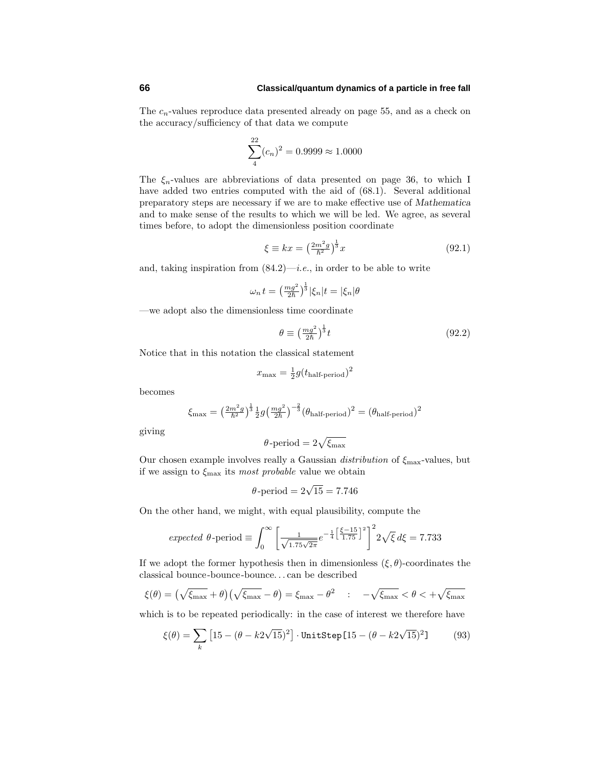The  $c_n$ -values reproduce data presented already on page 55, and as a check on the accuracy/sufficiency of that data we compute

$$
\sum_{4}^{22} (c_n)^2 = 0.9999 \approx 1.0000
$$

The  $\xi_n$ -values are abbreviations of data presented on page 36, to which I have added two entries computed with the aid of (68.1). Several additional preparatory steps are necessary if we are to make effective use of *Mathematica* and to make sense of the results to which we will be led. We agree, as several times before, to adopt the dimensionless position coordinate

$$
\xi \equiv kx = \left(\frac{2m^2g}{\hbar^2}\right)^{\frac{1}{3}}x\tag{92.1}
$$

and, taking inspiration from  $(84.2)$ —*i.e.*, in order to be able to write

$$
\omega_n t = \left(\frac{mg^2}{2\hbar}\right)^{\frac{1}{3}} \left|\xi_n\right| t = |\xi_n|\theta
$$

—we adopt also the dimensionless time coordinate

$$
\theta \equiv \left(\frac{mg^2}{2\hbar}\right)^{\frac{1}{3}}t\tag{92.2}
$$

Notice that in this notation the classical statement

$$
x_{\text{max}} = \frac{1}{2}g(t_{\text{half-period}})^2
$$

becomes

$$
\xi_{\text{max}} = \left(\frac{2m^2g}{\hbar^2}\right)^{\frac{1}{3}} \frac{1}{2} g \left(\frac{mg^2}{2\hbar}\right)^{-\frac{2}{3}} \left(\theta_{\text{half-period}}\right)^2 = \left(\theta_{\text{half-period}}\right)^2
$$

giving

$$
\theta\text{-period} = 2\sqrt{\xi_{\text{max}}}
$$

Our chosen example involves really a Gaussian distribution of *ξ*max-values, but if we assign to *ξ*max its most probable value we obtain

$$
\theta\text{-period} = 2\sqrt{15} = 7.746
$$

On the other hand, we might, with equal plausibility, compute the

$$
expected \theta\text{-period} \equiv \int_0^\infty \left[ \frac{1}{\sqrt{1.75\sqrt{2\pi}}} e^{-\frac{1}{4} \left[ \frac{\xi - 15}{1.75} \right]^2} \right]^2 2\sqrt{\xi} \, d\xi = 7.733
$$

If we adopt the former hypothesis then in dimensionless  $(\xi, \theta)$ -coordinates the classical bounce-bounce-bounce*...* can be described

$$
\xi(\theta) = \left(\sqrt{\xi_{\max}} + \theta\right)\left(\sqrt{\xi_{\max}} - \theta\right) = \xi_{\max} - \theta^2 \quad : \quad -\sqrt{\xi_{\max}} < \theta < +\sqrt{\xi_{\max}}
$$

which is to be repeated periodically: in the case of interest we therefore have

$$
\xi(\theta) = \sum_{k} \left[ 15 - (\theta - k2\sqrt{15})^2 \right] \cdot \text{UnitStep}[15 - (\theta - k2\sqrt{15})^2] \tag{93}
$$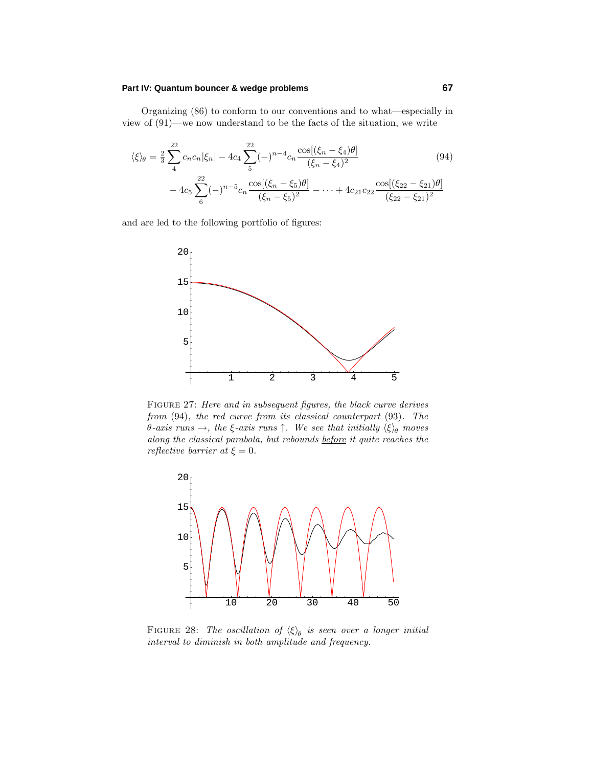Organizing (86) to conform to our conventions and to what—especially in view of (91)—we now understand to be the facts of the situation, we write

$$
\langle \xi \rangle_{\theta} = \frac{2}{3} \sum_{4}^{22} c_n c_n |\xi_n| - 4c_4 \sum_{5}^{22} (-)^{n-4} c_n \frac{\cos[(\xi_n - \xi_4)\theta]}{(\xi_n - \xi_4)^2} - 4c_5 \sum_{6}^{22} (-)^{n-5} c_n \frac{\cos[(\xi_n - \xi_5)\theta]}{(\xi_n - \xi_5)^2} - \dots + 4c_{21}c_{22} \frac{\cos[(\xi_{22} - \xi_{21})\theta]}{(\xi_{22} - \xi_{21})^2}
$$
(94)

and are led to the following portfolio of figures:



Figure 27: Here and in subsequent figures, the black curve derives from (94), the red curve from its classical counterpart (93). The *θ*-axis runs →, the *ξ*-axis runs  $\uparrow$ . We see that initially  $\langle \xi \rangle$ <sub>θ</sub> moves along the classical parabola, but rebounds before it quite reaches the *reflective barrier at*  $\xi = 0$ .



FIGURE 28: The oscillation of  $\langle \xi \rangle_{\theta}$  is seen over a longer initial interval to diminish in both amplitude and frequency.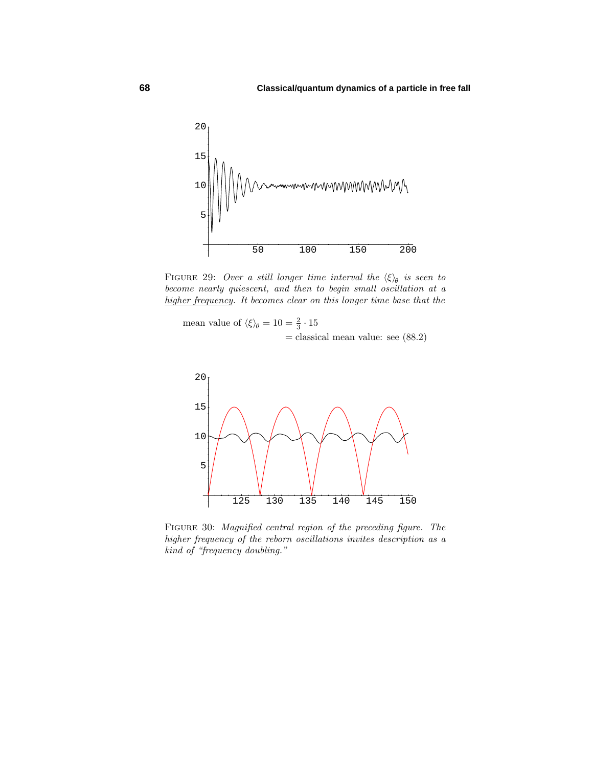

FIGURE 29: Over a still longer time interval the  $\langle \xi \rangle_{\theta}$  is seen to become nearly quiescent, and then to begin small oscillation at a higher frequency. It becomes clear on this longer time base that the

mean value of  $\langle \xi \rangle_{\theta} = 10 = \frac{2}{3} \cdot 15$  $=$  classical mean value: see  $(88.2)$ 



Figure 30: Magnified central region of the preceding figure. The higher frequency of the reborn oscillations invites description as a kind of "frequency doubling."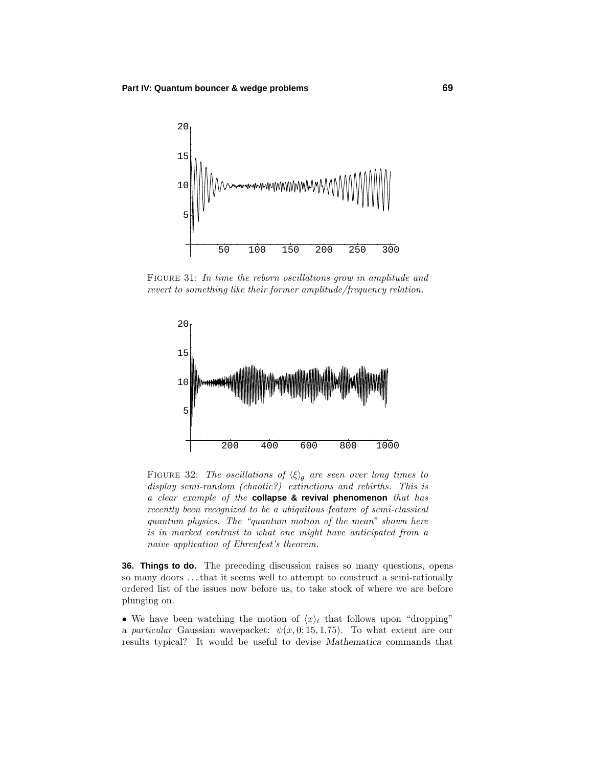

FIGURE 31: In time the reborn oscillations grow in amplitude and revert to something like their former amplitude/frequency relation.



FIGURE 32: The oscillations of  $\langle \xi \rangle_{\theta}$  are seen over long times to display semi-random (chaotic?) extinctions and rebirths. This is a clear example of the **collapse & revival phenomenon** that has recently been recognized to be a ubiquitous feature of semi-classical quantum physics. The "quantum motion of the mean" shown here is in marked contrast to what one might have anticipated from a naive application of Ehrenfest's theorem.

**36. Things to do.** The preceding discussion raises so many questions, opens so many doors *...*that it seems well to attempt to construct a semi-rationally ordered list of the issues now before us, to take stock of where we are before plunging on.

• We have been watching the motion of  $\langle x \rangle_t$  that follows upon "dropping" a particular Gaussian wavepacket:  $\psi(x, 0; 15, 1.75)$ . To what extent are our results typical? It would be useful to devise *Mathematica* commands that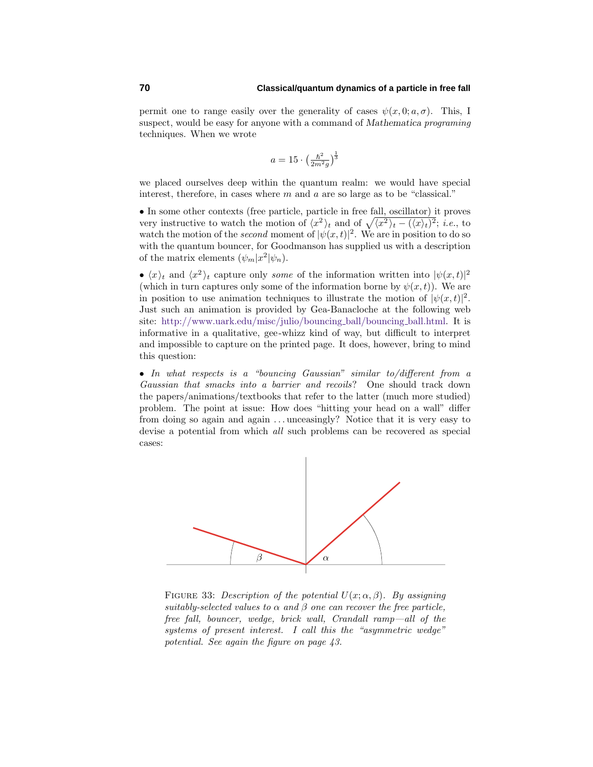permit one to range easily over the generality of cases  $\psi(x, 0; a, \sigma)$ . This, I suspect, would be easy for anyone with a command of *Mathematica* programing techniques. When we wrote

$$
a = 15 \cdot \left(\frac{\hbar^2}{2m^2g}\right)^{\frac{1}{3}}
$$

we placed ourselves deep within the quantum realm: we would have special interest, therefore, in cases where *m* and *a* are so large as to be "classical."

• In some other contexts (free particle, particle in free fall, oscillator) it proves very instructive to watch the motion of  $\langle x^2 \rangle_t$  and of  $\sqrt{\langle x^2 \rangle_t - (\langle x \rangle_t)^2}$ ; *i.e.*, to watch the motion of the *second* moment of  $|\psi(x,t)|^2$ . We are in position to do so with the quantum bouncer, for Goodmanson has supplied us with a description of the matrix elements  $(\psi_m|x^2|\psi_n)$ .

•  $\langle x \rangle_t$  and  $\langle x^2 \rangle_t$  capture only *some* of the information written into  $|\psi(x,t)|^2$ (which in turn captures only some of the information borne by  $\psi(x, t)$ ). We are in position to use animation techniques to illustrate the motion of  $|\psi(x,t)|^2$ . Just such an animation is provided by Gea-Banacloche at the following web site: http://www.uark.edu/misc/julio/bouncing ball/bouncing ball.html. It is informative in a qualitative, gee-whizz kind of way, but difficult to interpret and impossible to capture on the printed page. It does, however, bring to mind this question:

• In what respects is a "bouncing Gaussian" similar to/different from a Gaussian that smacks into a barrier and recoils? One should track down the papers/animations/textbooks that refer to the latter (much more studied) problem. The point at issue: How does "hitting your head on a wall" differ from doing so again and again *...* unceasingly? Notice that it is very easy to devise a potential from which all such problems can be recovered as special cases:



FIGURE 33: Description of the potential  $U(x; \alpha, \beta)$ . By assigning suitably-selected values to  $\alpha$  and  $\beta$  one can recover the free particle, free fall, bouncer, wedge, brick wall, Crandall ramp—all of the systems of present interest. I call this the "asymmetric wedge" potential. See again the figure on page 43.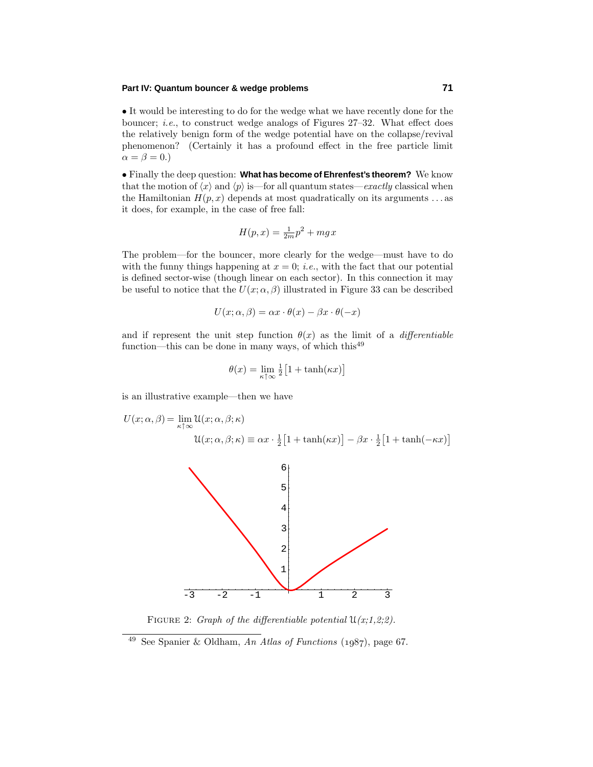• It would be interesting to do for the wedge what we have recently done for the bouncer; i.e., to construct wedge analogs of Figures 27–32. What effect does the relatively benign form of the wedge potential have on the collapse/revival phenomenon? (Certainly it has a profound effect in the free particle limit  $\alpha = \beta = 0.$ 

• Finally the deep question: **What has become of Ehrenfest's theorem?** We know that the motion of  $\langle x \rangle$  and  $\langle p \rangle$  is—for all quantum states—*exactly* classical when the Hamiltonian  $H(p, x)$  depends at most quadratically on its arguments  $\dots$  as it does, for example, in the case of free fall:

$$
H(p,x) = \frac{1}{2m}p^2 + mgx
$$

The problem—for the bouncer, more clearly for the wedge—must have to do with the funny things happening at  $x = 0$ ; *i.e.*, with the fact that our potential is defined sector-wise (though linear on each sector). In this connection it may be useful to notice that the  $U(x; \alpha, \beta)$  illustrated in Figure 33 can be described

$$
U(x; \alpha, \beta) = \alpha x \cdot \theta(x) - \beta x \cdot \theta(-x)
$$

and if represent the unit step function  $\theta(x)$  as the limit of a *differentiable* function—this can be done in many ways, of which this<sup>49</sup>

$$
\theta(x) = \lim_{\kappa \uparrow \infty} \frac{1}{2} \big[ 1 + \tanh(\kappa x) \big]
$$

is an illustrative example—then we have

$$
U(x; \alpha, \beta) = \lim_{\kappa \uparrow \infty} \mathcal{U}(x; \alpha, \beta; \kappa)
$$

$$
\mathcal{U}(x; \alpha, \beta; \kappa) \equiv \alpha x \cdot \frac{1}{2} \left[ 1 + \tanh(\kappa x) \right] - \beta x \cdot \frac{1}{2} \left[ 1 + \tanh(-\kappa x) \right]
$$



FIGURE 2: Graph of the differentiable potential  $\mathfrak{U}(x;1,2;2)$ .

<sup>&</sup>lt;sup>49</sup> See Spanier & Oldham, An Atlas of Functions (1987), page 67.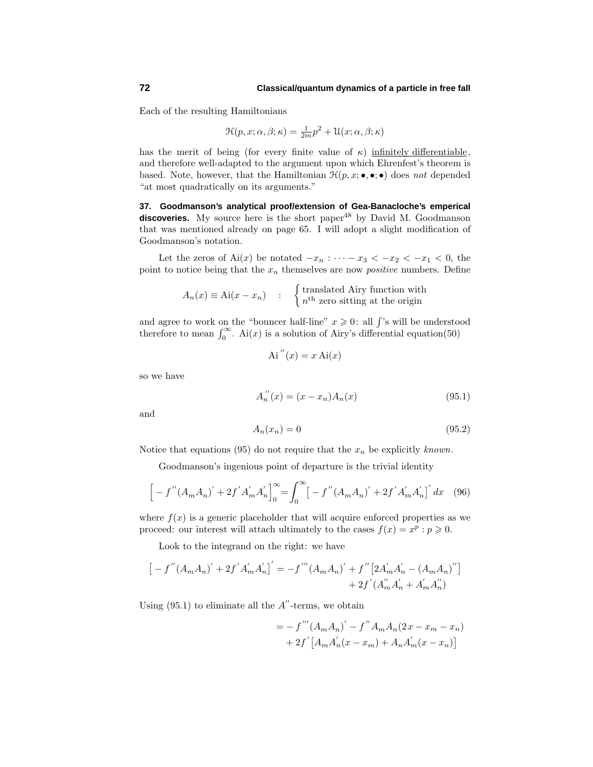Each of the resulting Hamiltonians

$$
\mathcal{H}(p, x; \alpha, \beta; \kappa) = \frac{1}{2m}p^2 + \mathcal{U}(x; \alpha, \beta; \kappa)
$$

has the merit of being (for every finite value of  $\kappa$ ) infinitely differentiable, and therefore well-adapted to the argument upon which Ehrenfest's theorem is based. Note, however, that the Hamiltonian  $\mathcal{H}(p, x; \bullet, \bullet; \bullet)$  does not depended "at most quadratically on its arguments."

**37. Goodmanson's analytical proof/extension of Gea-Banacloche's emperical** discoveries. My source here is the short paper<sup>48</sup> by David M. Goodmanson that was mentioned already on page 65. I will adopt a slight modification of Goodmanson's notation.

Let the zeros of  $\text{Ai}(x)$  be notated  $-x_n : \cdots - x_3 < -x_2 < -x_1 < 0$ , the point to notice being that the  $x_n$  themselves are now *positive* numbers. Define

$$
A_n(x) \equiv \text{Ai}(x - x_n) \quad : \quad \begin{cases} \text{translated Airy function with} \\ n^{\text{th}} \text{ zero sitting at the origin} \end{cases}
$$

and agree to work on the "bouncer half-line"  $x \geqslant 0$ : all  $\int$ 's will be understood therefore to mean  $\int_0^\infty$ . Ai $(x)$  is a solution of Airy's differential equation(50)

$$
Ai''(x) = x Ai(x)
$$

so we have

$$
A_n''(x) = (x - x_n)A_n(x)
$$
\n(95.1)

and

$$
A_n(x_n) = 0 \tag{95.2}
$$

Notice that equations (95) do not require that the  $x_n$  be explicitly known.

Goodmanson's ingenious point of departure is the trivial identity

$$
\[ -f''(A_mA_n)' + 2f'A'_mA'_n \]_0^{\infty} = \int_0^{\infty} \left[ -f''(A_mA_n)' + 2f'A'_mA'_n \right]' dx \quad (96)
$$

where  $f(x)$  is a generic placeholder that will acquire enforced properties as we proceed: our interest will attach ultimately to the cases  $f(x) = x^p : p \ge 0$ .

Look to the integrand on the right: we have

$$
\left[ \, - \, f^{\, \prime \prime} \, (A_m A_n)^\prime + 2 f^{\, \prime} \, A_m^\prime A_n^\prime \right]^\prime = - f^{\, \prime \prime \prime} \, (A_m A_n)^\prime + f^{\, \prime \prime} \left[ 2 A_m^\prime A_n^\prime - (A_m A_n)^\prime{}' \right] \\qquad \qquad + \, 2 f^{\, \prime} \, (A_m^{\prime \prime} A_n^\prime + A_m^\prime A_n^{\prime \prime})
$$

Using  $(95.1)$  to eliminate all the  $A''$ -terms, we obtain

$$
= - f'''(A_mA_n)' - f''A_mA_n(2x - x_m - x_n)
$$
  
+ 2f' [A\_mA'\_n(x - x\_m) + A\_nA'\_m(x - x\_n)]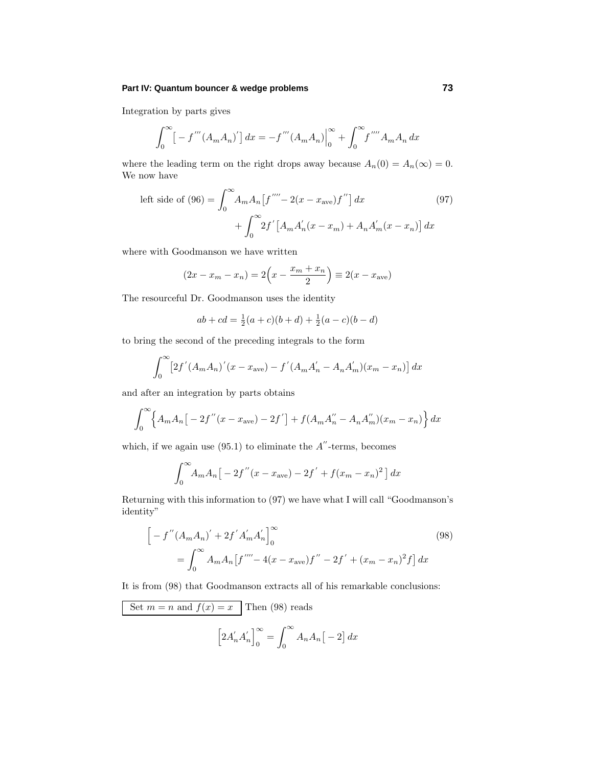## **Part IV: Quantum bouncer & wedge problems 73**

Integration by parts gives

$$
\int_0^{\infty} \left[ -f'''(A_m A_n)' \right] dx = -f'''(A_m A_n) \Big|_0^{\infty} + \int_0^{\infty} f'''' A_m A_n dx
$$

where the leading term on the right drops away because  $A_n(0) = A_n(\infty) = 0$ . We now have

left side of (96) = 
$$
\int_0^\infty A_m A_n [f'''' - 2(x - x_{ave}) f''] dx
$$
 (97)  
+ 
$$
\int_0^\infty 2f' [A_m A'_n (x - x_m) + A_n A'_m (x - x_n)] dx
$$

where with Goodmanson we have written

$$
(2x - x_m - x_n) = 2\left(x - \frac{x_m + x_n}{2}\right) \equiv 2(x - x_{ave})
$$

The resourceful Dr. Goodmanson uses the identity

$$
ab + cd = \frac{1}{2}(a+c)(b+d) + \frac{1}{2}(a-c)(b-d)
$$

to bring the second of the preceding integrals to the form

$$
\int_0^\infty \left[2f'(A_mA_n)'(x - x_{ave}) - f'(A_mA'_n - A_n A'_m)(x_m - x_n)\right] dx
$$

and after an integration by parts obtains

$$
\int_0^{\infty} \left\{ A_m A_n \left[ -2f''(x - x_{ave}) - 2f' \right] + f(A_m A_n'' - A_n A_m'')(x_m - x_n) \right\} dx
$$

which, if we again use  $(95.1)$  to eliminate the  $A''$ -terms, becomes

$$
\int_0^\infty A_m A_n \big[ -2f''(x - x_{ave}) - 2f' + f(x_m - x_n)^2 \big] dx
$$

Returning with this information to (97) we have what I will call "Goodmanson's identity"

$$
\[ -f''(A_mA_n)' + 2f'A'_m A'_n \]_0^{\infty}
$$
  
= 
$$
\int_0^{\infty} A_m A_n [f'''' - 4(x - x_{ave})f'' - 2f' + (x_m - x_n)^2 f] dx
$$
 (98)

It is from (98) that Goodmanson extracts all of his remarkable conclusions:

Set 
$$
m = n
$$
 and  $f(x) = x$  Then (98) reads  
\n
$$
\left[2A'_{n}A'_{n}\right]_{0}^{\infty} = \int_{0}^{\infty} A_{n}A_{n}\left[-2\right]dx
$$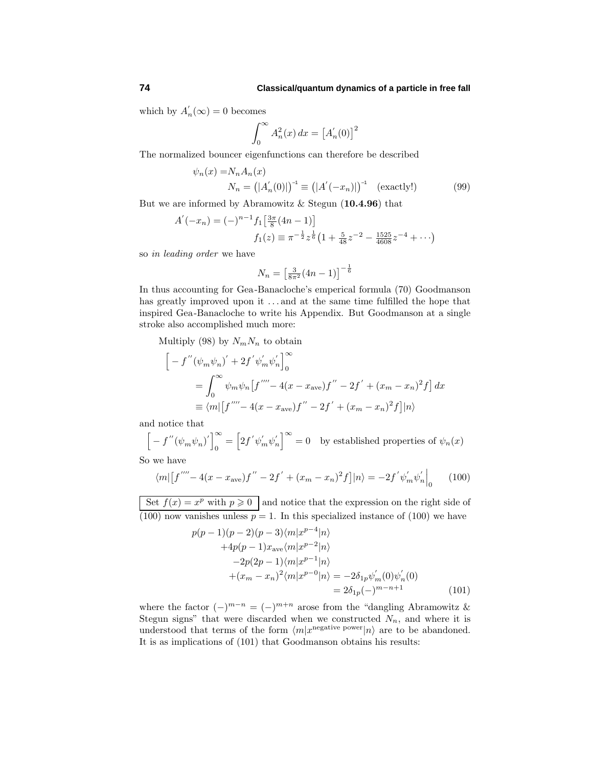## **74 Classical/quantum dynamics of a particle in free fall**

which by  $A'_n(\infty) = 0$  becomes

$$
\int_0^\infty A_n^2(x) dx = \left[ A_n'(0) \right]^2
$$

The normalized bouncer eigenfunctions can therefore be described

$$
\psi_n(x) = N_n A_n(x)
$$
  
\n
$$
N_n = (|A'_n(0)|)^{-1} \equiv (|A'(-x_n)|)^{-1} \quad \text{(exactly!)} \tag{99}
$$

But we are informed by Abramowitz & Stegun (**10.4.96**) that

$$
A'(-x_n) = (-)^{n-1} f_1 \left[ \frac{3\pi}{8} (4n - 1) \right]
$$
  

$$
f_1(z) \equiv \pi^{-\frac{1}{2}} z^{\frac{1}{6}} \left( 1 + \frac{5}{48} z^{-2} - \frac{1525}{4608} z^{-4} + \cdots \right)
$$

so in leading order we have

$$
N_n = \left[\frac{3}{8\pi^2}(4n - 1)\right]^{-\frac{1}{6}}
$$

In thus accounting for Gea-Banacloche's emperical formula (70) Goodmanson has greatly improved upon it  $\dots$  and at the same time fulfilled the hope that inspired Gea-Banacloche to write his Appendix. But Goodmanson at a single stroke also accomplished much more:

Multiply (98) by  $N_m N_n$  to obtain

$$
\begin{aligned}\n&\left[-\,f''(\psi_m\psi_n)'+2f'\psi_m'\psi_n'\right]_0^\infty \\
&=\int_0^\infty \psi_m\psi_n\left[f''''-4(x-x_{\text{ave}})f''-2f'+(x_m-x_n)^2f\right]dx \\
&\equiv \langle m|\left[f''''-4(x-x_{\text{ave}})f''-2f'+(x_m-x_n)^2f\right] |n\rangle\n\end{aligned}
$$

and notice that

$$
\[ -f''(\psi_m \psi_n)'\]_0^{\infty} = \Big[2f' \psi'_m \psi'_n\Big]^{\infty} = 0 \quad \text{by established properties of } \psi_n(x)
$$
  
So we have

$$
\langle m| [f'''' - 4(x - x_{ave})f'' - 2f' + (x_m - x_n)^2 f] |n\rangle = -2f' \psi'_m \psi'_n \Big|_0 \tag{100}
$$

Set  $f(x) = \overline{x^p \text{ with } p \ge 0}$  and notice that the expression on the right side of (100) now vanishes unless  $p = 1$ . In this specialized instance of (100) we have

$$
p(p-1)(p-2)(p-3)\langle m|x^{p-4}|n\rangle
$$
  
+4p(p-1)x<sub>ave</sub> $\langle m|x^{p-2}|n\rangle$   
-2p(2p-1) $\langle m|x^{p-1}|n\rangle$   
+ $(x_m - x_n)^2 \langle m|x^{p-0}|n\rangle = -2\delta_{1p}\psi'_m(0)\psi'_n(0)$   
=  $2\delta_{1p}(-)^{m-n+1}$  (101)

where the factor  $(-)^{m-n} = (-)^{m+n}$  arose from the "dangling Abramowitz & Stegun signs" that were discarded when we constructed  $N_n$ , and where it is understood that terms of the form  $\langle m | x^{\text{negative power}} | n \rangle$  are to be abandoned. It is as implications of (101) that Goodmanson obtains his results: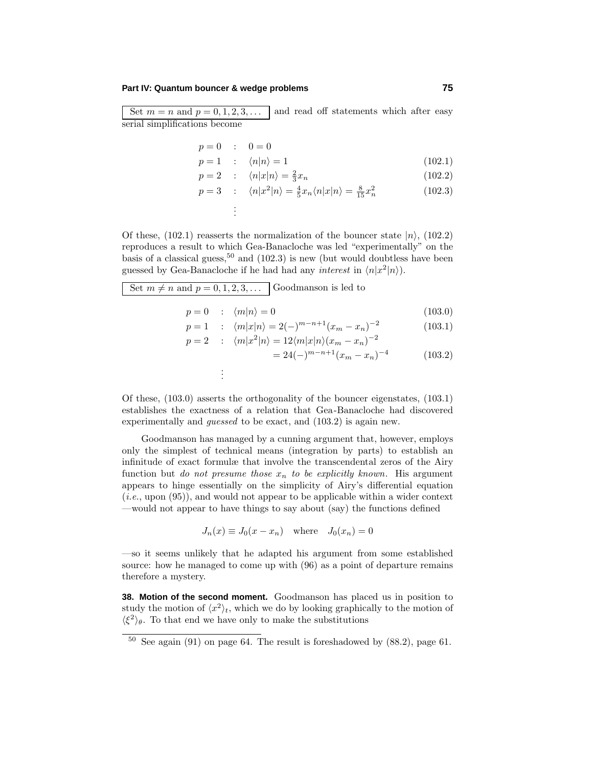## **Part IV: Quantum bouncer & wedge problems 75**

Set  $m = n$  and  $p = 0, 1, 2, 3, \ldots$  and read off statements which after easy serial simplifications become

$$
p = 0 : 0 = 0
$$
  

$$
p = 1 : \langle n | n \rangle = 1
$$
 (102.1)

$$
p = 2 \qquad ; \qquad \langle n|x|n \rangle = \frac{2}{3}x_n \tag{102.2}
$$

$$
p = 2 \qquad ; \qquad \langle n|x|n\rangle = \frac{2}{3}x_n \tag{102.2}
$$
\n
$$
\langle n|x|n\rangle = \frac{2}{3}x_n \tag{102.3}
$$

$$
p = 3 \quad : \quad \langle n|x^2|n\rangle = \frac{4}{5}x_n \langle n|x|n\rangle = \frac{8}{15}x_n^2 \tag{102.3}
$$

. .

. .

Of these,  $(102.1)$  reasserts the normalization of the bouncer state  $|n\rangle$ ,  $(102.2)$ reproduces a result to which Gea-Banacloche was led "experimentally" on the basis of a classical guess,<sup>50</sup> and (102.3) is new (but would doubtless have been guessed by Gea-Banacloche if he had had any *interest* in  $\langle n|x^2|n\rangle$ .

Set  $m \neq n$  and  $p = 0, 1, 2, 3, \ldots$  Goodmanson is led to

$$
p = 0 \quad : \quad \langle m | n \rangle = 0 \tag{103.0}
$$

$$
p = 1 : \langle m|x|n\rangle = 2(-)^{m-n+1}(x_m - x_n)^{-2}
$$
\n
$$
x = 2 : \langle m|x^2|x\rangle = 12\langle m|x|n\rangle(x_n - x_n)^{-2}
$$
\n(103.1)

$$
p = 2 : \langle m|x^2|n\rangle = 12\langle m|x|n\rangle(x_m - x_n)^{-2}
$$
  
= 24(-)<sup>m-n+1</sup>(x<sub>m</sub> - x<sub>n</sub>)<sup>-4</sup> (103.2)

Of these, (103.0) asserts the orthogonality of the bouncer eigenstates, (103.1) establishes the exactness of a relation that Gea-Banacloche had discovered experimentally and *quessed* to be exact, and  $(103.2)$  is again new.

Goodmanson has managed by a cunning argument that, however, employs only the simplest of technical means (integration by parts) to establish an infinitude of exact formulæ that involve the transcendental zeros of the Airy function but *do not presume those*  $x_n$  *to be explicitly known*. His argument appears to hinge essentially on the simplicity of Airy's differential equation  $(i.e., upon (95))$ , and would not appear to be applicable within a wider context —would not appear to have things to say about (say) the functions defined

$$
J_n(x) \equiv J_0(x - x_n) \quad \text{where} \quad J_0(x_n) = 0
$$

—so it seems unlikely that he adapted his argument from some established source: how he managed to come up with (96) as a point of departure remains therefore a mystery.

**38. Motion of the second moment.** Goodmanson has placed us in position to study the motion of  $\langle x^2 \rangle_t$ , which we do by looking graphically to the motion of  $\langle \xi^2 \rangle_{\theta}$ . To that end we have only to make the substitutions

 $50$  See again (91) on page 64. The result is foreshadowed by  $(88.2)$ , page 61.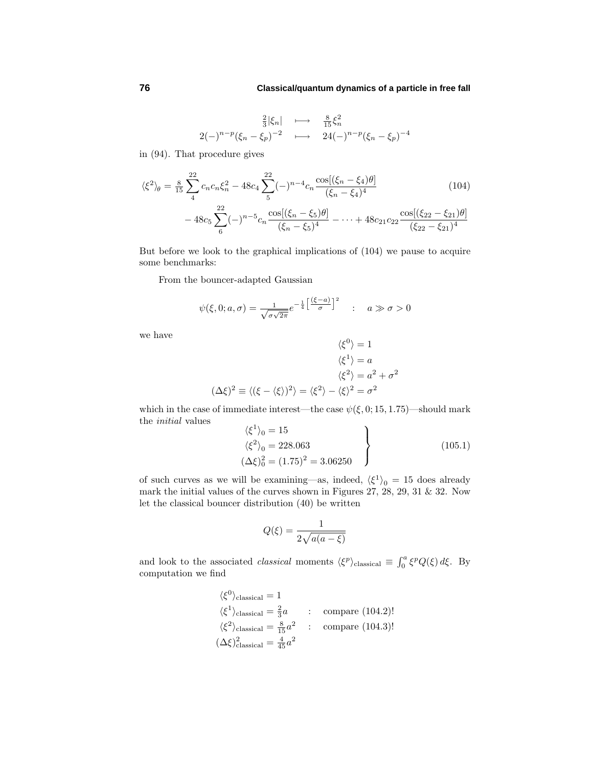$$
2(-)^{n-p}(\xi_n - \xi_p)^{-2} \longrightarrow \frac{\frac{8}{15}\xi_n^2}{24(-)^{n-p}(\xi_n - \xi_p)^{-4}}
$$

in (94). That procedure gives

$$
\langle \xi^2 \rangle_{\theta} = \frac{8}{15} \sum_{4}^{22} c_n c_n \xi_n^2 - 48 c_4 \sum_{5}^{22} (-)^{n-4} c_n \frac{\cos[(\xi_n - \xi_4)\theta]}{(\xi_n - \xi_4)^4}
$$
(104)  
- 48c<sub>5</sub>  $\sum_{6}^{22} (-)^{n-5} c_n \frac{\cos[(\xi_n - \xi_5)\theta]}{(\xi_n - \xi_5)^4} - \dots + 48c_{21} c_{22} \frac{\cos[(\xi_{22} - \xi_{21})\theta]}{(\xi_{22} - \xi_{21})^4}$ 

But before we look to the graphical implications of (104) we pause to acquire some benchmarks:

From the bouncer-adapted Gaussian

$$
\psi(\xi, 0; a, \sigma) = \frac{1}{\sqrt{\sigma \sqrt{2\pi}}} e^{-\frac{1}{4} \left[ \frac{(\xi - a)}{\sigma} \right]^2} \quad : \quad a \gg \sigma > 0
$$

we have

$$
\langle \xi^0 \rangle = 1
$$
  

$$
\langle \xi^1 \rangle = a
$$
  

$$
\langle \xi^2 \rangle = a^2 + \sigma^2
$$
  

$$
(\Delta \xi)^2 \equiv \langle (\xi - \langle \xi \rangle)^2 \rangle = \langle \xi^2 \rangle - \langle \xi \rangle^2 = \sigma^2
$$

which in the case of immediate interest—the case  $\psi(\xi, 0; 15, 1.75)$ —should mark the initial values

$$
\langle \xi^1 \rangle_0 = 15
$$
  

$$
\langle \xi^2 \rangle_0 = 228.063
$$
  

$$
(\Delta \xi)_0^2 = (1.75)^2 = 3.06250
$$
 (105.1)

of such curves as we will be examining—as, indeed,  $\langle \xi^1 \rangle_0 = 15$  does already mark the initial values of the curves shown in Figures 27, 28, 29, 31  $\&$  32. Now let the classical bouncer distribution (40) be written

$$
Q(\xi) = \frac{1}{2\sqrt{a(a-\xi)}}
$$

and look to the associated *classical* moments  $\langle \xi^p \rangle$ classical  $\equiv \int_0^a \xi^p Q(\xi) d\xi$ . By computation we find

$$
\langle \xi^0 \rangle_{\text{classical}} = 1
$$
  

$$
\langle \xi^1 \rangle_{\text{classical}} = \frac{2}{3}a \qquad : \qquad \text{compare (104.2)!}
$$
  

$$
\langle \xi^2 \rangle_{\text{classical}} = \frac{8}{15}a^2 \qquad : \qquad \text{compare (104.3)!}
$$
  

$$
(\Delta \xi)^2_{\text{classical}} = \frac{4}{45}a^2
$$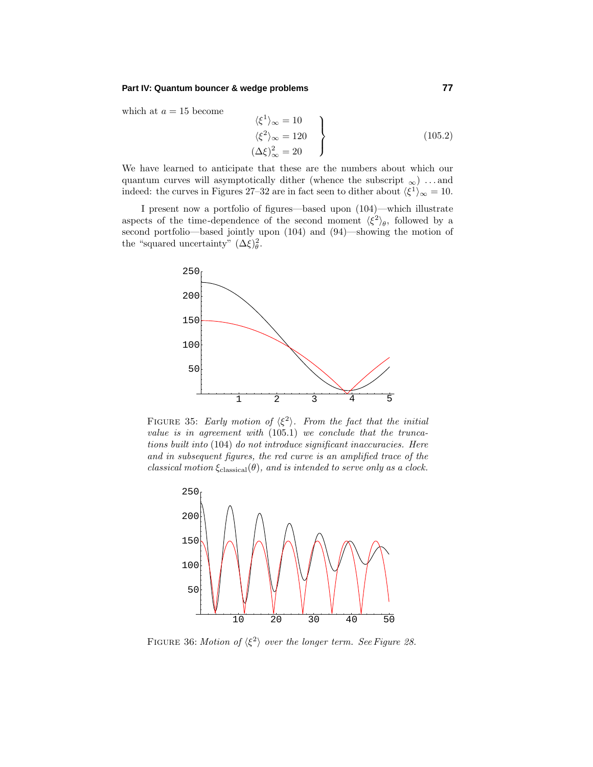## **Part IV: Quantum bouncer & wedge problems 77**

which at  $a = 15$  become

$$
\langle \xi^1 \rangle_{\infty} = 10
$$
  

$$
\langle \xi^2 \rangle_{\infty} = 120
$$
  

$$
(\Delta \xi)^2_{\infty} = 20
$$
 (105.2)

We have learned to anticipate that these are the numbers about which our quantum curves will asymptotically dither (whence the subscript  $_{\infty}$ ) ... and indeed: the curves in Figures 27–32 are in fact seen to dither about  $\langle \xi^1 \rangle_{\infty} = 10$ .

I present now a portfolio of figures—based upon (104)—which illustrate aspects of the time-dependence of the second moment  $\langle \xi^2 \rangle_{\theta}$ , followed by a second portfolio—based jointly upon (104) and (94)—showing the motion of the "squared uncertainty"  $(\Delta \xi)_\theta^2$ .



FIGURE 35: Early motion of  $\langle \xi^2 \rangle$ . From the fact that the initial value is in agreement with (105*.*1) we conclude that the truncations built into (104) do not introduce significant inaccuracies. Here and in subsequent figures, the red curve is an amplified trace of the classical motion  $\xi_{\text{classical}}(\theta)$ , and is intended to serve only as a clock.



FIGURE 36: Motion of  $\langle \xi^2 \rangle$  over the longer term. See Figure 28.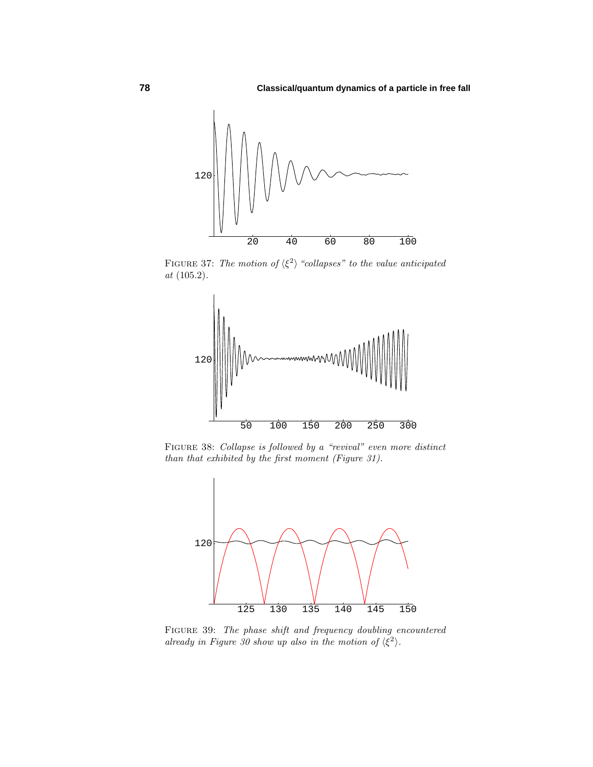

FIGURE 37: The motion of  $\langle \xi^2 \rangle$  "collapses" to the value anticipated at (105*.*2).



Figure 38: Collapse is followed by a "revival" even more distinct than that exhibited by the first moment (Figure 31).



FIGURE 39: The phase shift and frequency doubling encountered already in Figure 30 show up also in the motion of  $\langle \xi^2 \rangle$ .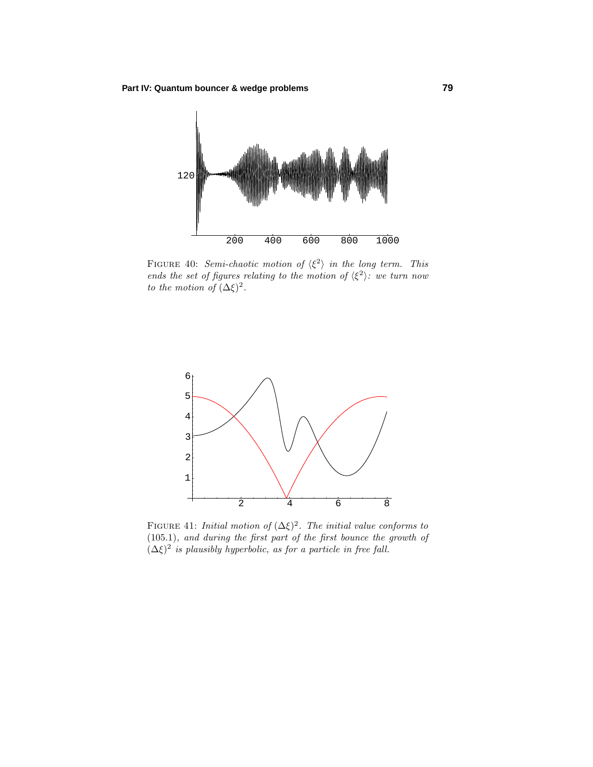

FIGURE 40: Semi-chaotic motion of  $\langle \xi^2 \rangle$  in the long term. This ends the set of figures relating to the motion of  $\langle \xi^2 \rangle$ : we turn now to the motion of  $(\Delta \xi)^2$ .



FIGURE 41: *Initial motion of*  $(\Delta \xi)^2$ . The *initial value conforms to* (105*.*1), and during the first part of the first bounce the growth of  $(\Delta \xi)^2$  is plausibly hyperbolic, as for a particle in free fall.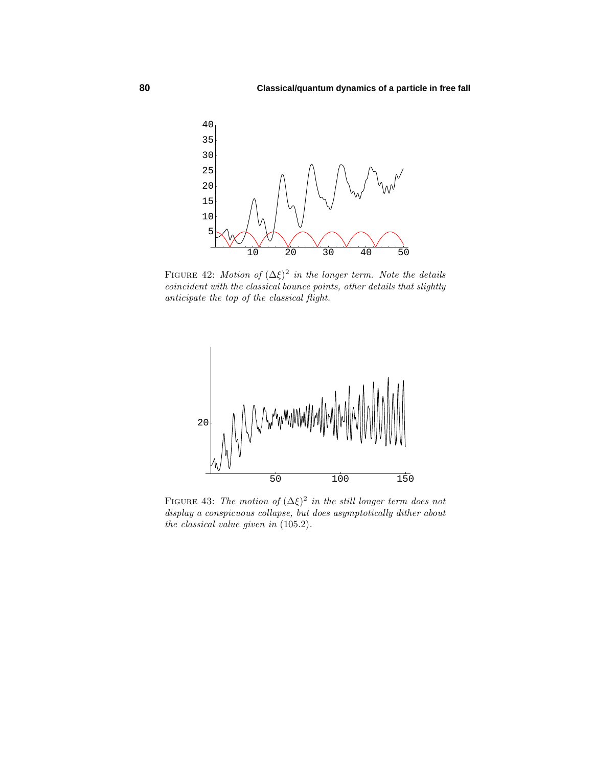

FIGURE 42: Motion of  $(\Delta \xi)^2$  in the longer term. Note the details coincident with the classical bounce points, other details that slightly anticipate the top of the classical flight.



FIGURE 43: The motion of  $(\Delta \xi)^2$  in the still longer term does not display a conspicuous collapse, but does asymptotically dither about the classical value given in (105*.*2).